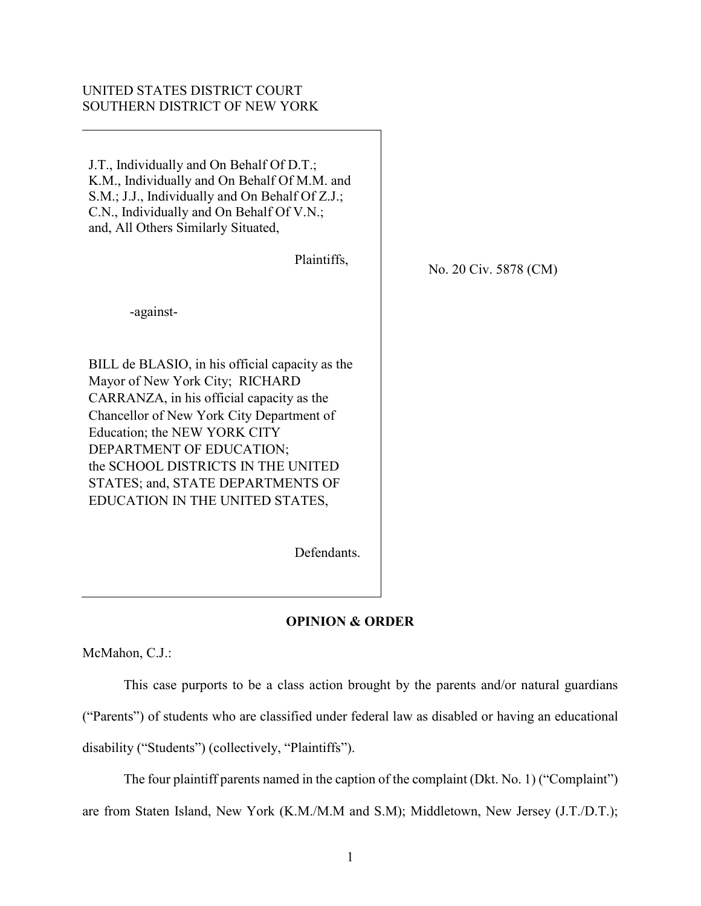# UNITED STATES DISTRICT COURT SOUTHERN DISTRICT OF NEW YORK

J.T., Individually and On Behalf Of D.T.; K.M., Individually and On Behalf Of M.M. and S.M.; J.J., Individually and On Behalf Of Z.J.; C.N., Individually and On Behalf Of V.N.; and, All Others Similarly Situated,

| Plaintiffs,                                                                        |  |
|------------------------------------------------------------------------------------|--|
| -against-                                                                          |  |
| BILL de BLASIO, in his official capacity as the<br>Mayor of New York City; RICHARD |  |
| CARRANZA, in his official capacity as the                                          |  |
| Chancellor of New York City Department of                                          |  |
| Education; the NEW YORK CITY                                                       |  |
| DEPARTMENT OF EDUCATION;                                                           |  |
| the SCHOOL DISTRICTS IN THE UNITED                                                 |  |
| STATES; and, STATE DEPARTMENTS OF                                                  |  |
| EDUCATION IN THE UNITED STATES,                                                    |  |

Defendants.

# **OPINION & ORDER**

No. 20 Civ. 5878 (CM)

McMahon, C.J.:

This case purports to be a class action brought by the parents and/or natural guardians ("Parents") of students who are classified under federal law as disabled or having an educational disability ("Students") (collectively, "Plaintiffs").

The four plaintiff parents named in the caption of the complaint (Dkt. No. 1) ("Complaint") are from Staten Island, New York (K.M./M.M and S.M); Middletown, New Jersey (J.T./D.T.);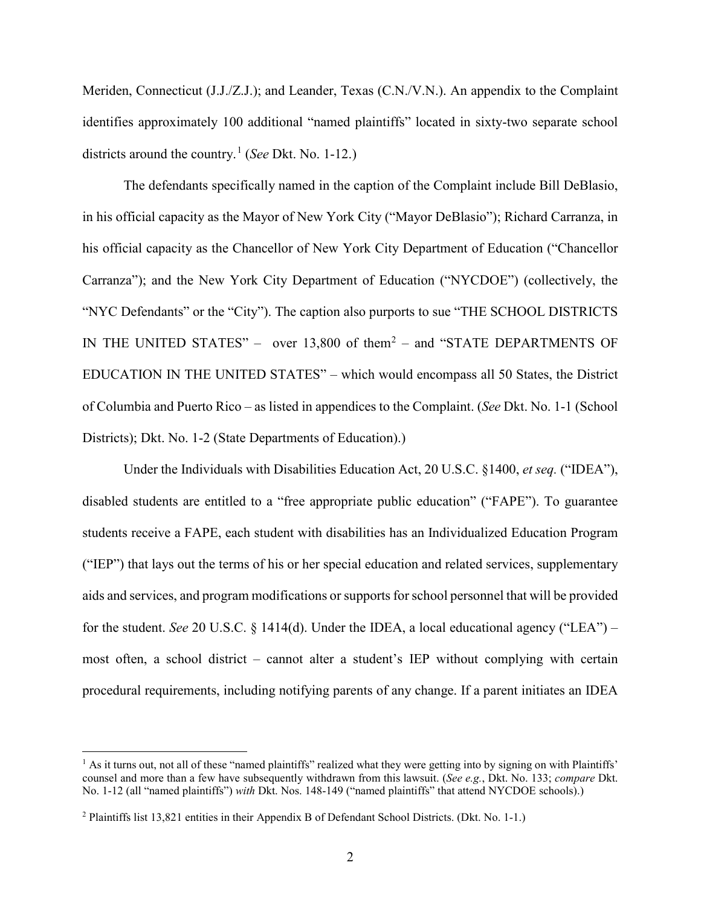Meriden, Connecticut (J.J./Z.J.); and Leander, Texas (C.N./V.N.). An appendix to the Complaint identifies approximately 100 additional "named plaintiffs" located in sixty-two separate school districts around the country.[1](#page-1-0) (*See* Dkt. No. 1-12.)

The defendants specifically named in the caption of the Complaint include Bill DeBlasio, in his official capacity as the Mayor of New York City ("Mayor DeBlasio"); Richard Carranza, in his official capacity as the Chancellor of New York City Department of Education ("Chancellor Carranza"); and the New York City Department of Education ("NYCDOE") (collectively, the "NYC Defendants" or the "City"). The caption also purports to sue "THE SCHOOL DISTRICTS IN THE UNITED STATES" – over  $13,800$  of them<sup>[2](#page-1-1)</sup> – and "STATE DEPARTMENTS OF EDUCATION IN THE UNITED STATES" – which would encompass all 50 States, the District of Columbia and Puerto Rico – as listed in appendices to the Complaint. (*See* Dkt. No. 1-1 (School Districts); Dkt. No. 1-2 (State Departments of Education).)

Under the Individuals with Disabilities Education Act, 20 U.S.C. §1400, *et seq.* ("IDEA"), disabled students are entitled to a "free appropriate public education" ("FAPE"). To guarantee students receive a FAPE, each student with disabilities has an Individualized Education Program ("IEP") that lays out the terms of his or her special education and related services, supplementary aids and services, and program modifications or supports for school personnel that will be provided for the student. *See* 20 U.S.C. § 1414(d). Under the IDEA, a local educational agency ("LEA") – most often, a school district – cannot alter a student's IEP without complying with certain procedural requirements, including notifying parents of any change. If a parent initiates an IDEA

 $\overline{\phantom{a}}$ 

<span id="page-1-0"></span> $<sup>1</sup>$  As it turns out, not all of these "named plaintiffs" realized what they were getting into by signing on with Plaintiffs'</sup> counsel and more than a few have subsequently withdrawn from this lawsuit. (*See e.g.*, Dkt. No. 133; *compare* Dkt. No. 1-12 (all "named plaintiffs") *with* Dkt. Nos. 148-149 ("named plaintiffs" that attend NYCDOE schools).)

<span id="page-1-1"></span><sup>2</sup> Plaintiffs list 13,821 entities in their Appendix B of Defendant School Districts. (Dkt. No. 1-1.)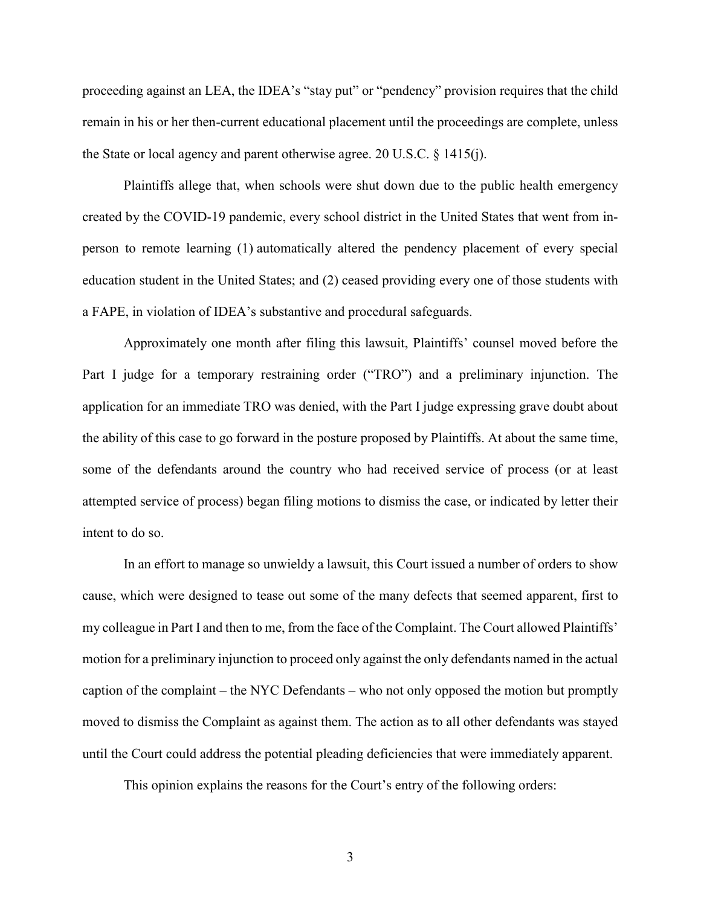proceeding against an LEA, the IDEA's "stay put" or "pendency" provision requires that the child remain in his or her then-current educational placement until the proceedings are complete, unless the State or local agency and parent otherwise agree. 20 U.S.C. § 1415(j).

Plaintiffs allege that, when schools were shut down due to the public health emergency created by the COVID-19 pandemic, every school district in the United States that went from inperson to remote learning (1) automatically altered the pendency placement of every special education student in the United States; and (2) ceased providing every one of those students with a FAPE, in violation of IDEA's substantive and procedural safeguards.

Approximately one month after filing this lawsuit, Plaintiffs' counsel moved before the Part I judge for a temporary restraining order ("TRO") and a preliminary injunction. The application for an immediate TRO was denied, with the Part I judge expressing grave doubt about the ability of this case to go forward in the posture proposed by Plaintiffs. At about the same time, some of the defendants around the country who had received service of process (or at least attempted service of process) began filing motions to dismiss the case, or indicated by letter their intent to do so.

In an effort to manage so unwieldy a lawsuit, this Court issued a number of orders to show cause, which were designed to tease out some of the many defects that seemed apparent, first to my colleague in Part I and then to me, from the face of the Complaint. The Court allowed Plaintiffs' motion for a preliminary injunction to proceed only against the only defendants named in the actual caption of the complaint – the NYC Defendants – who not only opposed the motion but promptly moved to dismiss the Complaint as against them. The action as to all other defendants was stayed until the Court could address the potential pleading deficiencies that were immediately apparent.

This opinion explains the reasons for the Court's entry of the following orders:

3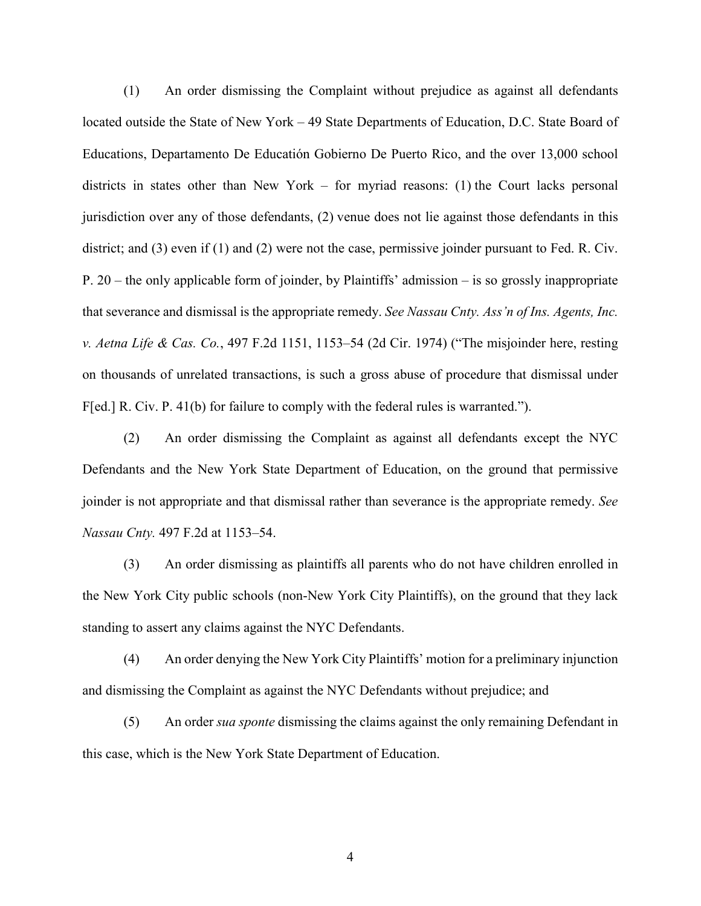(1) An order dismissing the Complaint without prejudice as against all defendants located outside the State of New York – 49 State Departments of Education, D.C. State Board of Educations, Departamento De Educatión Gobierno De Puerto Rico, and the over 13,000 school districts in states other than New York – for myriad reasons: (1) the Court lacks personal jurisdiction over any of those defendants, (2) venue does not lie against those defendants in this district; and (3) even if (1) and (2) were not the case, permissive joinder pursuant to Fed. R. Civ. P. 20 – the only applicable form of joinder, by Plaintiffs' admission – is so grossly inappropriate that severance and dismissal is the appropriate remedy. *See Nassau Cnty. Ass'n of Ins. Agents, Inc. v. Aetna Life & Cas. Co.*, 497 F.2d 1151, 1153–54 (2d Cir. 1974) ("The misjoinder here, resting on thousands of unrelated transactions, is such a gross abuse of procedure that dismissal under F[ed.] R. Civ. P. 41(b) for failure to comply with the federal rules is warranted.").

(2) An order dismissing the Complaint as against all defendants except the NYC Defendants and the New York State Department of Education, on the ground that permissive joinder is not appropriate and that dismissal rather than severance is the appropriate remedy. *See Nassau Cnty.* 497 F.2d at 1153–54.

(3) An order dismissing as plaintiffs all parents who do not have children enrolled in the New York City public schools (non-New York City Plaintiffs), on the ground that they lack standing to assert any claims against the NYC Defendants.

(4) An order denying the New York City Plaintiffs' motion for a preliminary injunction and dismissing the Complaint as against the NYC Defendants without prejudice; and

(5) An order *sua sponte* dismissing the claims against the only remaining Defendant in this case, which is the New York State Department of Education.

4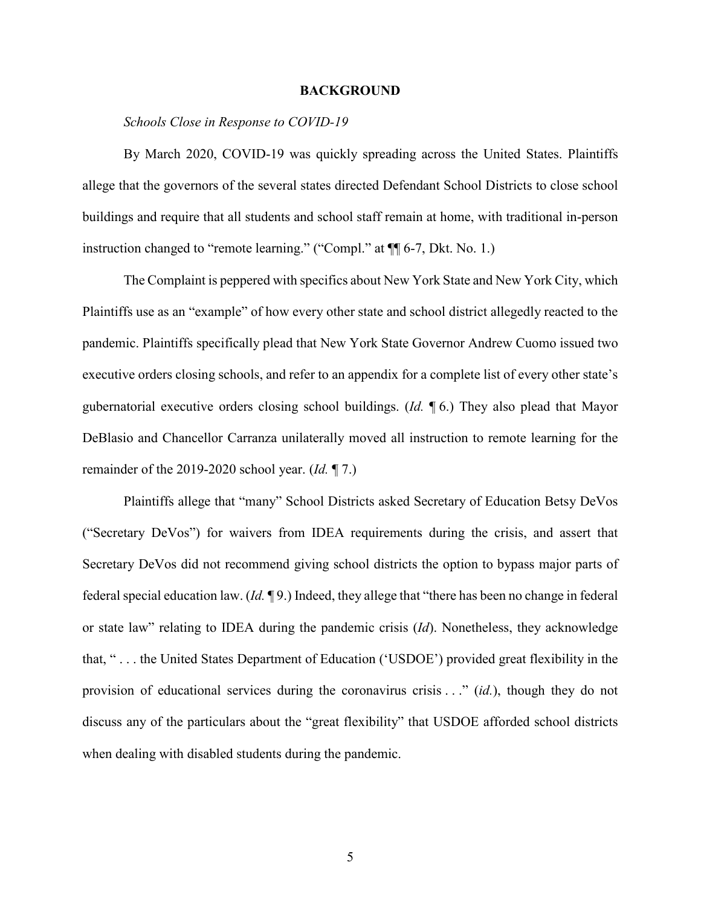#### **BACKGROUND**

### *Schools Close in Response to COVID-19*

By March 2020, COVID-19 was quickly spreading across the United States. Plaintiffs allege that the governors of the several states directed Defendant School Districts to close school buildings and require that all students and school staff remain at home, with traditional in-person instruction changed to "remote learning." ("Compl." at ¶¶ 6-7, Dkt. No. 1.)

The Complaint is peppered with specifics about New York State and New York City, which Plaintiffs use as an "example" of how every other state and school district allegedly reacted to the pandemic. Plaintiffs specifically plead that New York State Governor Andrew Cuomo issued two executive orders closing schools, and refer to an appendix for a complete list of every other state's gubernatorial executive orders closing school buildings. (*Id.* ¶ 6.) They also plead that Mayor DeBlasio and Chancellor Carranza unilaterally moved all instruction to remote learning for the remainder of the 2019-2020 school year. (*Id.* ¶ 7.)

Plaintiffs allege that "many" School Districts asked Secretary of Education Betsy DeVos ("Secretary DeVos") for waivers from IDEA requirements during the crisis, and assert that Secretary DeVos did not recommend giving school districts the option to bypass major parts of federal special education law. (*Id.* ¶ 9.) Indeed, they allege that "there has been no change in federal or state law" relating to IDEA during the pandemic crisis (*Id*). Nonetheless, they acknowledge that, " . . . the United States Department of Education ('USDOE') provided great flexibility in the provision of educational services during the coronavirus crisis . . ." (*id.*), though they do not discuss any of the particulars about the "great flexibility" that USDOE afforded school districts when dealing with disabled students during the pandemic.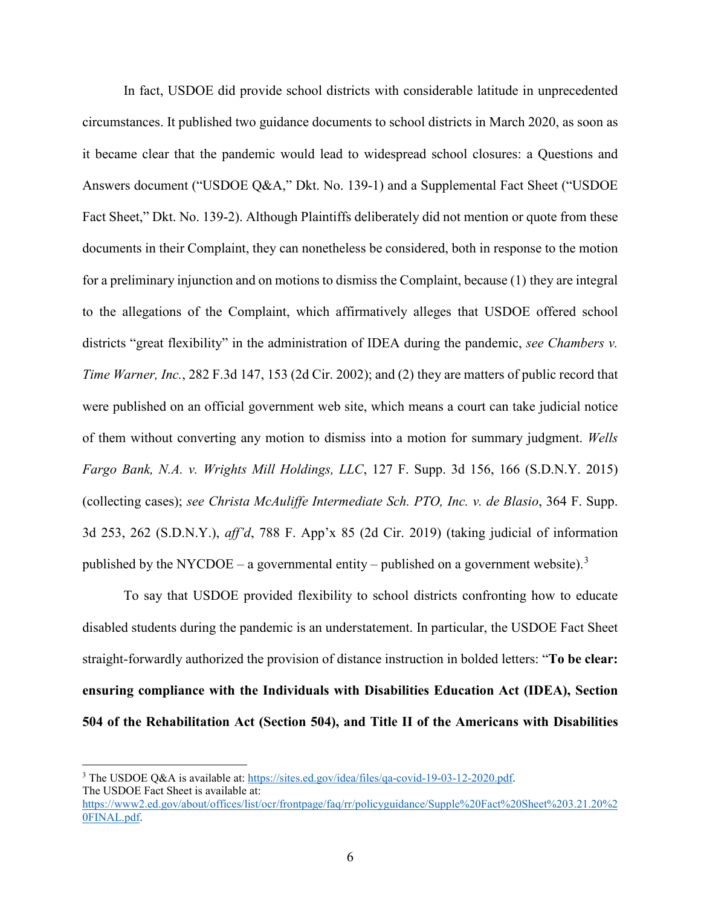In fact, USDOE did provide school districts with considerable latitude in unprecedented circumstances. It published two guidance documents to school districts in March 2020, as soon as it became clear that the pandemic would lead to widespread school closures: a Questions and Answers document ("USDOE Q&A," Dkt. No. 139-1) and a Supplemental Fact Sheet ("USDOE Fact Sheet," Dkt. No. 139-2). Although Plaintiffs deliberately did not mention or quote from these documents in their Complaint, they can nonetheless be considered, both in response to the motion for a preliminary injunction and on motions to dismiss the Complaint, because (1) they are integral to the allegations of the Complaint, which affirmatively alleges that USDOE offered school districts "great flexibility" in the administration of IDEA during the pandemic, *see Chambers v. Time Warner, Inc.*, 282 F.3d 147, 153 (2d Cir. 2002); and (2) they are matters of public record that were published on an official government web site, which means a court can take judicial notice of them without converting any motion to dismiss into a motion for summary judgment. *Wells Fargo Bank, N.A. v. Wrights Mill Holdings, LLC*, 127 F. Supp. 3d 156, 166 (S.D.N.Y. 2015) (collecting cases); *see Christa McAuliffe Intermediate Sch. PTO, Inc. v. de Blasio*, 364 F. Supp. 3d 253, 262 (S.D.N.Y.), *aff'd*, 788 F. App'x 85 (2d Cir. 2019) (taking judicial of information published by the NYCDOE – a governmental entity – published on a government website).<sup>[3](#page-5-0)</sup>

To say that USDOE provided flexibility to school districts confronting how to educate disabled students during the pandemic is an understatement. In particular, the USDOE Fact Sheet straight-forwardly authorized the provision of distance instruction in bolded letters: "**To be clear: ensuring compliance with the Individuals with Disabilities Education Act (IDEA), Section 504 of the Rehabilitation Act (Section 504), and Title II of the Americans with Disabilities** 

l

<span id="page-5-0"></span><sup>3</sup> The USDOE Q&A is available at[: https://sites.ed.gov/idea/files/qa-covid-19-03-12-2020.pdf.](https://sites.ed.gov/idea/files/qa-covid-19-03-12-2020.pdf) The USDOE Fact Sheet is available at: [https://www2.ed.gov/about/offices/list/ocr/frontpage/faq/rr/policyguidance/Supple%20Fact%20Sheet%203.21.20%2](https://www2.ed.gov/about/offices/list/ocr/frontpage/faq/rr/policyguidance/Supple%20Fact%20Sheet%203.21.20%20FINAL.pdf) [0FINAL.pdf.](https://www2.ed.gov/about/offices/list/ocr/frontpage/faq/rr/policyguidance/Supple%20Fact%20Sheet%203.21.20%20FINAL.pdf)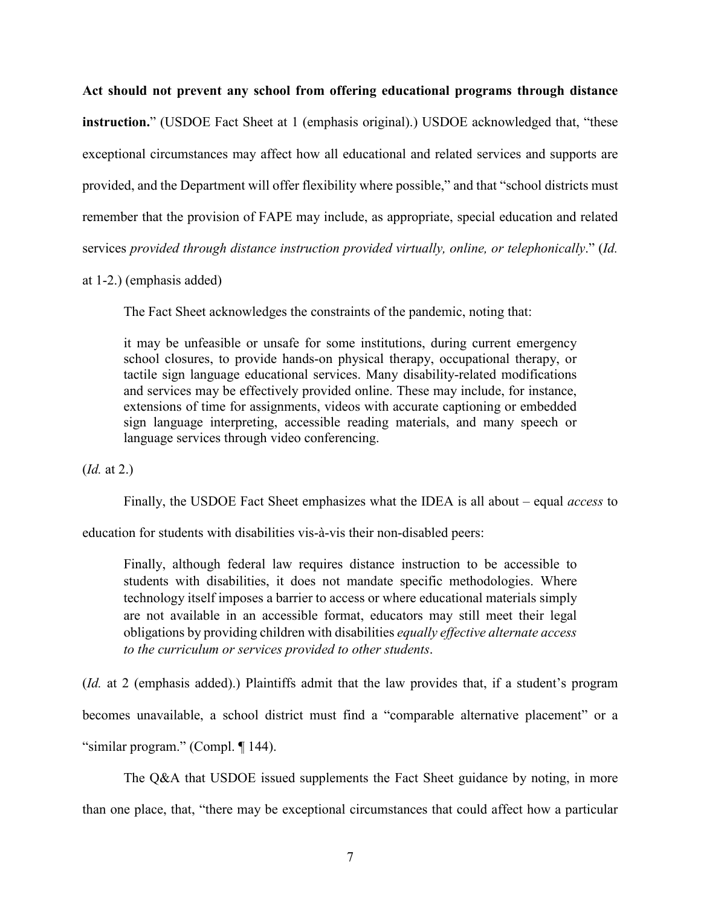**Act should not prevent any school from offering educational programs through distance instruction.**" (USDOE Fact Sheet at 1 (emphasis original).) USDOE acknowledged that, "these exceptional circumstances may affect how all educational and related services and supports are provided, and the Department will offer flexibility where possible," and that "school districts must remember that the provision of FAPE may include, as appropriate, special education and related

services *provided through distance instruction provided virtually, online, or telephonically*." (*Id.*

at 1-2.) (emphasis added)

The Fact Sheet acknowledges the constraints of the pandemic, noting that:

it may be unfeasible or unsafe for some institutions, during current emergency school closures, to provide hands-on physical therapy, occupational therapy, or tactile sign language educational services. Many disability-related modifications and services may be effectively provided online. These may include, for instance, extensions of time for assignments, videos with accurate captioning or embedded sign language interpreting, accessible reading materials, and many speech or language services through video conferencing.

(*Id.* at 2.)

Finally, the USDOE Fact Sheet emphasizes what the IDEA is all about – equal *access* to

education for students with disabilities vis-à-vis their non-disabled peers:

Finally, although federal law requires distance instruction to be accessible to students with disabilities, it does not mandate specific methodologies. Where technology itself imposes a barrier to access or where educational materials simply are not available in an accessible format, educators may still meet their legal obligations by providing children with disabilities *equally effective alternate access to the curriculum or services provided to other students*.

(*Id.* at 2 (emphasis added).) Plaintiffs admit that the law provides that, if a student's program becomes unavailable, a school district must find a "comparable alternative placement" or a "similar program." (Compl. ¶ 144).

The Q&A that USDOE issued supplements the Fact Sheet guidance by noting, in more than one place, that, "there may be exceptional circumstances that could affect how a particular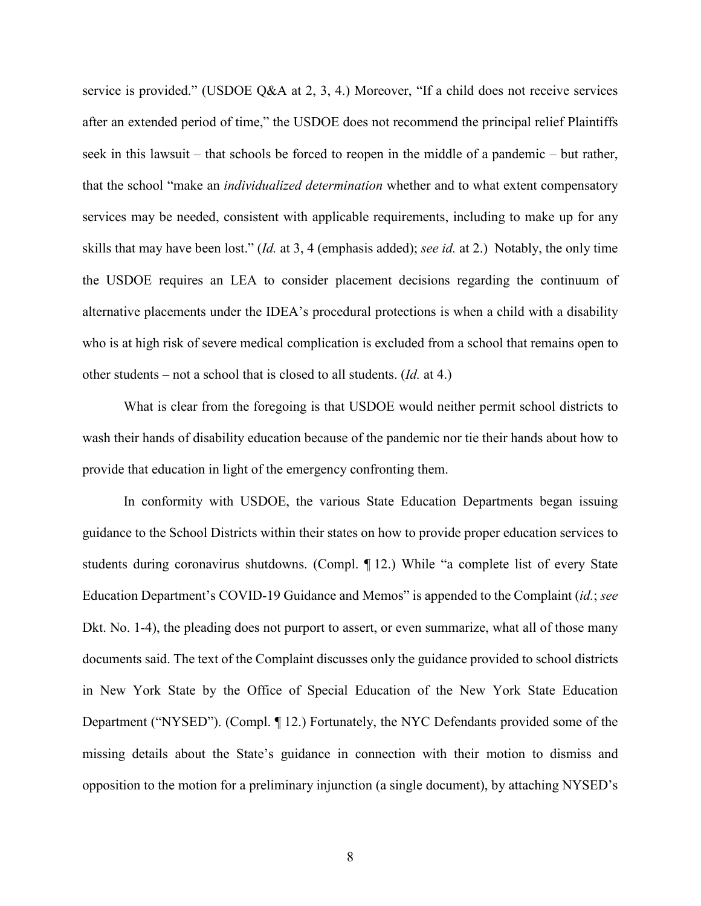service is provided." (USDOE Q&A at 2, 3, 4.) Moreover, "If a child does not receive services after an extended period of time," the USDOE does not recommend the principal relief Plaintiffs seek in this lawsuit – that schools be forced to reopen in the middle of a pandemic – but rather, that the school "make an *individualized determination* whether and to what extent compensatory services may be needed, consistent with applicable requirements, including to make up for any skills that may have been lost." (*Id.* at 3, 4 (emphasis added); *see id.* at 2.) Notably, the only time the USDOE requires an LEA to consider placement decisions regarding the continuum of alternative placements under the IDEA's procedural protections is when a child with a disability who is at high risk of severe medical complication is excluded from a school that remains open to other students – not a school that is closed to all students. (*Id.* at 4.)

What is clear from the foregoing is that USDOE would neither permit school districts to wash their hands of disability education because of the pandemic nor tie their hands about how to provide that education in light of the emergency confronting them.

In conformity with USDOE, the various State Education Departments began issuing guidance to the School Districts within their states on how to provide proper education services to students during coronavirus shutdowns. (Compl. ¶ 12.) While "a complete list of every State Education Department's COVID-19 Guidance and Memos" is appended to the Complaint (*id.*; *see* Dkt. No. 1-4), the pleading does not purport to assert, or even summarize, what all of those many documents said. The text of the Complaint discusses only the guidance provided to school districts in New York State by the Office of Special Education of the New York State Education Department ("NYSED"). (Compl. ¶ 12.) Fortunately, the NYC Defendants provided some of the missing details about the State's guidance in connection with their motion to dismiss and opposition to the motion for a preliminary injunction (a single document), by attaching NYSED's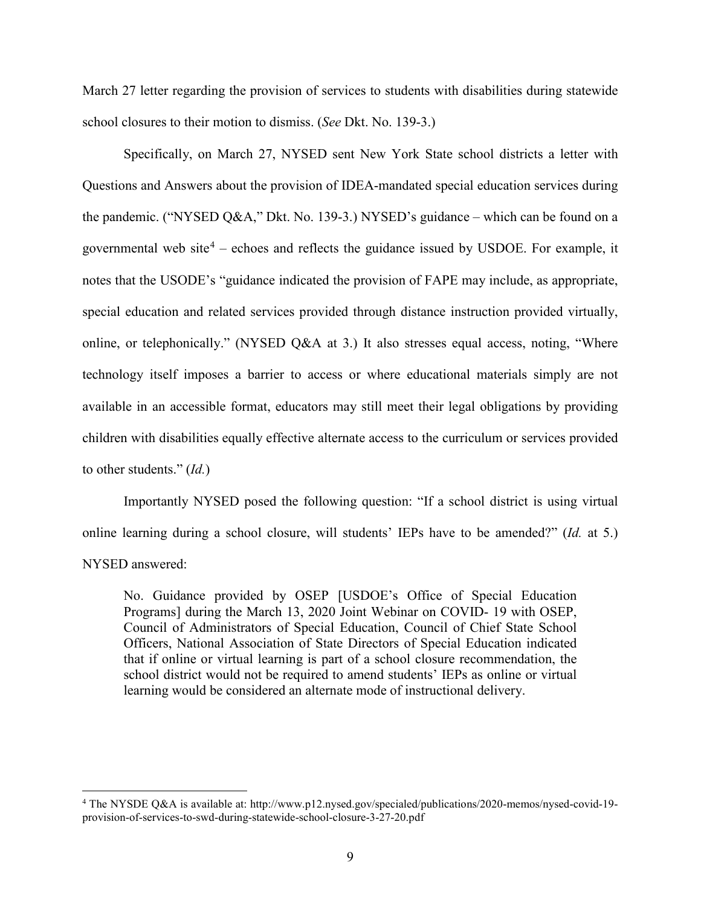March 27 letter regarding the provision of services to students with disabilities during statewide school closures to their motion to dismiss. (*See* Dkt. No. 139-3.)

Specifically, on March 27, NYSED sent New York State school districts a letter with Questions and Answers about the provision of IDEA-mandated special education services during the pandemic. ("NYSED Q&A," Dkt. No. 139-3.) NYSED's guidance – which can be found on a governmental web site<sup>[4](#page-8-0)</sup> – echoes and reflects the guidance issued by USDOE. For example, it notes that the USODE's "guidance indicated the provision of FAPE may include, as appropriate, special education and related services provided through distance instruction provided virtually, online, or telephonically." (NYSED Q&A at 3.) It also stresses equal access, noting, "Where technology itself imposes a barrier to access or where educational materials simply are not available in an accessible format, educators may still meet their legal obligations by providing children with disabilities equally effective alternate access to the curriculum or services provided to other students." (*Id.*)

Importantly NYSED posed the following question: "If a school district is using virtual online learning during a school closure, will students' IEPs have to be amended?" (*Id.* at 5.) NYSED answered:

No. Guidance provided by OSEP [USDOE's Office of Special Education Programs] during the March 13, 2020 Joint Webinar on COVID- 19 with OSEP, Council of Administrators of Special Education, Council of Chief State School Officers, National Association of State Directors of Special Education indicated that if online or virtual learning is part of a school closure recommendation, the school district would not be required to amend students' IEPs as online or virtual learning would be considered an alternate mode of instructional delivery.

l

<span id="page-8-0"></span><sup>4</sup> The NYSDE Q&A is available at: http://www.p12.nysed.gov/specialed/publications/2020-memos/nysed-covid-19 provision-of-services-to-swd-during-statewide-school-closure-3-27-20.pdf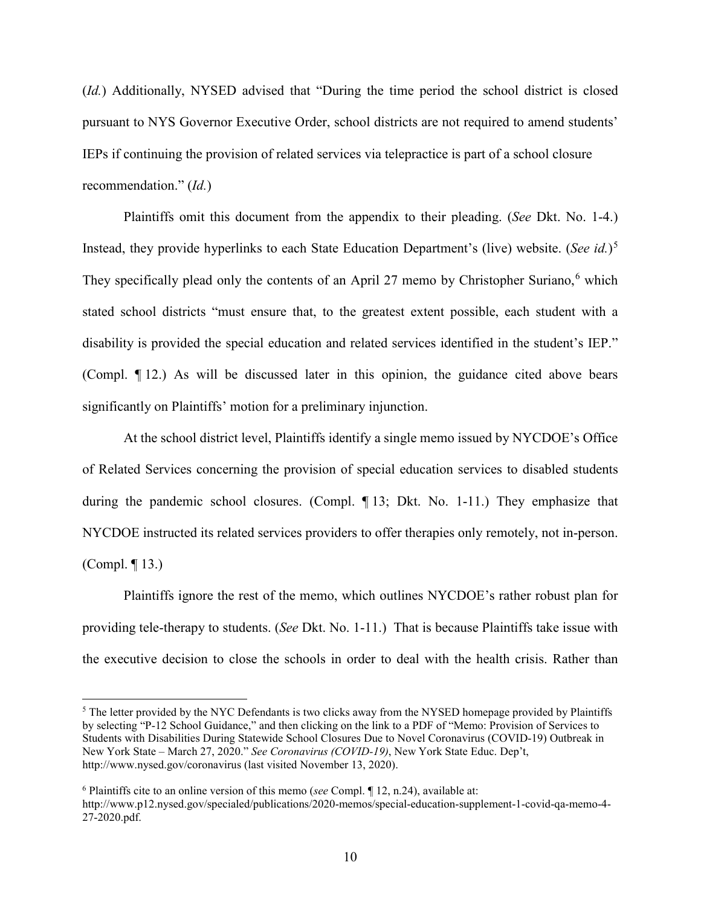(*Id.*) Additionally, NYSED advised that "During the time period the school district is closed pursuant to NYS Governor Executive Order, school districts are not required to amend students' IEPs if continuing the provision of related services via telepractice is part of a school closure recommendation." (*Id.*)

Plaintiffs omit this document from the appendix to their pleading. (*See* Dkt. No. 1-4.) Instead, they provide hyperlinks to each State Education Department's (live) website. (*See id.*)[5](#page-9-0) They specifically plead only the contents of an April 27 memo by Christopher Suriano, $<sup>6</sup>$  $<sup>6</sup>$  $<sup>6</sup>$  which</sup> stated school districts "must ensure that, to the greatest extent possible, each student with a disability is provided the special education and related services identified in the student's IEP." (Compl. ¶ 12.) As will be discussed later in this opinion, the guidance cited above bears significantly on Plaintiffs' motion for a preliminary injunction.

At the school district level, Plaintiffs identify a single memo issued by NYCDOE's Office of Related Services concerning the provision of special education services to disabled students during the pandemic school closures. (Compl. ¶ 13; Dkt. No. 1-11.) They emphasize that NYCDOE instructed its related services providers to offer therapies only remotely, not in-person. (Compl. ¶ 13.)

Plaintiffs ignore the rest of the memo, which outlines NYCDOE's rather robust plan for providing tele-therapy to students. (*See* Dkt. No. 1-11.) That is because Plaintiffs take issue with the executive decision to close the schools in order to deal with the health crisis. Rather than

l

<span id="page-9-0"></span><sup>&</sup>lt;sup>5</sup> The letter provided by the NYC Defendants is two clicks away from the NYSED homepage provided by Plaintiffs by selecting "P-12 School Guidance," and then clicking on the link to a PDF of "Memo: Provision of Services to Students with Disabilities During Statewide School Closures Due to Novel Coronavirus (COVID-19) Outbreak in New York State – March 27, 2020." *See Coronavirus (COVID-19)*, New York State Educ. Dep't, http://www.nysed.gov/coronavirus (last visited November 13, 2020).

<span id="page-9-1"></span><sup>6</sup> Plaintiffs cite to an online version of this memo (*see* Compl. ¶ 12, n.24), available at: http://www.p12.nysed.gov/specialed/publications/2020-memos/special-education-supplement-1-covid-qa-memo-4- 27-2020.pdf.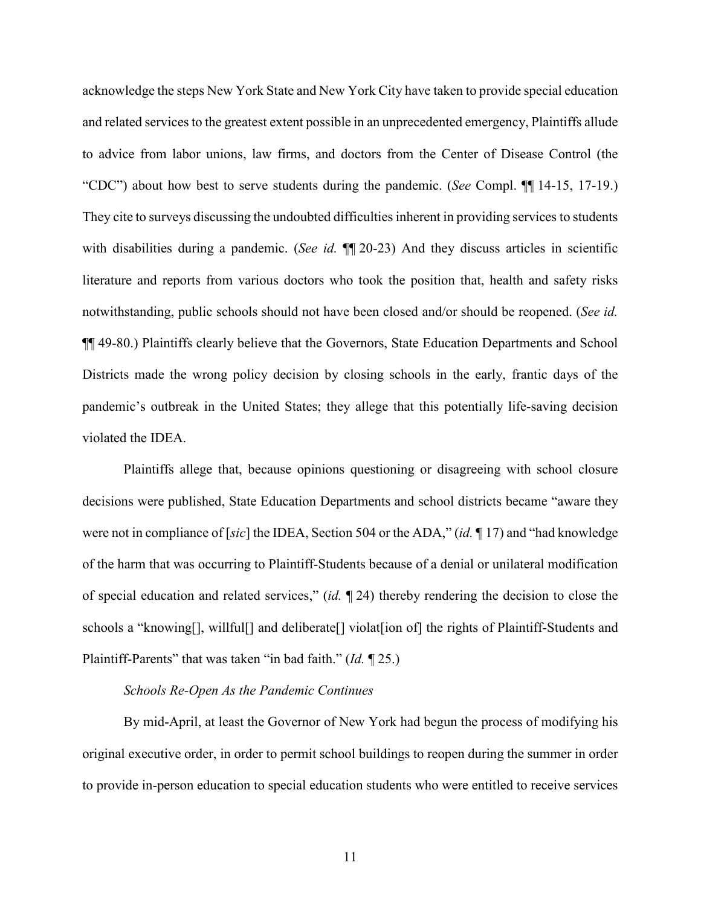acknowledge the steps New York State and New York City have taken to provide special education and related services to the greatest extent possible in an unprecedented emergency, Plaintiffs allude to advice from labor unions, law firms, and doctors from the Center of Disease Control (the "CDC") about how best to serve students during the pandemic. (*See* Compl. ¶¶ 14-15, 17-19.) They cite to surveys discussing the undoubted difficulties inherent in providing services to students with disabilities during a pandemic. (*See id.*  $\P$  20-23) And they discuss articles in scientific literature and reports from various doctors who took the position that, health and safety risks notwithstanding, public schools should not have been closed and/or should be reopened. (*See id.* ¶¶ 49-80.) Plaintiffs clearly believe that the Governors, State Education Departments and School Districts made the wrong policy decision by closing schools in the early, frantic days of the pandemic's outbreak in the United States; they allege that this potentially life-saving decision violated the IDEA.

Plaintiffs allege that, because opinions questioning or disagreeing with school closure decisions were published, State Education Departments and school districts became "aware they were not in compliance of [*sic*] the IDEA, Section 504 or the ADA," (*id.* ¶ 17) and "had knowledge of the harm that was occurring to Plaintiff-Students because of a denial or unilateral modification of special education and related services," (*id.* ¶ 24) thereby rendering the decision to close the schools a "knowing[], willful[] and deliberate[] violat[ion of] the rights of Plaintiff-Students and Plaintiff-Parents" that was taken "in bad faith." (*Id.* ¶ 25.)

#### *Schools Re-Open As the Pandemic Continues*

By mid-April, at least the Governor of New York had begun the process of modifying his original executive order, in order to permit school buildings to reopen during the summer in order to provide in-person education to special education students who were entitled to receive services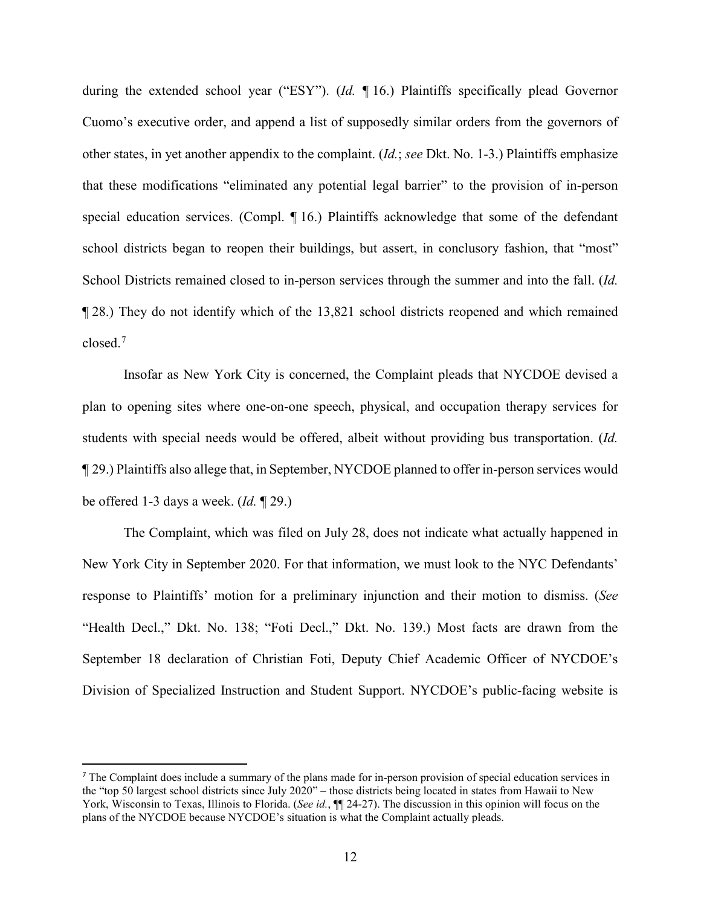during the extended school year ("ESY"). (*Id.* ¶ 16.) Plaintiffs specifically plead Governor Cuomo's executive order, and append a list of supposedly similar orders from the governors of other states, in yet another appendix to the complaint. (*Id.*; *see* Dkt. No. 1-3.) Plaintiffs emphasize that these modifications "eliminated any potential legal barrier" to the provision of in-person special education services. (Compl. ¶ 16.) Plaintiffs acknowledge that some of the defendant school districts began to reopen their buildings, but assert, in conclusory fashion, that "most" School Districts remained closed to in-person services through the summer and into the fall. (*Id.* ¶ 28.) They do not identify which of the 13,821 school districts reopened and which remained closed.[7](#page-11-0)

Insofar as New York City is concerned, the Complaint pleads that NYCDOE devised a plan to opening sites where one-on-one speech, physical, and occupation therapy services for students with special needs would be offered, albeit without providing bus transportation. (*Id.* ¶ 29.) Plaintiffs also allege that, in September, NYCDOE planned to offer in-person services would be offered 1-3 days a week. (*Id.* ¶ 29.)

The Complaint, which was filed on July 28, does not indicate what actually happened in New York City in September 2020. For that information, we must look to the NYC Defendants' response to Plaintiffs' motion for a preliminary injunction and their motion to dismiss. (*See* "Health Decl.," Dkt. No. 138; "Foti Decl.," Dkt. No. 139.) Most facts are drawn from the September 18 declaration of Christian Foti, Deputy Chief Academic Officer of NYCDOE's Division of Specialized Instruction and Student Support. NYCDOE's public-facing website is

<span id="page-11-0"></span><sup>&</sup>lt;sup>7</sup> The Complaint does include a summary of the plans made for in-person provision of special education services in the "top 50 largest school districts since July 2020" – those districts being located in states from Hawaii to New York, Wisconsin to Texas, Illinois to Florida. (*See id.*,  $\P\P$  24-27). The discussion in this opinion will focus on the plans of the NYCDOE because NYCDOE's situation is what the Complaint actually pleads.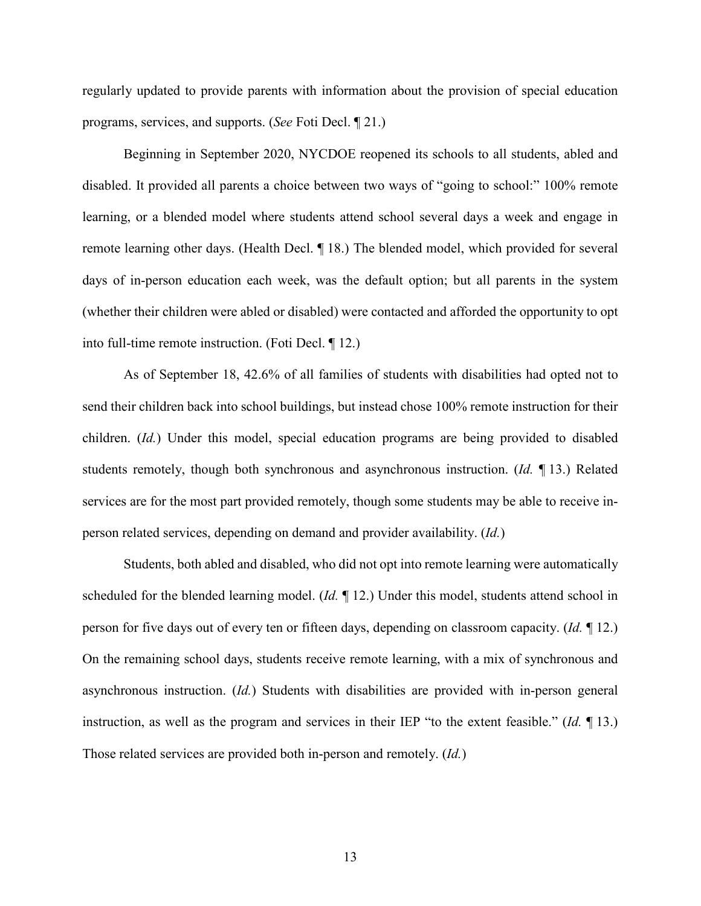regularly updated to provide parents with information about the provision of special education programs, services, and supports. (*See* Foti Decl. ¶ 21.)

Beginning in September 2020, NYCDOE reopened its schools to all students, abled and disabled. It provided all parents a choice between two ways of "going to school:" 100% remote learning, or a blended model where students attend school several days a week and engage in remote learning other days. (Health Decl. ¶ 18.) The blended model, which provided for several days of in-person education each week, was the default option; but all parents in the system (whether their children were abled or disabled) were contacted and afforded the opportunity to opt into full-time remote instruction. (Foti Decl. ¶ 12.)

As of September 18, 42.6% of all families of students with disabilities had opted not to send their children back into school buildings, but instead chose 100% remote instruction for their children. (*Id.*) Under this model, special education programs are being provided to disabled students remotely, though both synchronous and asynchronous instruction. (*Id.* ¶ 13.) Related services are for the most part provided remotely, though some students may be able to receive inperson related services, depending on demand and provider availability. (*Id.*)

Students, both abled and disabled, who did not opt into remote learning were automatically scheduled for the blended learning model. (*Id.* ¶ 12.) Under this model, students attend school in person for five days out of every ten or fifteen days, depending on classroom capacity. (*Id.* ¶ 12.) On the remaining school days, students receive remote learning, with a mix of synchronous and asynchronous instruction. (*Id.*) Students with disabilities are provided with in-person general instruction, as well as the program and services in their IEP "to the extent feasible." (*Id.* ¶ 13.) Those related services are provided both in-person and remotely. (*Id.*)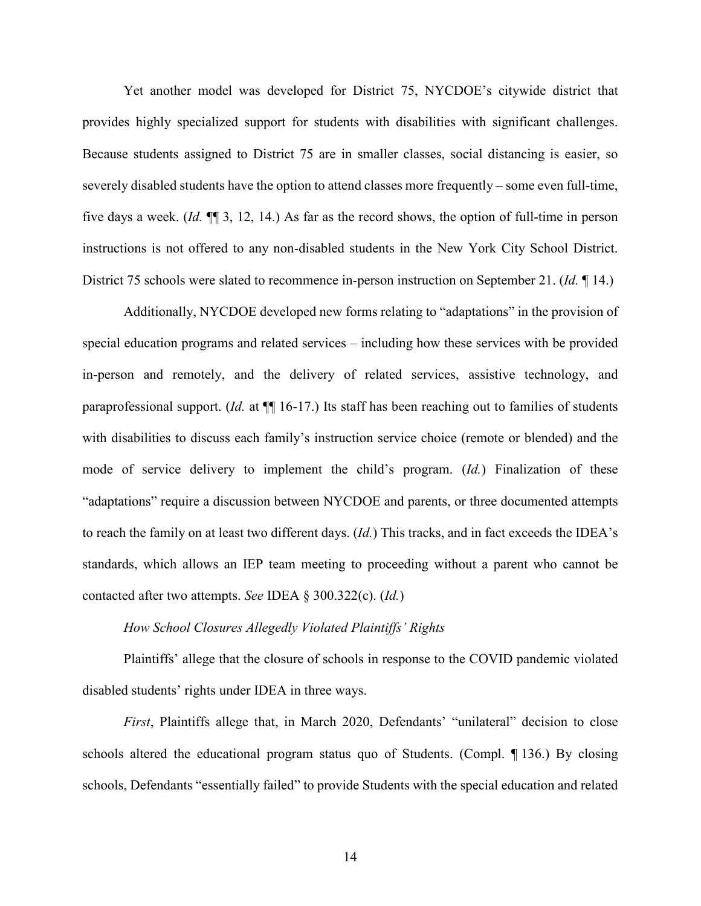Yet another model was developed for District 75, NYCDOE's citywide district that provides highly specialized support for students with disabilities with significant challenges. Because students assigned to District 75 are in smaller classes, social distancing is easier, so severely disabled students have the option to attend classes more frequently – some even full-time, five days a week. (*Id.* ¶¶ 3, 12, 14.) As far as the record shows, the option of full-time in person instructions is not offered to any non-disabled students in the New York City School District. District 75 schools were slated to recommence in-person instruction on September 21. (*Id.* ¶ 14.)

Additionally, NYCDOE developed new forms relating to "adaptations" in the provision of special education programs and related services – including how these services with be provided in-person and remotely, and the delivery of related services, assistive technology, and paraprofessional support. (*Id.* at  $\P$ [16-17.) Its staff has been reaching out to families of students with disabilities to discuss each family's instruction service choice (remote or blended) and the mode of service delivery to implement the child's program. (*Id.*) Finalization of these "adaptations" require a discussion between NYCDOE and parents, or three documented attempts to reach the family on at least two different days. (*Id.*) This tracks, and in fact exceeds the IDEA's standards, which allows an IEP team meeting to proceeding without a parent who cannot be contacted after two attempts. *See* IDEA § 300.322(c). (*Id.*)

### *How School Closures Allegedly Violated Plaintiffs' Rights*

Plaintiffs' allege that the closure of schools in response to the COVID pandemic violated disabled students' rights under IDEA in three ways.

*First*, Plaintiffs allege that, in March 2020, Defendants' "unilateral" decision to close schools altered the educational program status quo of Students. (Compl. ¶ 136.) By closing schools, Defendants "essentially failed" to provide Students with the special education and related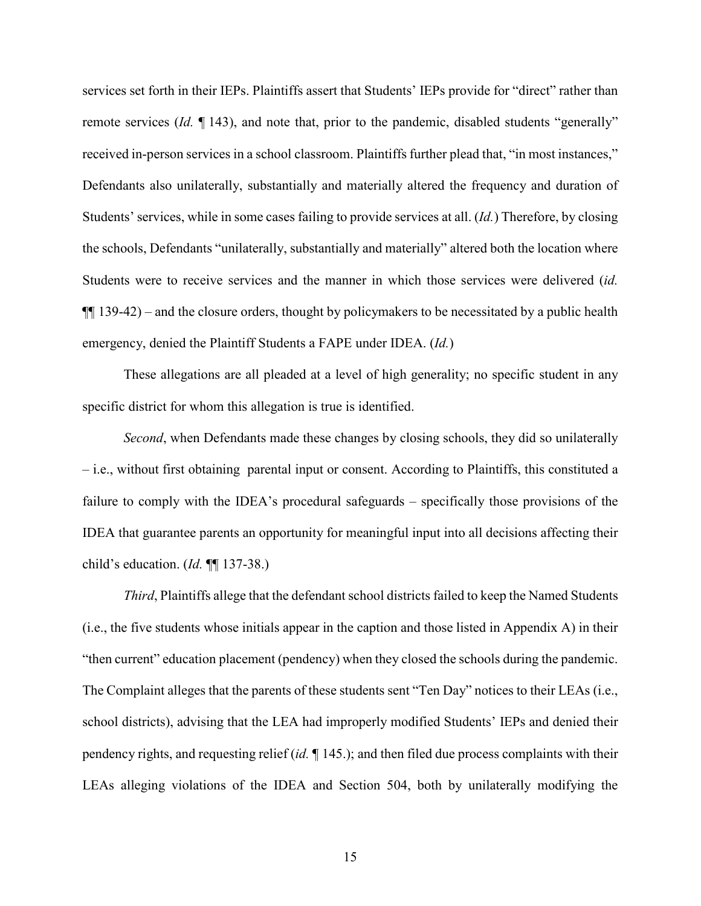services set forth in their IEPs. Plaintiffs assert that Students' IEPs provide for "direct" rather than remote services (*Id.* ¶ 143), and note that, prior to the pandemic, disabled students "generally" received in-person services in a school classroom. Plaintiffs further plead that, "in most instances," Defendants also unilaterally, substantially and materially altered the frequency and duration of Students' services, while in some cases failing to provide services at all. (*Id.*) Therefore, by closing the schools, Defendants "unilaterally, substantially and materially" altered both the location where Students were to receive services and the manner in which those services were delivered (*id.*  $\P$  139-42) – and the closure orders, thought by policymakers to be necessitated by a public health emergency, denied the Plaintiff Students a FAPE under IDEA. (*Id.*)

These allegations are all pleaded at a level of high generality; no specific student in any specific district for whom this allegation is true is identified.

*Second*, when Defendants made these changes by closing schools, they did so unilaterally – i.e., without first obtaining parental input or consent. According to Plaintiffs, this constituted a failure to comply with the IDEA's procedural safeguards – specifically those provisions of the IDEA that guarantee parents an opportunity for meaningful input into all decisions affecting their child's education. (*Id.* ¶¶ 137-38.)

*Third*, Plaintiffs allege that the defendant school districts failed to keep the Named Students (i.e., the five students whose initials appear in the caption and those listed in Appendix A) in their "then current" education placement (pendency) when they closed the schools during the pandemic. The Complaint alleges that the parents of these students sent "Ten Day" notices to their LEAs (i.e., school districts), advising that the LEA had improperly modified Students' IEPs and denied their pendency rights, and requesting relief (*id.* ¶ 145.); and then filed due process complaints with their LEAs alleging violations of the IDEA and Section 504, both by unilaterally modifying the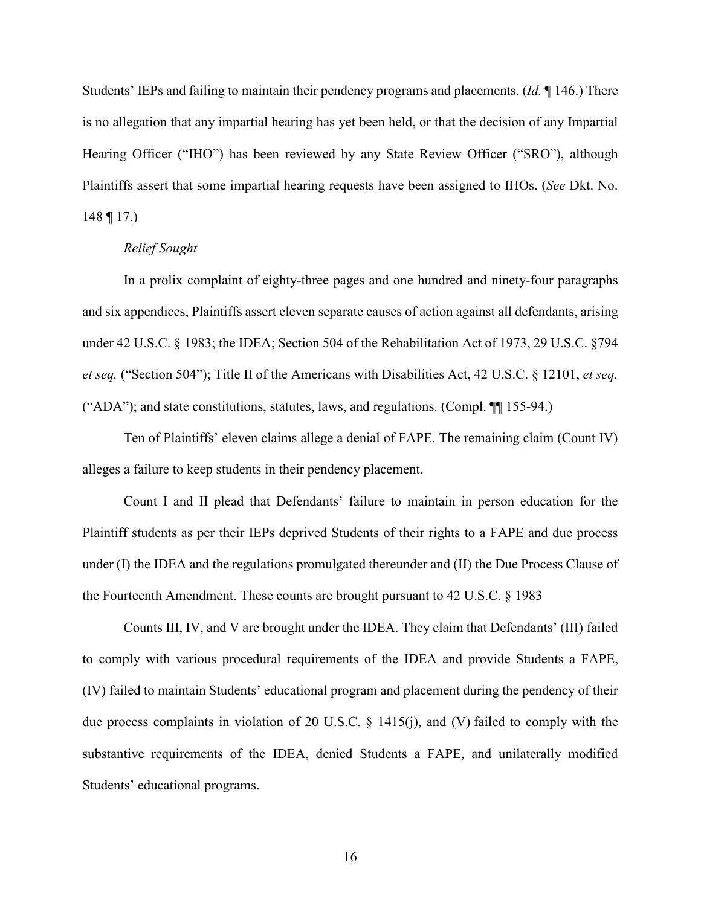Students' IEPs and failing to maintain their pendency programs and placements. (*Id.* ¶ 146.) There is no allegation that any impartial hearing has yet been held, or that the decision of any Impartial Hearing Officer ("IHO") has been reviewed by any State Review Officer ("SRO"), although Plaintiffs assert that some impartial hearing requests have been assigned to IHOs. (*See* Dkt. No.  $148 \text{ } \text{T}$  17.)

### *Relief Sought*

In a prolix complaint of eighty-three pages and one hundred and ninety-four paragraphs and six appendices, Plaintiffs assert eleven separate causes of action against all defendants, arising under 42 U.S.C. § 1983; the IDEA; Section 504 of the Rehabilitation Act of 1973, 29 U.S.C. §794 *et seq.* ("Section 504"); Title II of the Americans with Disabilities Act, 42 U.S.C. § 12101, *et seq.* ("ADA"); and state constitutions, statutes, laws, and regulations. (Compl. ¶¶ 155-94.)

Ten of Plaintiffs' eleven claims allege a denial of FAPE. The remaining claim (Count IV) alleges a failure to keep students in their pendency placement.

Count I and II plead that Defendants' failure to maintain in person education for the Plaintiff students as per their IEPs deprived Students of their rights to a FAPE and due process under (I) the IDEA and the regulations promulgated thereunder and (II) the Due Process Clause of the Fourteenth Amendment. These counts are brought pursuant to 42 U.S.C. § 1983

Counts III, IV, and V are brought under the IDEA. They claim that Defendants' (III) failed to comply with various procedural requirements of the IDEA and provide Students a FAPE, (IV) failed to maintain Students' educational program and placement during the pendency of their due process complaints in violation of 20 U.S.C. § 1415(j), and (V) failed to comply with the substantive requirements of the IDEA, denied Students a FAPE, and unilaterally modified Students' educational programs.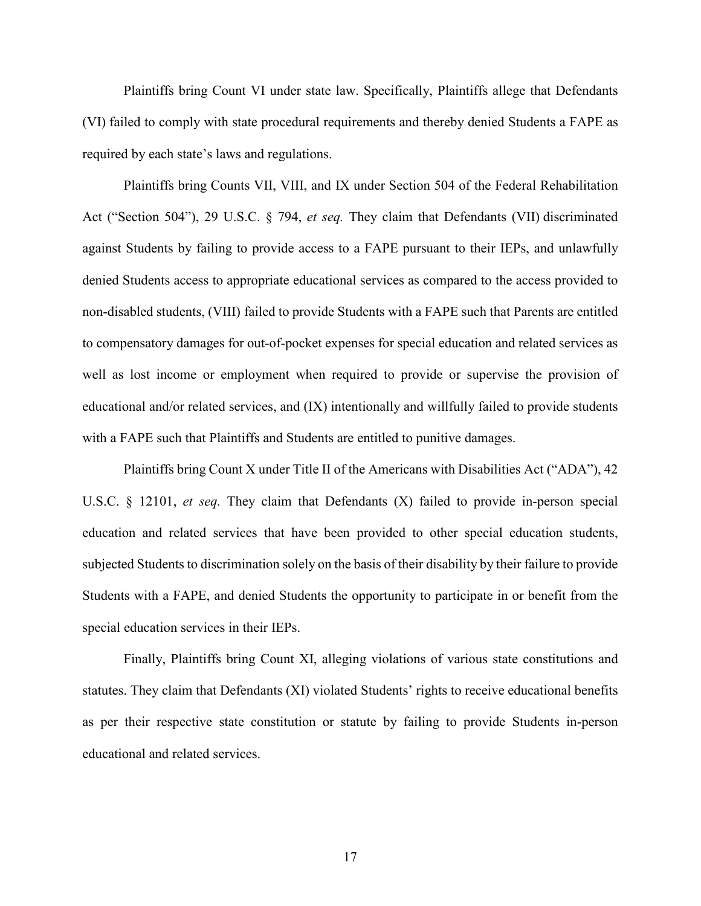Plaintiffs bring Count VI under state law. Specifically, Plaintiffs allege that Defendants (VI) failed to comply with state procedural requirements and thereby denied Students a FAPE as required by each state's laws and regulations.

Plaintiffs bring Counts VII, VIII, and IX under Section 504 of the Federal Rehabilitation Act ("Section 504"), 29 U.S.C. § 794, *et seq.* They claim that Defendants (VII) discriminated against Students by failing to provide access to a FAPE pursuant to their IEPs, and unlawfully denied Students access to appropriate educational services as compared to the access provided to non-disabled students, (VIII) failed to provide Students with a FAPE such that Parents are entitled to compensatory damages for out-of-pocket expenses for special education and related services as well as lost income or employment when required to provide or supervise the provision of educational and/or related services, and (IX) intentionally and willfully failed to provide students with a FAPE such that Plaintiffs and Students are entitled to punitive damages.

Plaintiffs bring Count X under Title II of the Americans with Disabilities Act ("ADA"), 42 U.S.C. § 12101, *et seq.* They claim that Defendants (X) failed to provide in-person special education and related services that have been provided to other special education students, subjected Students to discrimination solely on the basis of their disability by their failure to provide Students with a FAPE, and denied Students the opportunity to participate in or benefit from the special education services in their IEPs.

Finally, Plaintiffs bring Count XI, alleging violations of various state constitutions and statutes. They claim that Defendants (XI) violated Students' rights to receive educational benefits as per their respective state constitution or statute by failing to provide Students in-person educational and related services.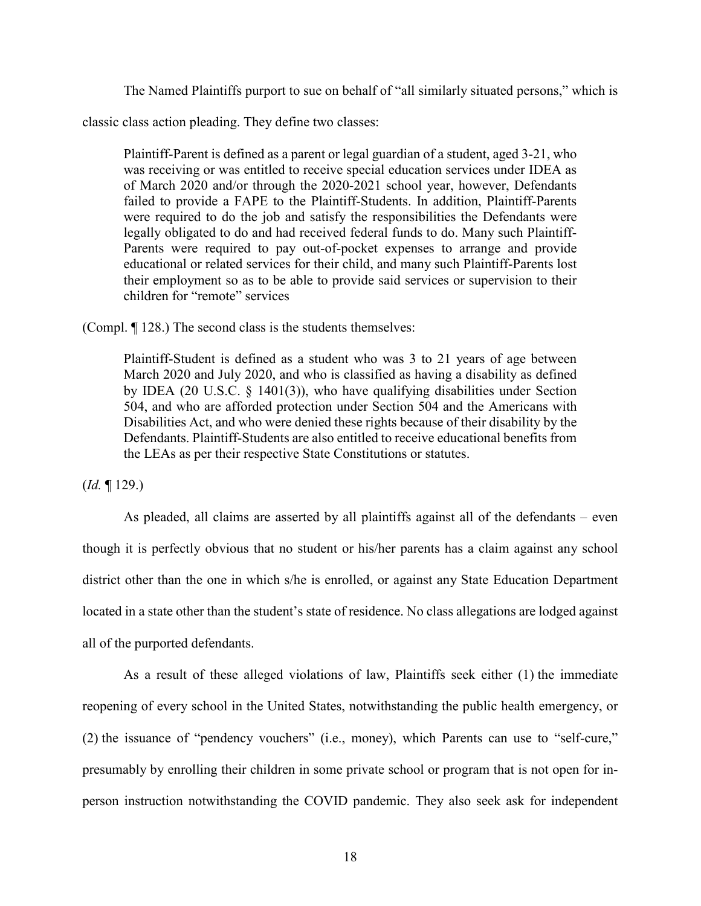The Named Plaintiffs purport to sue on behalf of "all similarly situated persons," which is

classic class action pleading. They define two classes:

Plaintiff-Parent is defined as a parent or legal guardian of a student, aged 3-21, who was receiving or was entitled to receive special education services under IDEA as of March 2020 and/or through the 2020-2021 school year, however, Defendants failed to provide a FAPE to the Plaintiff-Students. In addition, Plaintiff-Parents were required to do the job and satisfy the responsibilities the Defendants were legally obligated to do and had received federal funds to do. Many such Plaintiff-Parents were required to pay out-of-pocket expenses to arrange and provide educational or related services for their child, and many such Plaintiff-Parents lost their employment so as to be able to provide said services or supervision to their children for "remote" services

(Compl. ¶ 128.) The second class is the students themselves:

Plaintiff-Student is defined as a student who was 3 to 21 years of age between March 2020 and July 2020, and who is classified as having a disability as defined by IDEA (20 U.S.C. § 1401(3)), who have qualifying disabilities under Section 504, and who are afforded protection under Section 504 and the Americans with Disabilities Act, and who were denied these rights because of their disability by the Defendants. Plaintiff-Students are also entitled to receive educational benefits from the LEAs as per their respective State Constitutions or statutes.

(*Id.* ¶ 129.)

As pleaded, all claims are asserted by all plaintiffs against all of the defendants – even though it is perfectly obvious that no student or his/her parents has a claim against any school district other than the one in which s/he is enrolled, or against any State Education Department located in a state other than the student's state of residence. No class allegations are lodged against all of the purported defendants.

As a result of these alleged violations of law, Plaintiffs seek either (1) the immediate reopening of every school in the United States, notwithstanding the public health emergency, or (2) the issuance of "pendency vouchers" (i.e., money), which Parents can use to "self-cure," presumably by enrolling their children in some private school or program that is not open for inperson instruction notwithstanding the COVID pandemic. They also seek ask for independent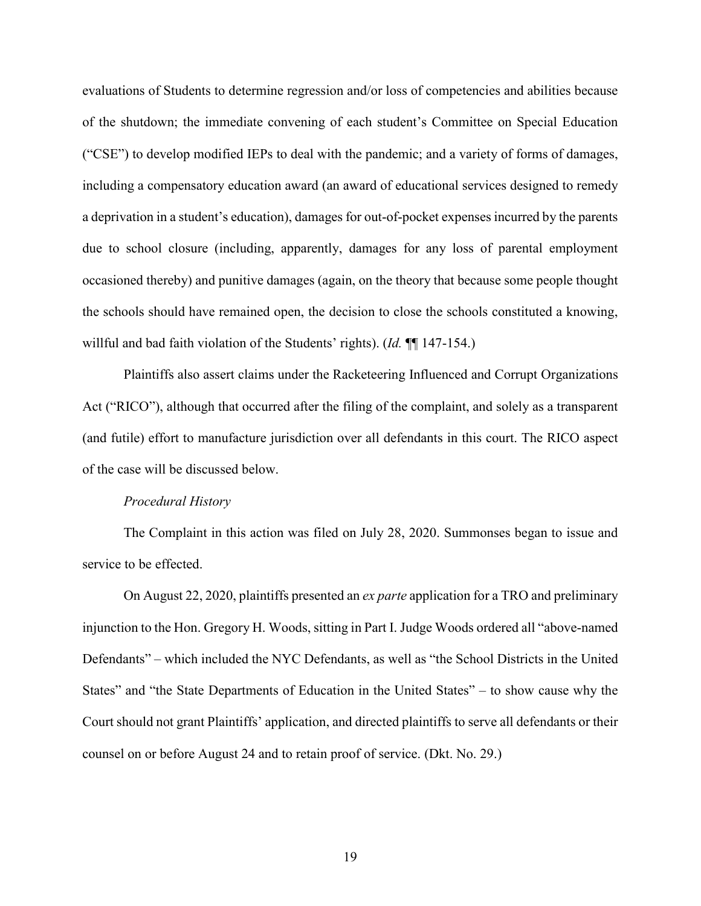evaluations of Students to determine regression and/or loss of competencies and abilities because of the shutdown; the immediate convening of each student's Committee on Special Education ("CSE") to develop modified IEPs to deal with the pandemic; and a variety of forms of damages, including a compensatory education award (an award of educational services designed to remedy a deprivation in a student's education), damages for out-of-pocket expenses incurred by the parents due to school closure (including, apparently, damages for any loss of parental employment occasioned thereby) and punitive damages (again, on the theory that because some people thought the schools should have remained open, the decision to close the schools constituted a knowing, willful and bad faith violation of the Students' rights). (*Id.* ¶¶ 147-154.)

Plaintiffs also assert claims under the Racketeering Influenced and Corrupt Organizations Act ("RICO"), although that occurred after the filing of the complaint, and solely as a transparent (and futile) effort to manufacture jurisdiction over all defendants in this court. The RICO aspect of the case will be discussed below.

#### *Procedural History*

The Complaint in this action was filed on July 28, 2020. Summonses began to issue and service to be effected.

On August 22, 2020, plaintiffs presented an *ex parte* application for a TRO and preliminary injunction to the Hon. Gregory H. Woods, sitting in Part I. Judge Woods ordered all "above-named Defendants" – which included the NYC Defendants, as well as "the School Districts in the United States" and "the State Departments of Education in the United States" – to show cause why the Court should not grant Plaintiffs' application, and directed plaintiffs to serve all defendants or their counsel on or before August 24 and to retain proof of service. (Dkt. No. 29.)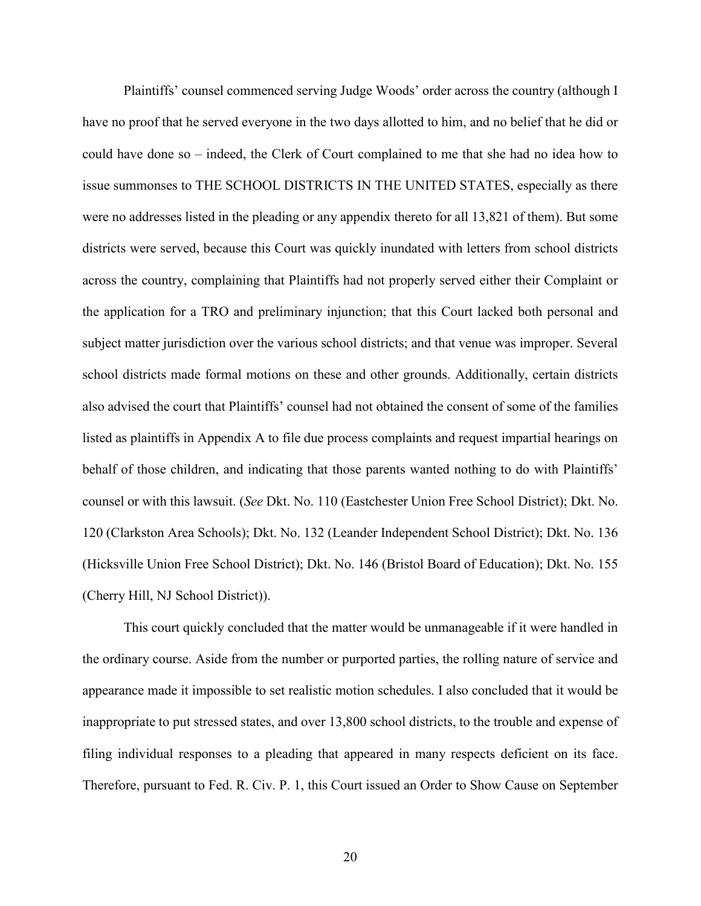Plaintiffs' counsel commenced serving Judge Woods' order across the country (although I have no proof that he served everyone in the two days allotted to him, and no belief that he did or could have done so – indeed, the Clerk of Court complained to me that she had no idea how to issue summonses to THE SCHOOL DISTRICTS IN THE UNITED STATES, especially as there were no addresses listed in the pleading or any appendix thereto for all 13,821 of them). But some districts were served, because this Court was quickly inundated with letters from school districts across the country, complaining that Plaintiffs had not properly served either their Complaint or the application for a TRO and preliminary injunction; that this Court lacked both personal and subject matter jurisdiction over the various school districts; and that venue was improper. Several school districts made formal motions on these and other grounds. Additionally, certain districts also advised the court that Plaintiffs' counsel had not obtained the consent of some of the families listed as plaintiffs in Appendix A to file due process complaints and request impartial hearings on behalf of those children, and indicating that those parents wanted nothing to do with Plaintiffs' counsel or with this lawsuit. (*See* Dkt. No. 110 (Eastchester Union Free School District); Dkt. No. 120 (Clarkston Area Schools); Dkt. No. 132 (Leander Independent School District); Dkt. No. 136 (Hicksville Union Free School District); Dkt. No. 146 (Bristol Board of Education); Dkt. No. 155 (Cherry Hill, NJ School District)).

This court quickly concluded that the matter would be unmanageable if it were handled in the ordinary course. Aside from the number or purported parties, the rolling nature of service and appearance made it impossible to set realistic motion schedules. I also concluded that it would be inappropriate to put stressed states, and over 13,800 school districts, to the trouble and expense of filing individual responses to a pleading that appeared in many respects deficient on its face. Therefore, pursuant to Fed. R. Civ. P. 1, this Court issued an Order to Show Cause on September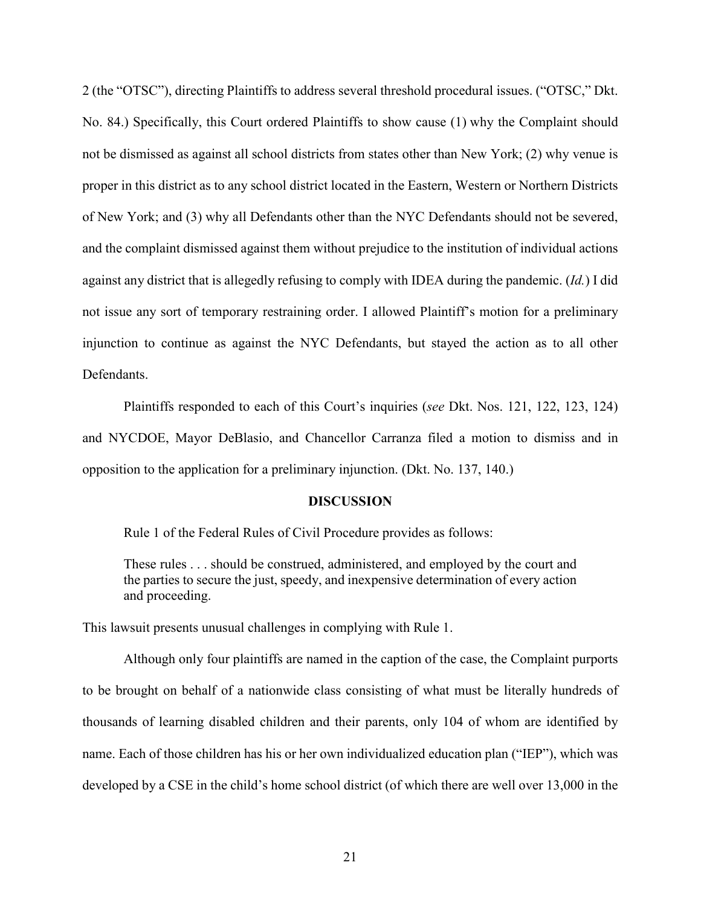2 (the "OTSC"), directing Plaintiffs to address several threshold procedural issues. ("OTSC," Dkt. No. 84.) Specifically, this Court ordered Plaintiffs to show cause (1) why the Complaint should not be dismissed as against all school districts from states other than New York; (2) why venue is proper in this district as to any school district located in the Eastern, Western or Northern Districts of New York; and (3) why all Defendants other than the NYC Defendants should not be severed, and the complaint dismissed against them without prejudice to the institution of individual actions against any district that is allegedly refusing to comply with IDEA during the pandemic. (*Id.*) I did not issue any sort of temporary restraining order. I allowed Plaintiff's motion for a preliminary injunction to continue as against the NYC Defendants, but stayed the action as to all other Defendants.

Plaintiffs responded to each of this Court's inquiries (*see* Dkt. Nos. 121, 122, 123, 124) and NYCDOE, Mayor DeBlasio, and Chancellor Carranza filed a motion to dismiss and in opposition to the application for a preliminary injunction. (Dkt. No. 137, 140.)

### **DISCUSSION**

Rule 1 of the Federal Rules of Civil Procedure provides as follows:

These rules . . . should be construed, administered, and employed by the court and the parties to secure the just, speedy, and inexpensive determination of every action and proceeding.

This lawsuit presents unusual challenges in complying with Rule 1.

Although only four plaintiffs are named in the caption of the case, the Complaint purports to be brought on behalf of a nationwide class consisting of what must be literally hundreds of thousands of learning disabled children and their parents, only 104 of whom are identified by name. Each of those children has his or her own individualized education plan ("IEP"), which was developed by a CSE in the child's home school district (of which there are well over 13,000 in the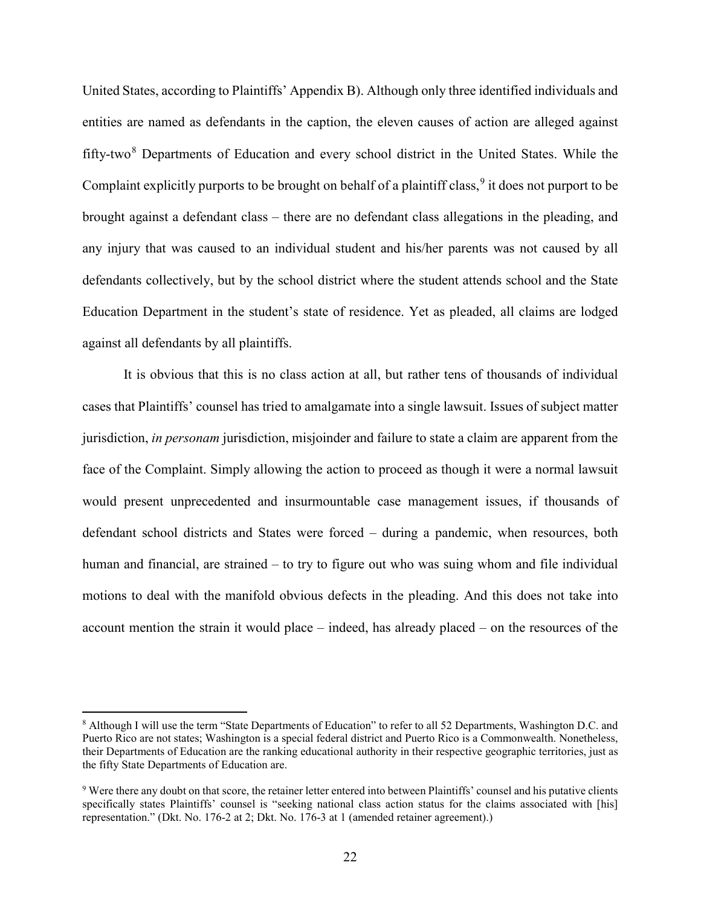United States, according to Plaintiffs' Appendix B). Although only three identified individuals and entities are named as defendants in the caption, the eleven causes of action are alleged against fifty-two $8$  Departments of Education and every school district in the United States. While the Complaint explicitly purports to be brought on behalf of a plaintiff class,  $\frac{9}{3}$  $\frac{9}{3}$  $\frac{9}{3}$  it does not purport to be brought against a defendant class – there are no defendant class allegations in the pleading, and any injury that was caused to an individual student and his/her parents was not caused by all defendants collectively, but by the school district where the student attends school and the State Education Department in the student's state of residence. Yet as pleaded, all claims are lodged against all defendants by all plaintiffs.

It is obvious that this is no class action at all, but rather tens of thousands of individual cases that Plaintiffs' counsel has tried to amalgamate into a single lawsuit. Issues of subject matter jurisdiction, *in personam* jurisdiction, misjoinder and failure to state a claim are apparent from the face of the Complaint. Simply allowing the action to proceed as though it were a normal lawsuit would present unprecedented and insurmountable case management issues, if thousands of defendant school districts and States were forced – during a pandemic, when resources, both human and financial, are strained – to try to figure out who was suing whom and file individual motions to deal with the manifold obvious defects in the pleading. And this does not take into account mention the strain it would place – indeed, has already placed – on the resources of the

l

<span id="page-21-0"></span><sup>8</sup> Although I will use the term "State Departments of Education" to refer to all 52 Departments, Washington D.C. and Puerto Rico are not states; Washington is a special federal district and Puerto Rico is a Commonwealth. Nonetheless, their Departments of Education are the ranking educational authority in their respective geographic territories, just as the fifty State Departments of Education are.

<span id="page-21-1"></span><sup>9</sup> Were there any doubt on that score, the retainer letter entered into between Plaintiffs' counsel and his putative clients specifically states Plaintiffs' counsel is "seeking national class action status for the claims associated with [his] representation." (Dkt. No. 176-2 at 2; Dkt. No. 176-3 at 1 (amended retainer agreement).)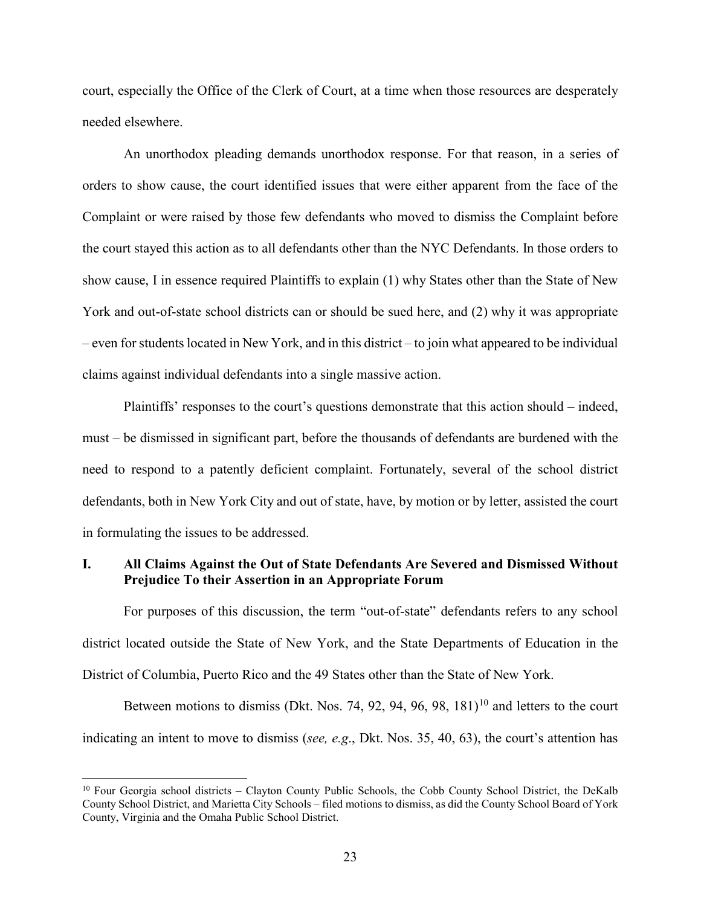court, especially the Office of the Clerk of Court, at a time when those resources are desperately needed elsewhere.

An unorthodox pleading demands unorthodox response. For that reason, in a series of orders to show cause, the court identified issues that were either apparent from the face of the Complaint or were raised by those few defendants who moved to dismiss the Complaint before the court stayed this action as to all defendants other than the NYC Defendants. In those orders to show cause, I in essence required Plaintiffs to explain (1) why States other than the State of New York and out-of-state school districts can or should be sued here, and (2) why it was appropriate  $-$  even for students located in New York, and in this district – to join what appeared to be individual claims against individual defendants into a single massive action.

Plaintiffs' responses to the court's questions demonstrate that this action should – indeed, must – be dismissed in significant part, before the thousands of defendants are burdened with the need to respond to a patently deficient complaint. Fortunately, several of the school district defendants, both in New York City and out of state, have, by motion or by letter, assisted the court in formulating the issues to be addressed.

## **I. All Claims Against the Out of State Defendants Are Severed and Dismissed Without Prejudice To their Assertion in an Appropriate Forum**

For purposes of this discussion, the term "out-of-state" defendants refers to any school district located outside the State of New York, and the State Departments of Education in the District of Columbia, Puerto Rico and the 49 States other than the State of New York.

Between motions to dismiss (Dkt. Nos. 74, 92, 94, 96, 98,  $181$ )<sup>[10](#page-22-0)</sup> and letters to the court indicating an intent to move to dismiss (*see, e.g*., Dkt. Nos. 35, 40, 63), the court's attention has

l

<span id="page-22-0"></span><sup>&</sup>lt;sup>10</sup> Four Georgia school districts – Clayton County Public Schools, the Cobb County School District, the DeKalb County School District, and Marietta City Schools – filed motions to dismiss, as did the County School Board of York County, Virginia and the Omaha Public School District.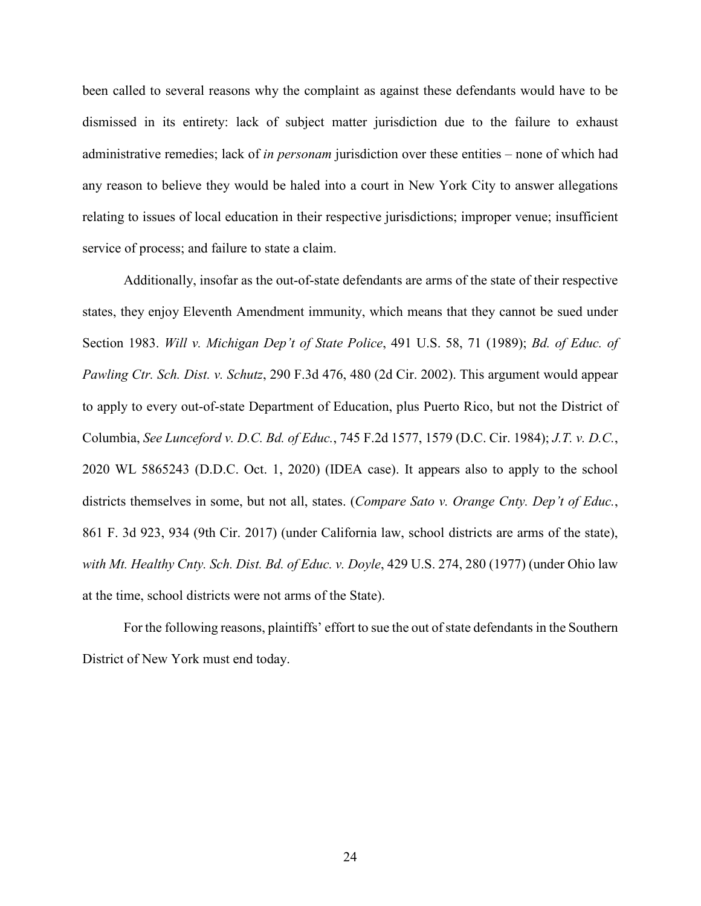been called to several reasons why the complaint as against these defendants would have to be dismissed in its entirety: lack of subject matter jurisdiction due to the failure to exhaust administrative remedies; lack of *in personam* jurisdiction over these entities – none of which had any reason to believe they would be haled into a court in New York City to answer allegations relating to issues of local education in their respective jurisdictions; improper venue; insufficient service of process; and failure to state a claim.

Additionally, insofar as the out-of-state defendants are arms of the state of their respective states, they enjoy Eleventh Amendment immunity, which means that they cannot be sued under Section 1983. *Will v. Michigan Dep't of State Police*, 491 U.S. 58, 71 (1989); *Bd. of Educ. of Pawling Ctr. Sch. Dist. v. Schutz*, 290 F.3d 476, 480 (2d Cir. 2002). This argument would appear to apply to every out-of-state Department of Education, plus Puerto Rico, but not the District of Columbia, *See Lunceford v. D.C. Bd. of Educ.*, 745 F.2d 1577, 1579 (D.C. Cir. 1984); *J.T. v. D.C.*, 2020 WL 5865243 (D.D.C. Oct. 1, 2020) (IDEA case). It appears also to apply to the school districts themselves in some, but not all, states. (*Compare Sato v. Orange Cnty. Dep't of Educ.*, 861 F. 3d 923, 934 (9th Cir. 2017) (under California law, school districts are arms of the state), *with Mt. Healthy Cnty. Sch. Dist. Bd. of Educ. v. Doyle*, 429 U.S. 274, 280 (1977) (under Ohio law at the time, school districts were not arms of the State).

For the following reasons, plaintiffs' effort to sue the out of state defendants in the Southern District of New York must end today.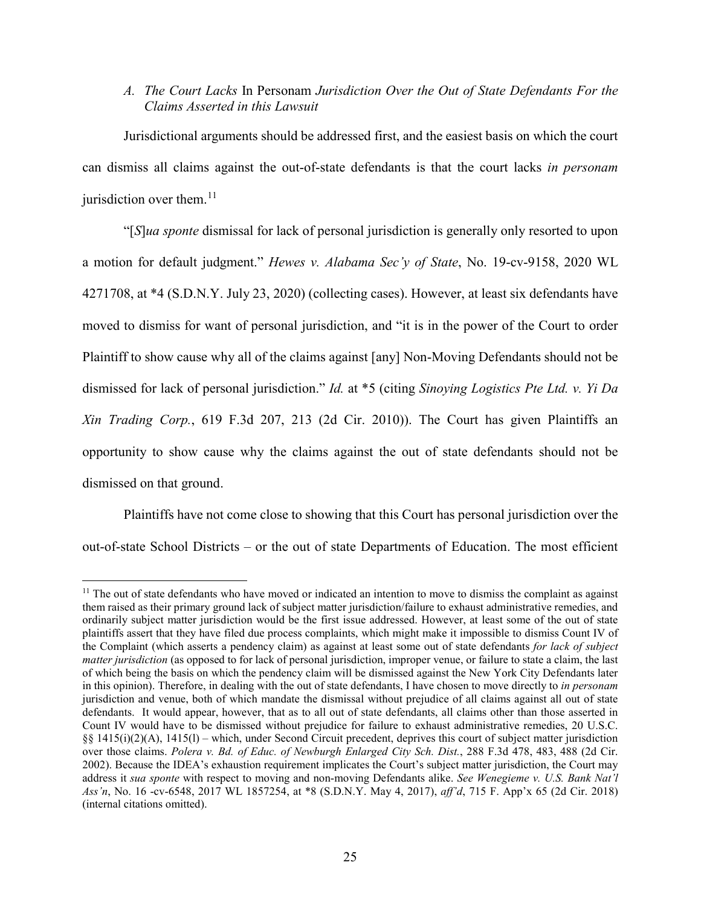# *A. The Court Lacks* In Personam *Jurisdiction Over the Out of State Defendants For the Claims Asserted in this Lawsuit*

Jurisdictional arguments should be addressed first, and the easiest basis on which the court can dismiss all claims against the out-of-state defendants is that the court lacks *in personam* jurisdiction over them. $^{11}$  $^{11}$  $^{11}$ 

"[*S*]*ua sponte* dismissal for lack of personal jurisdiction is generally only resorted to upon a motion for default judgment." *Hewes v. Alabama Sec'y of State*, No. 19-cv-9158, 2020 WL 4271708, at \*4 (S.D.N.Y. July 23, 2020) (collecting cases). However, at least six defendants have moved to dismiss for want of personal jurisdiction, and "it is in the power of the Court to order Plaintiff to show cause why all of the claims against [any] Non-Moving Defendants should not be dismissed for lack of personal jurisdiction." *Id.* at \*5 (citing *Sinoying Logistics Pte Ltd. v. Yi Da Xin Trading Corp.*, 619 F.3d 207, 213 (2d Cir. 2010)). The Court has given Plaintiffs an opportunity to show cause why the claims against the out of state defendants should not be dismissed on that ground.

Plaintiffs have not come close to showing that this Court has personal jurisdiction over the out-of-state School Districts – or the out of state Departments of Education. The most efficient

<span id="page-24-0"></span> $\overline{a}$  $11$  The out of state defendants who have moved or indicated an intention to move to dismiss the complaint as against them raised as their primary ground lack of subject matter jurisdiction/failure to exhaust administrative remedies, and ordinarily subject matter jurisdiction would be the first issue addressed. However, at least some of the out of state plaintiffs assert that they have filed due process complaints, which might make it impossible to dismiss Count IV of the Complaint (which asserts a pendency claim) as against at least some out of state defendants *for lack of subject matter jurisdiction* (as opposed to for lack of personal jurisdiction, improper venue, or failure to state a claim, the last of which being the basis on which the pendency claim will be dismissed against the New York City Defendants later in this opinion). Therefore, in dealing with the out of state defendants, I have chosen to move directly to *in personam* jurisdiction and venue, both of which mandate the dismissal without prejudice of all claims against all out of state defendants. It would appear, however, that as to all out of state defendants, all claims other than those asserted in Count IV would have to be dismissed without prejudice for failure to exhaust administrative remedies, 20 U.S.C. §§ 1415(i)(2)(A), 1415(l) – which, under Second Circuit precedent, deprives this court of subject matter jurisdiction over those claims. *Polera v. Bd. of Educ. of Newburgh Enlarged City Sch. Dist.*, 288 F.3d 478, 483, 488 (2d Cir. 2002). Because the IDEA's exhaustion requirement implicates the Court's subject matter jurisdiction, the Court may address it *sua sponte* with respect to moving and non-moving Defendants alike. *See Wenegieme v. U.S. Bank Nat'l Ass'n*, No. 16 -cv-6548, 2017 WL 1857254, at \*8 (S.D.N.Y. May 4, 2017), *aff'd*, 715 F. App'x 65 (2d Cir. 2018) (internal citations omitted).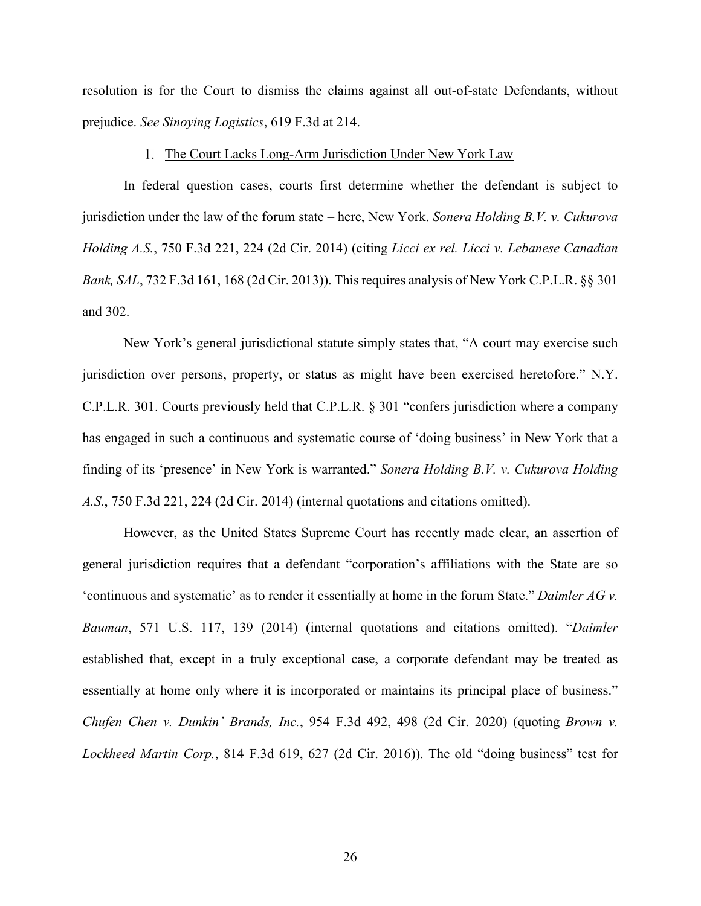resolution is for the Court to dismiss the claims against all out-of-state Defendants, without prejudice. *See Sinoying Logistics*, 619 F.3d at 214.

### 1. The Court Lacks Long-Arm Jurisdiction Under New York Law

In federal question cases, courts first determine whether the defendant is subject to jurisdiction under the law of the forum state – here, New York. *Sonera Holding B.V. v. Cukurova Holding A.S.*, 750 F.3d 221, 224 (2d Cir. 2014) (citing *Licci ex rel. Licci v. Lebanese Canadian Bank, SAL*, 732 F.3d 161, 168 (2d Cir. 2013)). This requires analysis of New York C.P.L.R. §§ 301 and 302.

New York's general jurisdictional statute simply states that, "A court may exercise such jurisdiction over persons, property, or status as might have been exercised heretofore." N.Y. C.P.L.R. 301. Courts previously held that C.P.L.R. § 301 "confers jurisdiction where a company has engaged in such a continuous and systematic course of 'doing business' in New York that a finding of its 'presence' in New York is warranted." *Sonera Holding B.V. v. Cukurova Holding A.S.*, 750 F.3d 221, 224 (2d Cir. 2014) (internal quotations and citations omitted).

However, as the United States Supreme Court has recently made clear, an assertion of general jurisdiction requires that a defendant "corporation's affiliations with the State are so 'continuous and systematic' as to render it essentially at home in the forum State." *Daimler AG v. Bauman*, 571 U.S. 117, 139 (2014) (internal quotations and citations omitted). "*Daimler* established that, except in a truly exceptional case, a corporate defendant may be treated as essentially at home only where it is incorporated or maintains its principal place of business." *Chufen Chen v. Dunkin' Brands, Inc.*, 954 F.3d 492, 498 (2d Cir. 2020) (quoting *Brown v. Lockheed Martin Corp.*, 814 F.3d 619, 627 (2d Cir. 2016)). The old "doing business" test for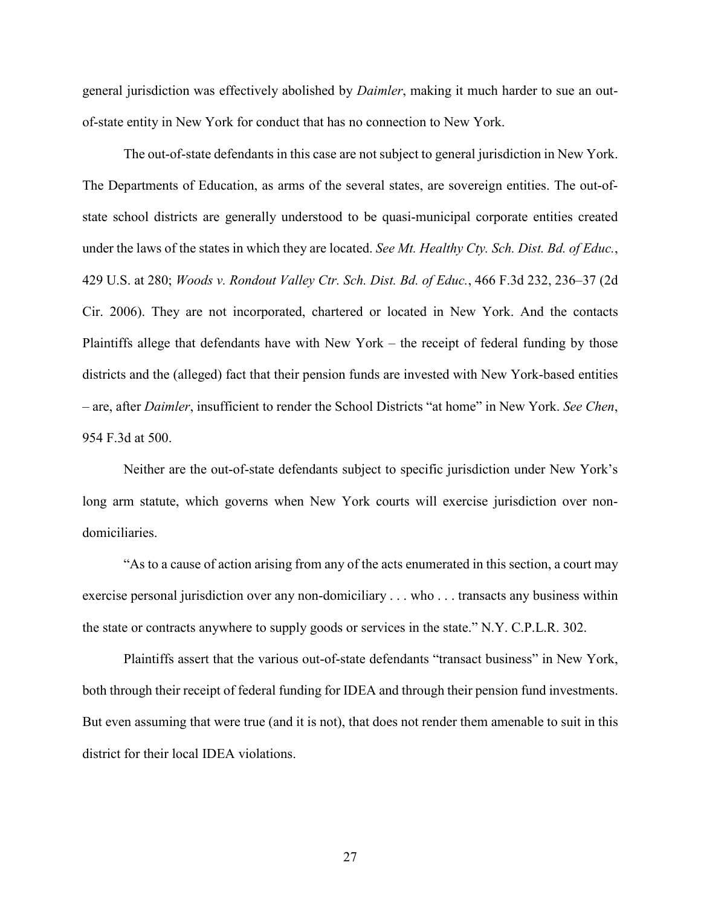general jurisdiction was effectively abolished by *Daimler*, making it much harder to sue an outof-state entity in New York for conduct that has no connection to New York.

The out-of-state defendants in this case are not subject to general jurisdiction in New York. The Departments of Education, as arms of the several states, are sovereign entities. The out-ofstate school districts are generally understood to be quasi-municipal corporate entities created under the laws of the states in which they are located. *See Mt. Healthy Cty. Sch. Dist. Bd. of Educ.*, 429 U.S. at 280; *Woods v. Rondout Valley Ctr. Sch. Dist. Bd. of Educ.*, 466 F.3d 232, 236–37 (2d Cir. 2006). They are not incorporated, chartered or located in New York. And the contacts Plaintiffs allege that defendants have with New York – the receipt of federal funding by those districts and the (alleged) fact that their pension funds are invested with New York-based entities – are, after *Daimler*, insufficient to render the School Districts "at home" in New York. *See Chen*, 954 F.3d at 500.

Neither are the out-of-state defendants subject to specific jurisdiction under New York's long arm statute, which governs when New York courts will exercise jurisdiction over nondomiciliaries.

"As to a cause of action arising from any of the acts enumerated in this section, a court may exercise personal jurisdiction over any non-domiciliary . . . who . . . transacts any business within the state or contracts anywhere to supply goods or services in the state." N.Y. C.P.L.R. 302.

Plaintiffs assert that the various out-of-state defendants "transact business" in New York, both through their receipt of federal funding for IDEA and through their pension fund investments. But even assuming that were true (and it is not), that does not render them amenable to suit in this district for their local IDEA violations.

27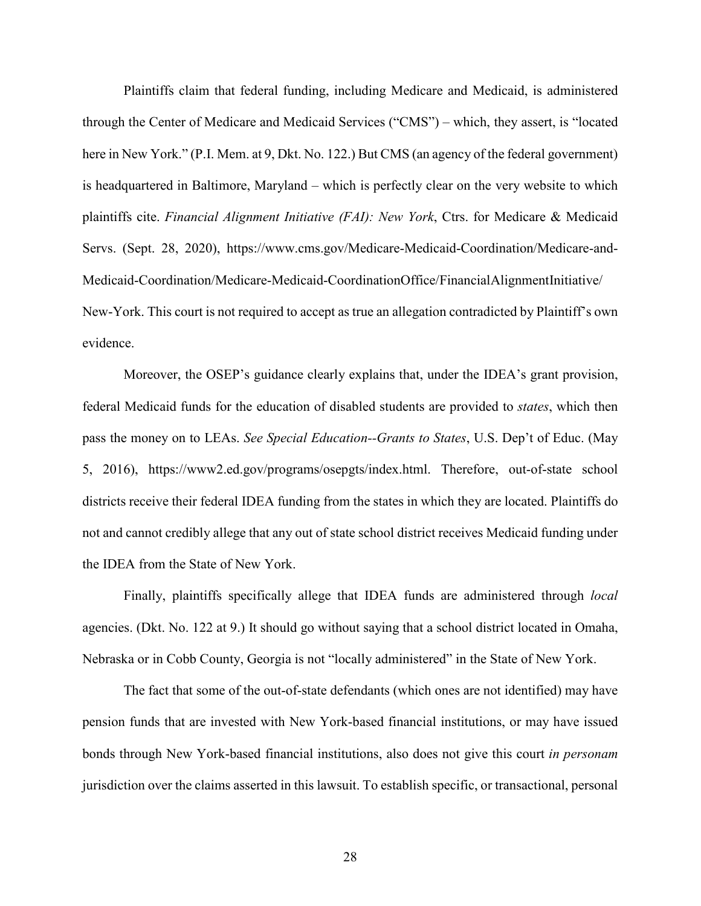Plaintiffs claim that federal funding, including Medicare and Medicaid, is administered through the Center of Medicare and Medicaid Services ("CMS") – which, they assert, is "located here in New York." (P.I. Mem. at 9, Dkt. No. 122.) But CMS (an agency of the federal government) is headquartered in Baltimore, Maryland – which is perfectly clear on the very website to which plaintiffs cite. *Financial Alignment Initiative (FAI): New York*, Ctrs. for Medicare & Medicaid Servs. (Sept. 28, 2020), https://www.cms.gov/Medicare-Medicaid-Coordination/Medicare-and-Medicaid-Coordination/Medicare-Medicaid-CoordinationOffice/FinancialAlignmentInitiative/ New-York. This court is not required to accept as true an allegation contradicted by Plaintiff's own evidence.

Moreover, the OSEP's guidance clearly explains that, under the IDEA's grant provision, federal Medicaid funds for the education of disabled students are provided to *states*, which then pass the money on to LEAs. *See Special Education--Grants to States*, U.S. Dep't of Educ. (May 5, 2016), https://www2.ed.gov/programs/osepgts/index.html. Therefore, out-of-state school districts receive their federal IDEA funding from the states in which they are located. Plaintiffs do not and cannot credibly allege that any out of state school district receives Medicaid funding under the IDEA from the State of New York.

Finally, plaintiffs specifically allege that IDEA funds are administered through *local* agencies. (Dkt. No. 122 at 9.) It should go without saying that a school district located in Omaha, Nebraska or in Cobb County, Georgia is not "locally administered" in the State of New York.

The fact that some of the out-of-state defendants (which ones are not identified) may have pension funds that are invested with New York-based financial institutions, or may have issued bonds through New York-based financial institutions, also does not give this court *in personam* jurisdiction over the claims asserted in this lawsuit. To establish specific, or transactional, personal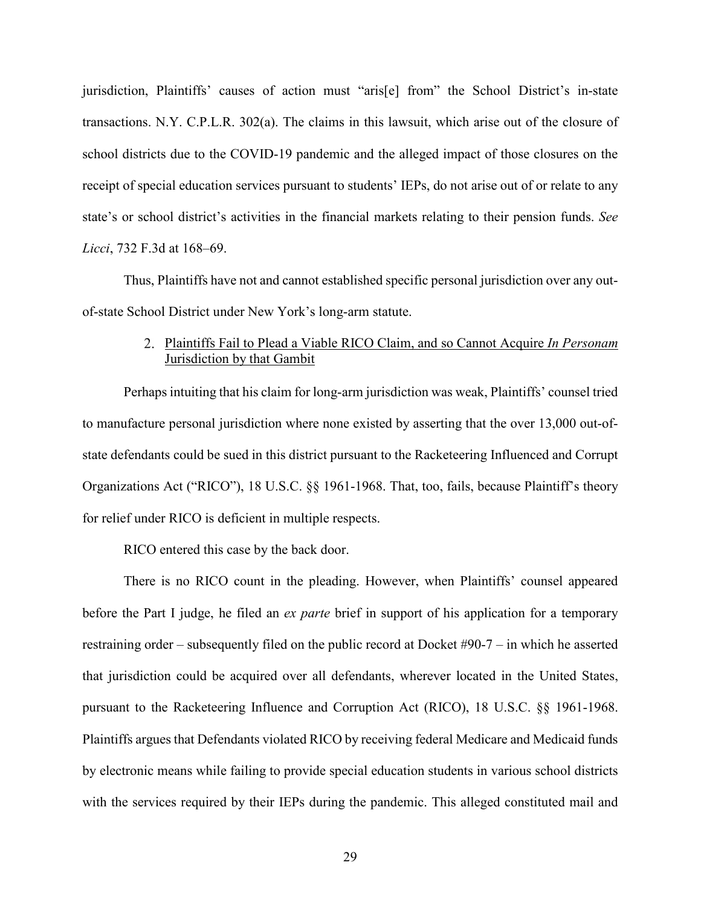jurisdiction, Plaintiffs' causes of action must "aris[e] from" the School District's in-state transactions. N.Y. C.P.L.R. 302(a). The claims in this lawsuit, which arise out of the closure of school districts due to the COVID-19 pandemic and the alleged impact of those closures on the receipt of special education services pursuant to students' IEPs, do not arise out of or relate to any state's or school district's activities in the financial markets relating to their pension funds. *See Licci*, 732 F.3d at 168–69.

Thus, Plaintiffs have not and cannot established specific personal jurisdiction over any outof-state School District under New York's long-arm statute.

# Plaintiffs Fail to Plead a Viable RICO Claim, and so Cannot Acquire *In Personam* Jurisdiction by that Gambit

Perhaps intuiting that his claim for long-arm jurisdiction was weak, Plaintiffs' counsel tried to manufacture personal jurisdiction where none existed by asserting that the over 13,000 out-ofstate defendants could be sued in this district pursuant to the Racketeering Influenced and Corrupt Organizations Act ("RICO"), 18 U.S.C. §§ 1961-1968. That, too, fails, because Plaintiff's theory for relief under RICO is deficient in multiple respects.

RICO entered this case by the back door.

There is no RICO count in the pleading. However, when Plaintiffs' counsel appeared before the Part I judge, he filed an *ex parte* brief in support of his application for a temporary restraining order – subsequently filed on the public record at Docket #90-7 – in which he asserted that jurisdiction could be acquired over all defendants, wherever located in the United States, pursuant to the Racketeering Influence and Corruption Act (RICO), 18 U.S.C. §§ 1961-1968. Plaintiffs argues that Defendants violated RICO by receiving federal Medicare and Medicaid funds by electronic means while failing to provide special education students in various school districts with the services required by their IEPs during the pandemic. This alleged constituted mail and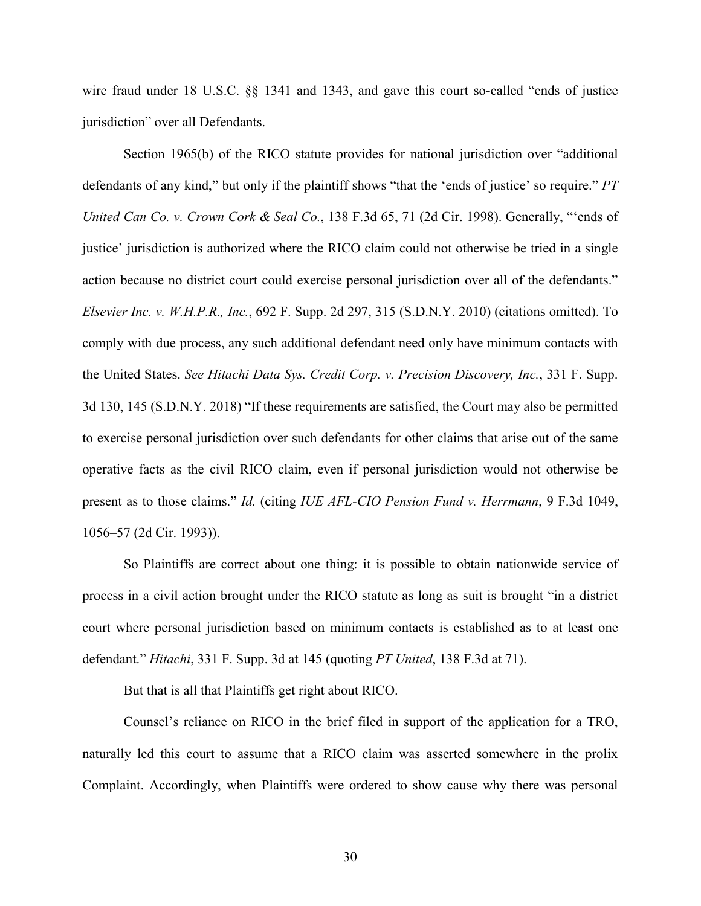wire fraud under 18 U.S.C. §§ 1341 and 1343, and gave this court so-called "ends of justice jurisdiction" over all Defendants.

Section 1965(b) of the RICO statute provides for national jurisdiction over "additional defendants of any kind," but only if the plaintiff shows "that the 'ends of justice' so require." *PT United Can Co. v. Crown Cork & Seal Co.*, 138 F.3d 65, 71 (2d Cir. 1998). Generally, "'ends of justice' jurisdiction is authorized where the RICO claim could not otherwise be tried in a single action because no district court could exercise personal jurisdiction over all of the defendants." *Elsevier Inc. v. W.H.P.R., Inc.*, 692 F. Supp. 2d 297, 315 (S.D.N.Y. 2010) (citations omitted). To comply with due process, any such additional defendant need only have minimum contacts with the United States. *See Hitachi Data Sys. Credit Corp. v. Precision Discovery, Inc.*, 331 F. Supp. 3d 130, 145 (S.D.N.Y. 2018) "If these requirements are satisfied, the Court may also be permitted to exercise personal jurisdiction over such defendants for other claims that arise out of the same operative facts as the civil RICO claim, even if personal jurisdiction would not otherwise be present as to those claims." *Id.* (citing *IUE AFL-CIO Pension Fund v. Herrmann*, 9 F.3d 1049, 1056–57 (2d Cir. 1993)).

So Plaintiffs are correct about one thing: it is possible to obtain nationwide service of process in a civil action brought under the RICO statute as long as suit is brought "in a district court where personal jurisdiction based on minimum contacts is established as to at least one defendant." *Hitachi*, 331 F. Supp. 3d at 145 (quoting *PT United*, 138 F.3d at 71).

But that is all that Plaintiffs get right about RICO.

Counsel's reliance on RICO in the brief filed in support of the application for a TRO, naturally led this court to assume that a RICO claim was asserted somewhere in the prolix Complaint. Accordingly, when Plaintiffs were ordered to show cause why there was personal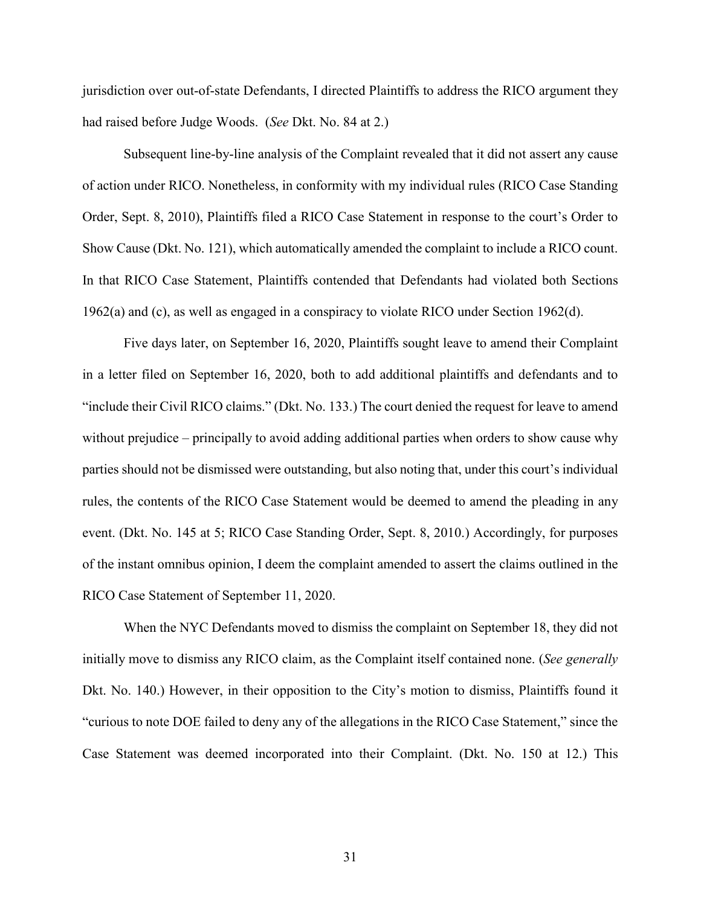jurisdiction over out-of-state Defendants, I directed Plaintiffs to address the RICO argument they had raised before Judge Woods. (*See* Dkt. No. 84 at 2.)

Subsequent line-by-line analysis of the Complaint revealed that it did not assert any cause of action under RICO. Nonetheless, in conformity with my individual rules (RICO Case Standing Order, Sept. 8, 2010), Plaintiffs filed a RICO Case Statement in response to the court's Order to Show Cause (Dkt. No. 121), which automatically amended the complaint to include a RICO count. In that RICO Case Statement, Plaintiffs contended that Defendants had violated both Sections 1962(a) and (c), as well as engaged in a conspiracy to violate RICO under Section 1962(d).

Five days later, on September 16, 2020, Plaintiffs sought leave to amend their Complaint in a letter filed on September 16, 2020, both to add additional plaintiffs and defendants and to "include their Civil RICO claims." (Dkt. No. 133.) The court denied the request for leave to amend without prejudice – principally to avoid adding additional parties when orders to show cause why parties should not be dismissed were outstanding, but also noting that, under this court's individual rules, the contents of the RICO Case Statement would be deemed to amend the pleading in any event. (Dkt. No. 145 at 5; RICO Case Standing Order, Sept. 8, 2010.) Accordingly, for purposes of the instant omnibus opinion, I deem the complaint amended to assert the claims outlined in the RICO Case Statement of September 11, 2020.

When the NYC Defendants moved to dismiss the complaint on September 18, they did not initially move to dismiss any RICO claim, as the Complaint itself contained none. (*See generally* Dkt. No. 140.) However, in their opposition to the City's motion to dismiss, Plaintiffs found it "curious to note DOE failed to deny any of the allegations in the RICO Case Statement," since the Case Statement was deemed incorporated into their Complaint. (Dkt. No. 150 at 12.) This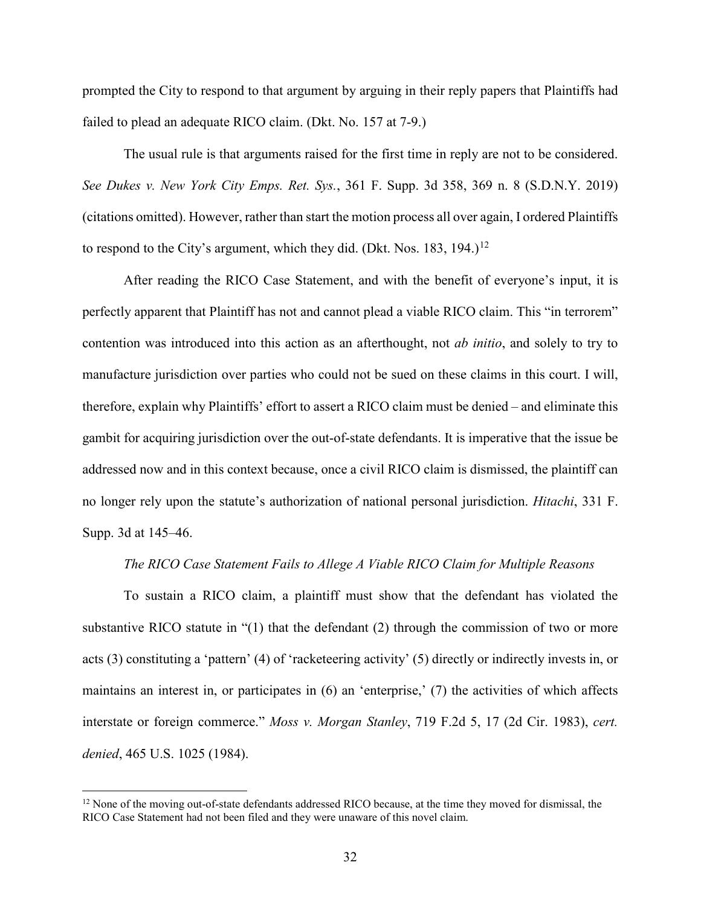prompted the City to respond to that argument by arguing in their reply papers that Plaintiffs had failed to plead an adequate RICO claim. (Dkt. No. 157 at 7-9.)

The usual rule is that arguments raised for the first time in reply are not to be considered. *See Dukes v. New York City Emps. Ret. Sys.*, 361 F. Supp. 3d 358, 369 n. 8 (S.D.N.Y. 2019) (citations omitted). However, rather than start the motion process all over again, I ordered Plaintiffs to respond to the City's argument, which they did. (Dkt. Nos. 183, 194.)<sup>[12](#page-31-0)</sup>

After reading the RICO Case Statement, and with the benefit of everyone's input, it is perfectly apparent that Plaintiff has not and cannot plead a viable RICO claim. This "in terrorem" contention was introduced into this action as an afterthought, not *ab initio*, and solely to try to manufacture jurisdiction over parties who could not be sued on these claims in this court. I will, therefore, explain why Plaintiffs' effort to assert a RICO claim must be denied – and eliminate this gambit for acquiring jurisdiction over the out-of-state defendants. It is imperative that the issue be addressed now and in this context because, once a civil RICO claim is dismissed, the plaintiff can no longer rely upon the statute's authorization of national personal jurisdiction. *Hitachi*, 331 F. Supp. 3d at 145–46.

#### *The RICO Case Statement Fails to Allege A Viable RICO Claim for Multiple Reasons*

To sustain a RICO claim, a plaintiff must show that the defendant has violated the substantive RICO statute in "(1) that the defendant (2) through the commission of two or more acts (3) constituting a 'pattern' (4) of 'racketeering activity' (5) directly or indirectly invests in, or maintains an interest in, or participates in (6) an 'enterprise,' (7) the activities of which affects interstate or foreign commerce." *Moss v. Morgan Stanley*, 719 F.2d 5, 17 (2d Cir. 1983), *cert. denied*, 465 U.S. 1025 (1984).

l

<span id="page-31-0"></span><sup>&</sup>lt;sup>12</sup> None of the moving out-of-state defendants addressed RICO because, at the time they moved for dismissal, the RICO Case Statement had not been filed and they were unaware of this novel claim.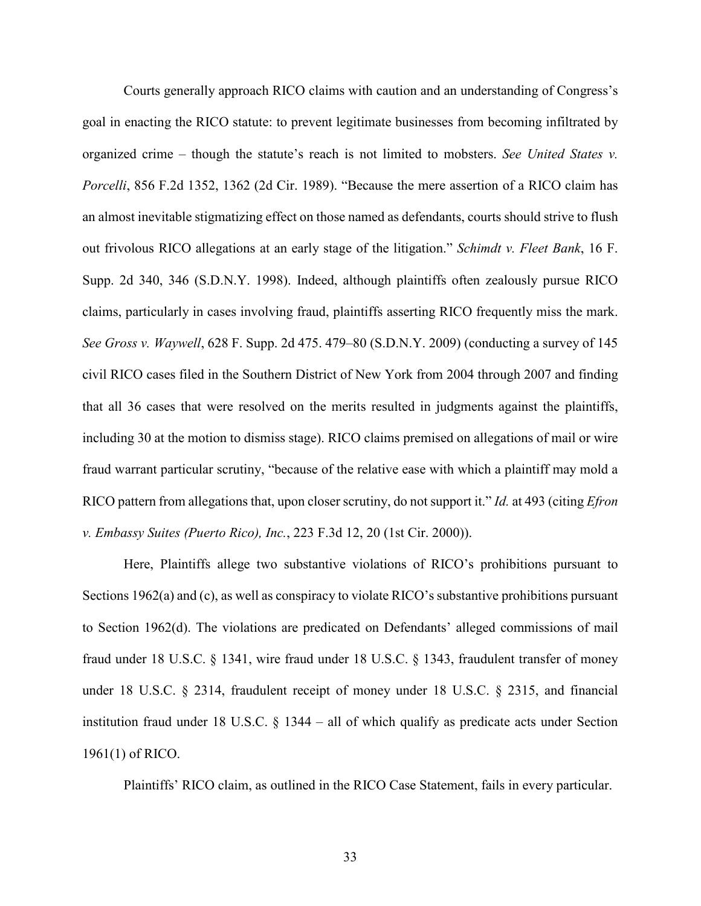Courts generally approach RICO claims with caution and an understanding of Congress's goal in enacting the RICO statute: to prevent legitimate businesses from becoming infiltrated by organized crime – though the statute's reach is not limited to mobsters. *See United States v. Porcelli*, 856 F.2d 1352, 1362 (2d Cir. 1989). "Because the mere assertion of a RICO claim has an almost inevitable stigmatizing effect on those named as defendants, courts should strive to flush out frivolous RICO allegations at an early stage of the litigation." *Schimdt v. Fleet Bank*, 16 F. Supp. 2d 340, 346 (S.D.N.Y. 1998). Indeed, although plaintiffs often zealously pursue RICO claims, particularly in cases involving fraud, plaintiffs asserting RICO frequently miss the mark. *See Gross v. Waywell*, 628 F. Supp. 2d 475. 479–80 (S.D.N.Y. 2009) (conducting a survey of 145 civil RICO cases filed in the Southern District of New York from 2004 through 2007 and finding that all 36 cases that were resolved on the merits resulted in judgments against the plaintiffs, including 30 at the motion to dismiss stage). RICO claims premised on allegations of mail or wire fraud warrant particular scrutiny, "because of the relative ease with which a plaintiff may mold a RICO pattern from allegations that, upon closer scrutiny, do not support it." *Id.* at 493 (citing *Efron v. Embassy Suites (Puerto Rico), Inc.*, 223 F.3d 12, 20 (1st Cir. 2000)).

Here, Plaintiffs allege two substantive violations of RICO's prohibitions pursuant to Sections 1962(a) and (c), as well as conspiracy to violate RICO's substantive prohibitions pursuant to Section 1962(d). The violations are predicated on Defendants' alleged commissions of mail fraud under 18 U.S.C. § 1341, wire fraud under 18 U.S.C. § 1343, fraudulent transfer of money under 18 U.S.C. § 2314, fraudulent receipt of money under 18 U.S.C. § 2315, and financial institution fraud under 18 U.S.C. § 1344 – all of which qualify as predicate acts under Section 1961(1) of RICO.

Plaintiffs' RICO claim, as outlined in the RICO Case Statement, fails in every particular.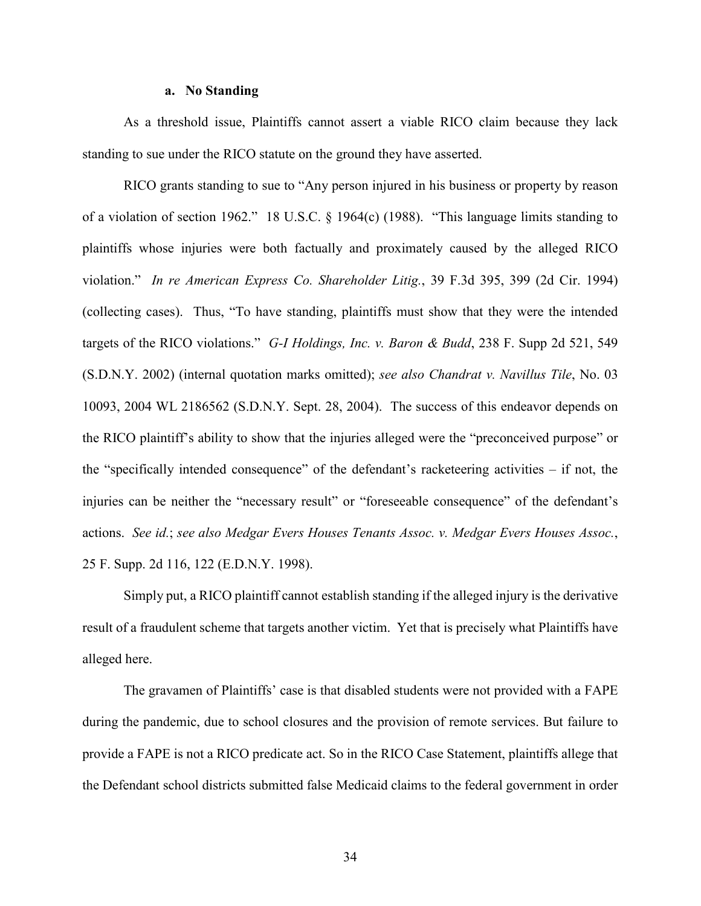### **a. No Standing**

As a threshold issue, Plaintiffs cannot assert a viable RICO claim because they lack standing to sue under the RICO statute on the ground they have asserted.

RICO grants standing to sue to "Any person injured in his business or property by reason of a violation of section 1962." 18 U.S.C. § 1964(c) (1988). "This language limits standing to plaintiffs whose injuries were both factually and proximately caused by the alleged RICO violation." *In re American Express Co. Shareholder Litig.*, 39 F.3d 395, 399 (2d Cir. 1994) (collecting cases). Thus, "To have standing, plaintiffs must show that they were the intended targets of the RICO violations." *G-I Holdings, Inc. v. Baron & Budd*, 238 F. Supp 2d 521, 549 (S.D.N.Y. 2002) (internal quotation marks omitted); *see also Chandrat v. Navillus Tile*, No. 03 10093, 2004 WL 2186562 (S.D.N.Y. Sept. 28, 2004). The success of this endeavor depends on the RICO plaintiff's ability to show that the injuries alleged were the "preconceived purpose" or the "specifically intended consequence" of the defendant's racketeering activities – if not, the injuries can be neither the "necessary result" or "foreseeable consequence" of the defendant's actions. *See id.*; *see also Medgar Evers Houses Tenants Assoc. v. Medgar Evers Houses Assoc.*, 25 F. Supp. 2d 116, 122 (E.D.N.Y. 1998).

Simply put, a RICO plaintiff cannot establish standing if the alleged injury is the derivative result of a fraudulent scheme that targets another victim. Yet that is precisely what Plaintiffs have alleged here.

The gravamen of Plaintiffs' case is that disabled students were not provided with a FAPE during the pandemic, due to school closures and the provision of remote services. But failure to provide a FAPE is not a RICO predicate act. So in the RICO Case Statement, plaintiffs allege that the Defendant school districts submitted false Medicaid claims to the federal government in order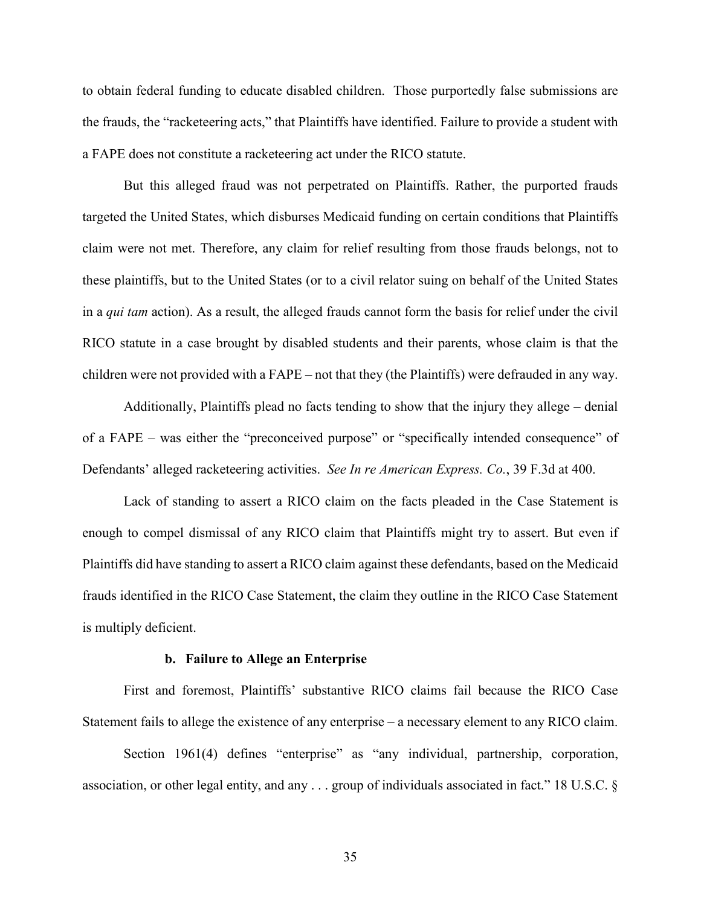to obtain federal funding to educate disabled children. Those purportedly false submissions are the frauds, the "racketeering acts," that Plaintiffs have identified. Failure to provide a student with a FAPE does not constitute a racketeering act under the RICO statute.

But this alleged fraud was not perpetrated on Plaintiffs. Rather, the purported frauds targeted the United States, which disburses Medicaid funding on certain conditions that Plaintiffs claim were not met. Therefore, any claim for relief resulting from those frauds belongs, not to these plaintiffs, but to the United States (or to a civil relator suing on behalf of the United States in a *qui tam* action). As a result, the alleged frauds cannot form the basis for relief under the civil RICO statute in a case brought by disabled students and their parents, whose claim is that the children were not provided with a FAPE – not that they (the Plaintiffs) were defrauded in any way.

Additionally, Plaintiffs plead no facts tending to show that the injury they allege – denial of a FAPE – was either the "preconceived purpose" or "specifically intended consequence" of Defendants' alleged racketeering activities. *See In re American Express. Co.*, 39 F.3d at 400.

Lack of standing to assert a RICO claim on the facts pleaded in the Case Statement is enough to compel dismissal of any RICO claim that Plaintiffs might try to assert. But even if Plaintiffs did have standing to assert a RICO claim against these defendants, based on the Medicaid frauds identified in the RICO Case Statement, the claim they outline in the RICO Case Statement is multiply deficient.

#### **b. Failure to Allege an Enterprise**

First and foremost, Plaintiffs' substantive RICO claims fail because the RICO Case Statement fails to allege the existence of any enterprise – a necessary element to any RICO claim.

Section 1961(4) defines "enterprise" as "any individual, partnership, corporation, association, or other legal entity, and any . . . group of individuals associated in fact." 18 U.S.C. §

35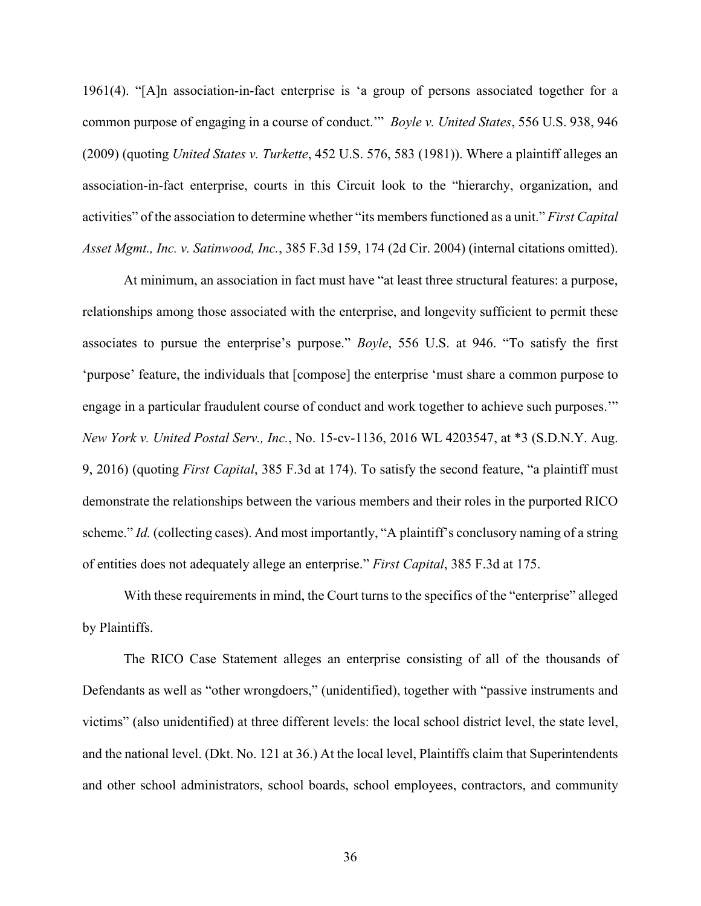1961(4). "[A]n association-in-fact enterprise is 'a group of persons associated together for a common purpose of engaging in a course of conduct.'" *Boyle v. United States*, 556 U.S. 938, 946 (2009) (quoting *United States v. Turkette*, 452 U.S. 576, 583 (1981)). Where a plaintiff alleges an association-in-fact enterprise, courts in this Circuit look to the "hierarchy, organization, and activities" of the association to determine whether "its members functioned as a unit." *First Capital Asset Mgmt., Inc. v. Satinwood, Inc.*, 385 F.3d 159, 174 (2d Cir. 2004) (internal citations omitted).

At minimum, an association in fact must have "at least three structural features: a purpose, relationships among those associated with the enterprise, and longevity sufficient to permit these associates to pursue the enterprise's purpose." *Boyle*, 556 U.S. at 946. "To satisfy the first 'purpose' feature, the individuals that [compose] the enterprise 'must share a common purpose to engage in a particular fraudulent course of conduct and work together to achieve such purposes.'" *New York v. United Postal Serv., Inc.*, No. 15-cv-1136, 2016 WL 4203547, at \*3 (S.D.N.Y. Aug. 9, 2016) (quoting *First Capital*, 385 F.3d at 174). To satisfy the second feature, "a plaintiff must demonstrate the relationships between the various members and their roles in the purported RICO scheme." *Id.* (collecting cases). And most importantly, "A plaintiff's conclusory naming of a string of entities does not adequately allege an enterprise." *First Capital*, 385 F.3d at 175.

With these requirements in mind, the Court turns to the specifics of the "enterprise" alleged by Plaintiffs.

The RICO Case Statement alleges an enterprise consisting of all of the thousands of Defendants as well as "other wrongdoers," (unidentified), together with "passive instruments and victims" (also unidentified) at three different levels: the local school district level, the state level, and the national level. (Dkt. No. 121 at 36.) At the local level, Plaintiffs claim that Superintendents and other school administrators, school boards, school employees, contractors, and community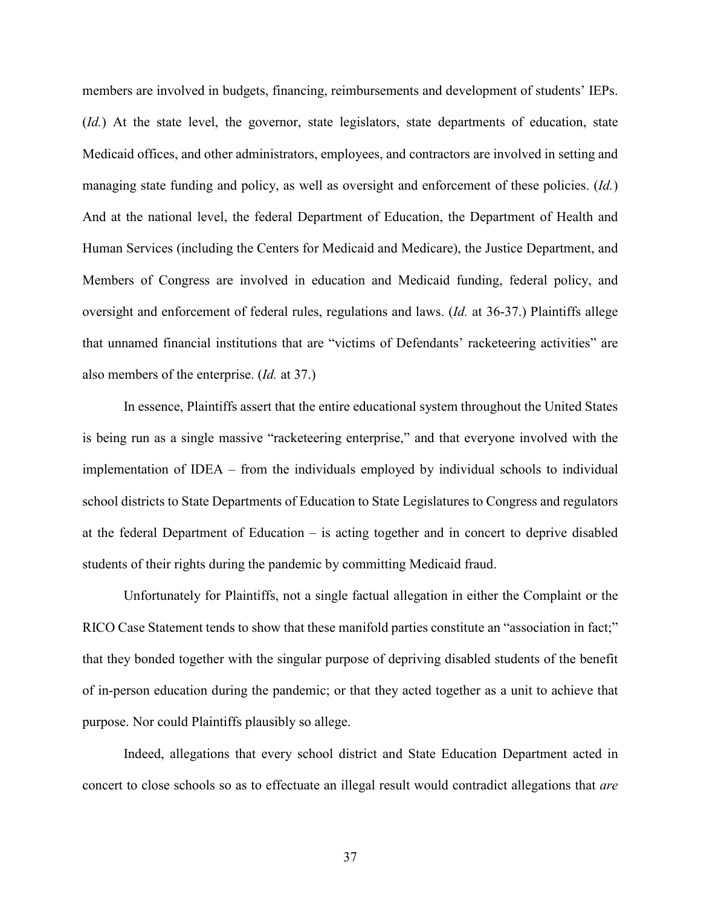members are involved in budgets, financing, reimbursements and development of students' IEPs. (*Id.*) At the state level, the governor, state legislators, state departments of education, state Medicaid offices, and other administrators, employees, and contractors are involved in setting and managing state funding and policy, as well as oversight and enforcement of these policies. (*Id.*) And at the national level, the federal Department of Education, the Department of Health and Human Services (including the Centers for Medicaid and Medicare), the Justice Department, and Members of Congress are involved in education and Medicaid funding, federal policy, and oversight and enforcement of federal rules, regulations and laws. (*Id.* at 36-37.) Plaintiffs allege that unnamed financial institutions that are "victims of Defendants' racketeering activities" are also members of the enterprise. (*Id.* at 37.)

In essence, Plaintiffs assert that the entire educational system throughout the United States is being run as a single massive "racketeering enterprise," and that everyone involved with the implementation of IDEA – from the individuals employed by individual schools to individual school districts to State Departments of Education to State Legislatures to Congress and regulators at the federal Department of Education – is acting together and in concert to deprive disabled students of their rights during the pandemic by committing Medicaid fraud.

Unfortunately for Plaintiffs, not a single factual allegation in either the Complaint or the RICO Case Statement tends to show that these manifold parties constitute an "association in fact;" that they bonded together with the singular purpose of depriving disabled students of the benefit of in-person education during the pandemic; or that they acted together as a unit to achieve that purpose. Nor could Plaintiffs plausibly so allege.

Indeed, allegations that every school district and State Education Department acted in concert to close schools so as to effectuate an illegal result would contradict allegations that *are*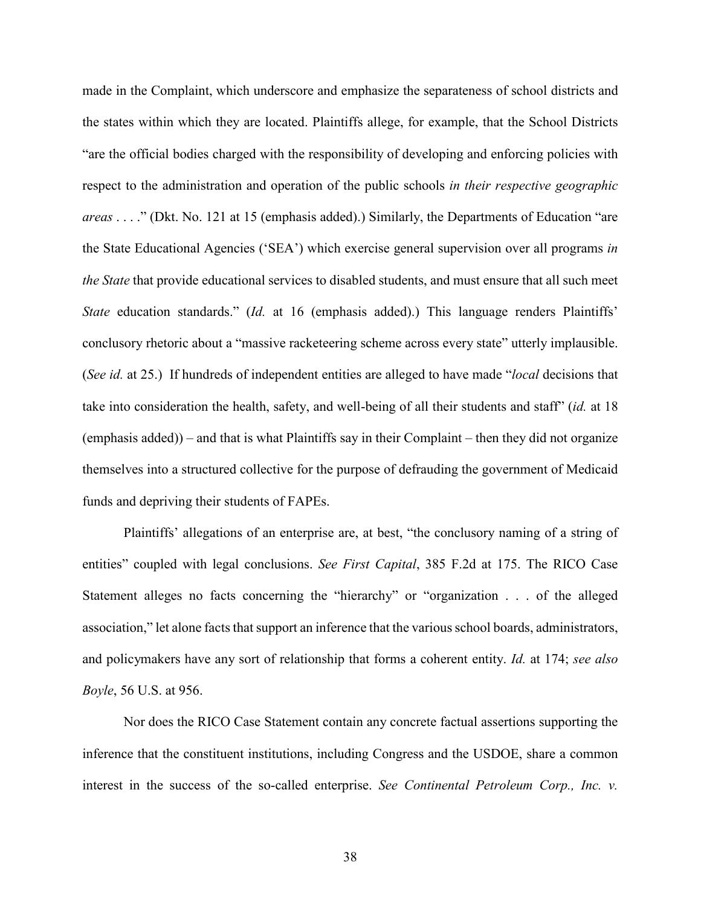made in the Complaint, which underscore and emphasize the separateness of school districts and the states within which they are located. Plaintiffs allege, for example, that the School Districts "are the official bodies charged with the responsibility of developing and enforcing policies with respect to the administration and operation of the public schools *in their respective geographic areas* . . . ." (Dkt. No. 121 at 15 (emphasis added).) Similarly, the Departments of Education "are the State Educational Agencies ('SEA') which exercise general supervision over all programs *in the State* that provide educational services to disabled students, and must ensure that all such meet *State* education standards." (*Id.* at 16 (emphasis added).) This language renders Plaintiffs' conclusory rhetoric about a "massive racketeering scheme across every state" utterly implausible. (*See id.* at 25.) If hundreds of independent entities are alleged to have made "*local* decisions that take into consideration the health, safety, and well-being of all their students and staff" (*id.* at 18 (emphasis added)) – and that is what Plaintiffs say in their Complaint – then they did not organize themselves into a structured collective for the purpose of defrauding the government of Medicaid funds and depriving their students of FAPEs.

Plaintiffs' allegations of an enterprise are, at best, "the conclusory naming of a string of entities" coupled with legal conclusions. *See First Capital*, 385 F.2d at 175. The RICO Case Statement alleges no facts concerning the "hierarchy" or "organization . . . of the alleged association," let alone facts that support an inference that the various school boards, administrators, and policymakers have any sort of relationship that forms a coherent entity. *Id.* at 174; *see also Boyle*, 56 U.S. at 956.

Nor does the RICO Case Statement contain any concrete factual assertions supporting the inference that the constituent institutions, including Congress and the USDOE, share a common interest in the success of the so-called enterprise. *See Continental Petroleum Corp., Inc. v.*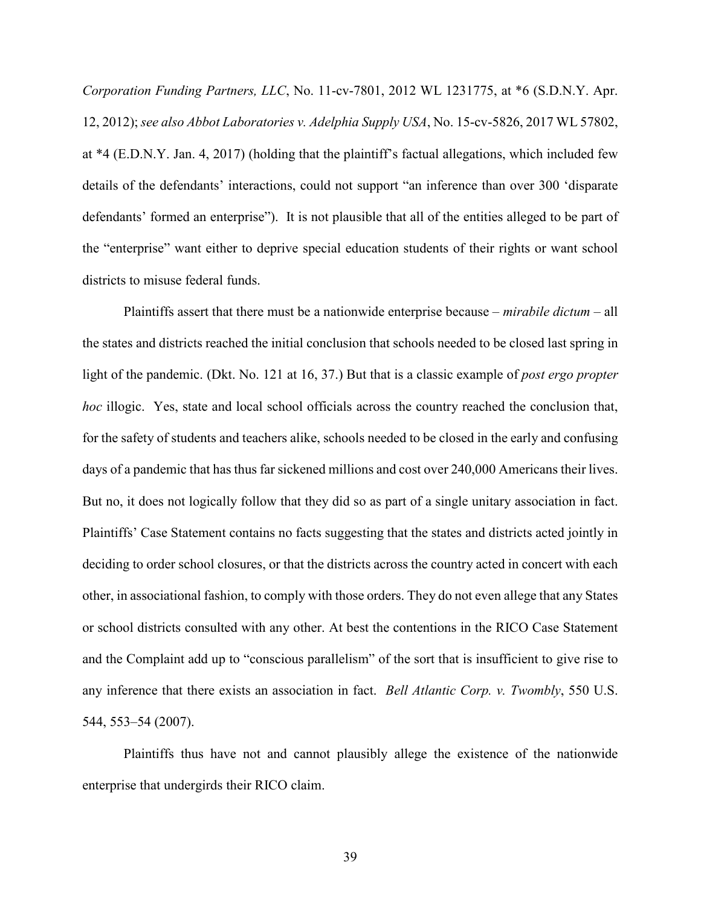*Corporation Funding Partners, LLC*, No. 11-cv-7801, 2012 WL 1231775, at \*6 (S.D.N.Y. Apr. 12, 2012); *see also Abbot Laboratories v. Adelphia Supply USA*, No. 15-cv-5826, 2017 WL 57802, at \*4 (E.D.N.Y. Jan. 4, 2017) (holding that the plaintiff's factual allegations, which included few details of the defendants' interactions, could not support "an inference than over 300 'disparate defendants' formed an enterprise"). It is not plausible that all of the entities alleged to be part of the "enterprise" want either to deprive special education students of their rights or want school districts to misuse federal funds.

Plaintiffs assert that there must be a nationwide enterprise because – *mirabile dictum* – all the states and districts reached the initial conclusion that schools needed to be closed last spring in light of the pandemic. (Dkt. No. 121 at 16, 37.) But that is a classic example of *post ergo propter hoc* illogic. Yes, state and local school officials across the country reached the conclusion that, for the safety of students and teachers alike, schools needed to be closed in the early and confusing days of a pandemic that has thus far sickened millions and cost over 240,000 Americans their lives. But no, it does not logically follow that they did so as part of a single unitary association in fact. Plaintiffs' Case Statement contains no facts suggesting that the states and districts acted jointly in deciding to order school closures, or that the districts across the country acted in concert with each other, in associational fashion, to comply with those orders. They do not even allege that any States or school districts consulted with any other. At best the contentions in the RICO Case Statement and the Complaint add up to "conscious parallelism" of the sort that is insufficient to give rise to any inference that there exists an association in fact. *Bell Atlantic Corp. v. Twombly*, 550 U.S. 544, 553–54 (2007).

Plaintiffs thus have not and cannot plausibly allege the existence of the nationwide enterprise that undergirds their RICO claim.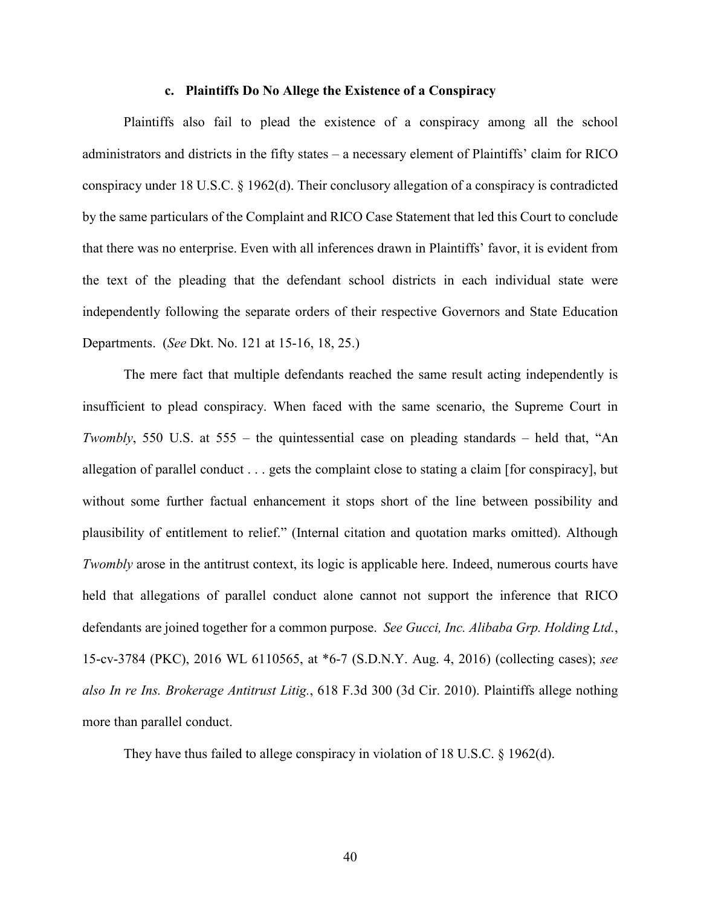#### **c. Plaintiffs Do No Allege the Existence of a Conspiracy**

Plaintiffs also fail to plead the existence of a conspiracy among all the school administrators and districts in the fifty states – a necessary element of Plaintiffs' claim for RICO conspiracy under 18 U.S.C. § 1962(d). Their conclusory allegation of a conspiracy is contradicted by the same particulars of the Complaint and RICO Case Statement that led this Court to conclude that there was no enterprise. Even with all inferences drawn in Plaintiffs' favor, it is evident from the text of the pleading that the defendant school districts in each individual state were independently following the separate orders of their respective Governors and State Education Departments. (*See* Dkt. No. 121 at 15-16, 18, 25.)

The mere fact that multiple defendants reached the same result acting independently is insufficient to plead conspiracy. When faced with the same scenario, the Supreme Court in *Twombly*, 550 U.S. at 555 – the quintessential case on pleading standards – held that, "An allegation of parallel conduct . . . gets the complaint close to stating a claim [for conspiracy], but without some further factual enhancement it stops short of the line between possibility and plausibility of entitlement to relief." (Internal citation and quotation marks omitted). Although *Twombly* arose in the antitrust context, its logic is applicable here. Indeed, numerous courts have held that allegations of parallel conduct alone cannot not support the inference that RICO defendants are joined together for a common purpose. *See Gucci, Inc. Alibaba Grp. Holding Ltd.*, 15-cv-3784 (PKC), 2016 WL 6110565, at \*6-7 (S.D.N.Y. Aug. 4, 2016) (collecting cases); *see also In re Ins. Brokerage Antitrust Litig.*, 618 F.3d 300 (3d Cir. 2010). Plaintiffs allege nothing more than parallel conduct.

They have thus failed to allege conspiracy in violation of 18 U.S.C. § 1962(d).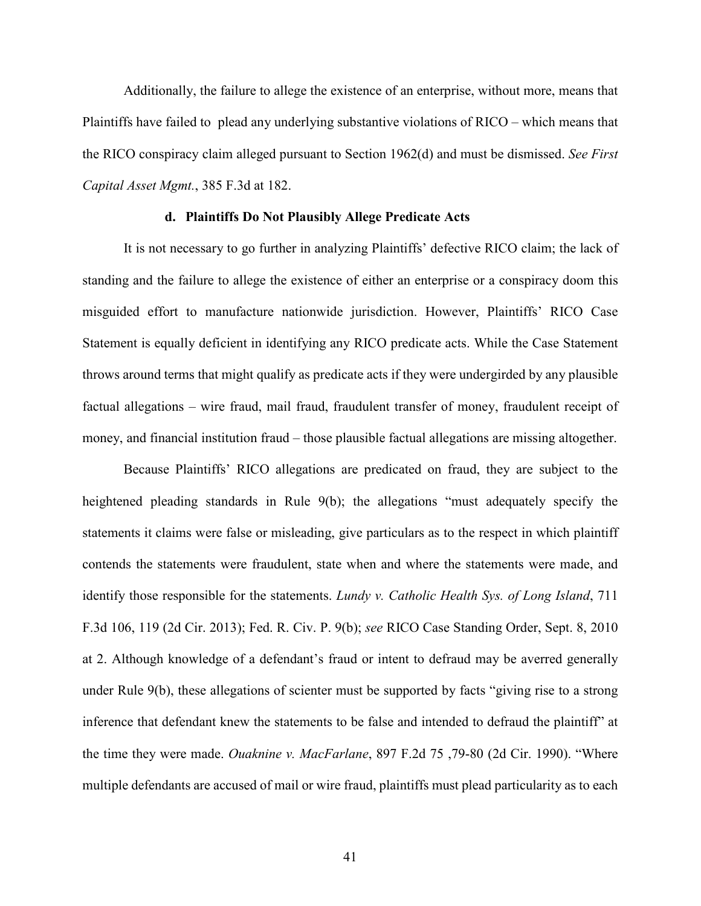Additionally, the failure to allege the existence of an enterprise, without more, means that Plaintiffs have failed to plead any underlying substantive violations of RICO – which means that the RICO conspiracy claim alleged pursuant to Section 1962(d) and must be dismissed. *See First Capital Asset Mgmt.*, 385 F.3d at 182.

### **d. Plaintiffs Do Not Plausibly Allege Predicate Acts**

It is not necessary to go further in analyzing Plaintiffs' defective RICO claim; the lack of standing and the failure to allege the existence of either an enterprise or a conspiracy doom this misguided effort to manufacture nationwide jurisdiction. However, Plaintiffs' RICO Case Statement is equally deficient in identifying any RICO predicate acts. While the Case Statement throws around terms that might qualify as predicate acts if they were undergirded by any plausible factual allegations – wire fraud, mail fraud, fraudulent transfer of money, fraudulent receipt of money, and financial institution fraud – those plausible factual allegations are missing altogether.

Because Plaintiffs' RICO allegations are predicated on fraud, they are subject to the heightened pleading standards in Rule 9(b); the allegations "must adequately specify the statements it claims were false or misleading, give particulars as to the respect in which plaintiff contends the statements were fraudulent, state when and where the statements were made, and identify those responsible for the statements. *Lundy v. Catholic Health Sys. of Long Island*, 711 F.3d 106, 119 (2d Cir. 2013); Fed. R. Civ. P. 9(b); *see* RICO Case Standing Order, Sept. 8, 2010 at 2. Although knowledge of a defendant's fraud or intent to defraud may be averred generally under Rule 9(b), these allegations of scienter must be supported by facts "giving rise to a strong inference that defendant knew the statements to be false and intended to defraud the plaintiff" at the time they were made. *Ouaknine v. MacFarlane*, 897 F.2d 75 ,79-80 (2d Cir. 1990). "Where multiple defendants are accused of mail or wire fraud, plaintiffs must plead particularity as to each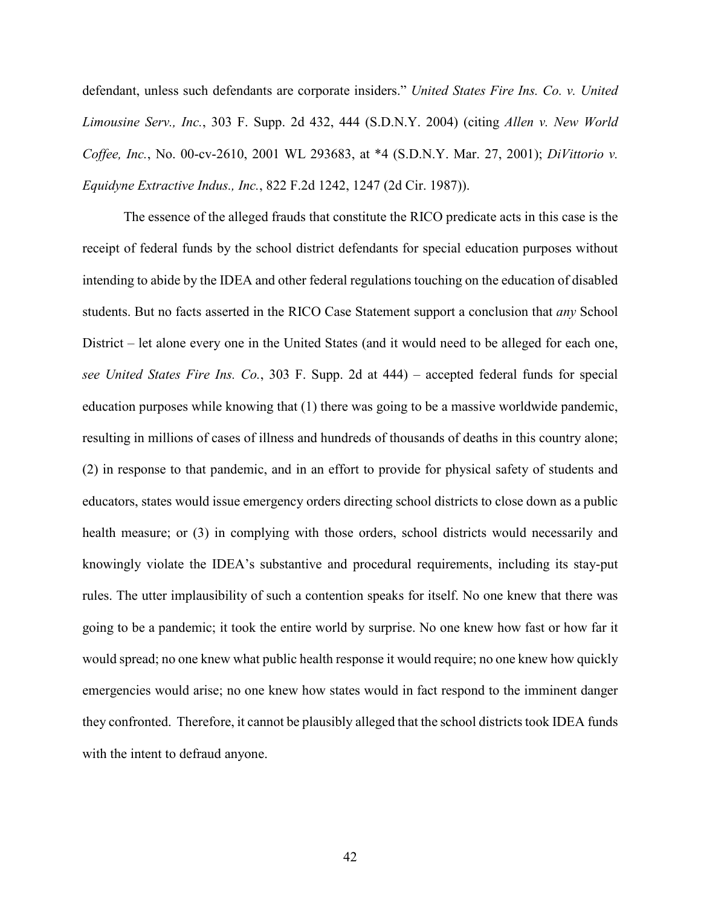defendant, unless such defendants are corporate insiders." *United States Fire Ins. Co. v. United Limousine Serv., Inc.*, 303 F. Supp. 2d 432, 444 (S.D.N.Y. 2004) (citing *Allen v. New World Coffee, Inc.*, No. 00-cv-2610, 2001 WL 293683, at \*4 (S.D.N.Y. Mar. 27, 2001); *DiVittorio v. Equidyne Extractive Indus., Inc.*, 822 F.2d 1242, 1247 (2d Cir. 1987)).

The essence of the alleged frauds that constitute the RICO predicate acts in this case is the receipt of federal funds by the school district defendants for special education purposes without intending to abide by the IDEA and other federal regulations touching on the education of disabled students. But no facts asserted in the RICO Case Statement support a conclusion that *any* School District – let alone every one in the United States (and it would need to be alleged for each one, *see United States Fire Ins. Co.*, 303 F. Supp. 2d at 444) – accepted federal funds for special education purposes while knowing that (1) there was going to be a massive worldwide pandemic, resulting in millions of cases of illness and hundreds of thousands of deaths in this country alone; (2) in response to that pandemic, and in an effort to provide for physical safety of students and educators, states would issue emergency orders directing school districts to close down as a public health measure; or (3) in complying with those orders, school districts would necessarily and knowingly violate the IDEA's substantive and procedural requirements, including its stay-put rules. The utter implausibility of such a contention speaks for itself. No one knew that there was going to be a pandemic; it took the entire world by surprise. No one knew how fast or how far it would spread; no one knew what public health response it would require; no one knew how quickly emergencies would arise; no one knew how states would in fact respond to the imminent danger they confronted. Therefore, it cannot be plausibly alleged that the school districts took IDEA funds with the intent to defraud anyone.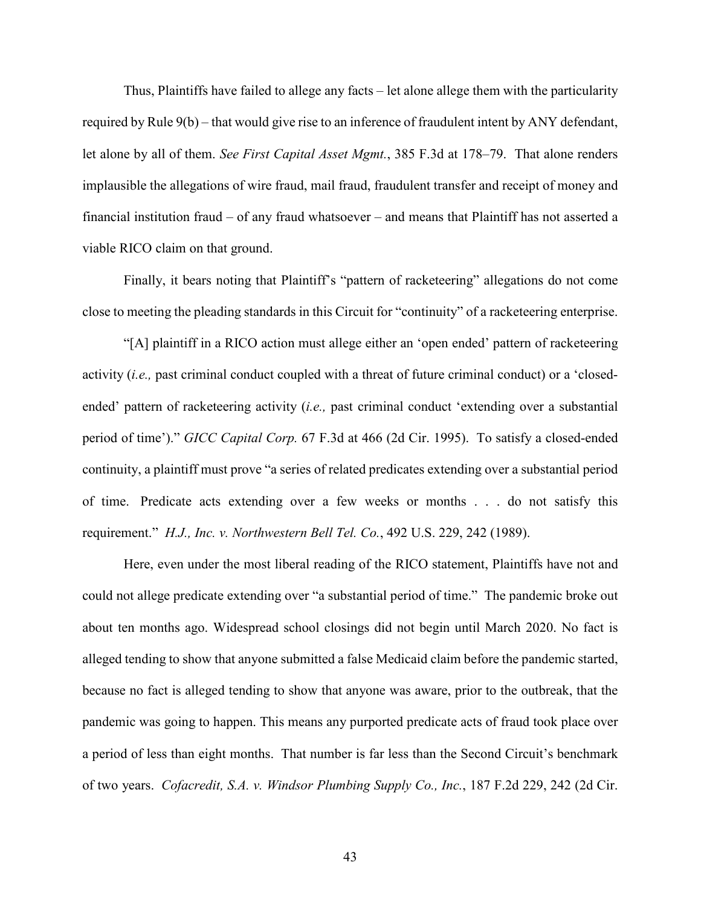Thus, Plaintiffs have failed to allege any facts – let alone allege them with the particularity required by Rule 9(b) – that would give rise to an inference of fraudulent intent by ANY defendant, let alone by all of them. *See First Capital Asset Mgmt.*, 385 F.3d at 178–79. That alone renders implausible the allegations of wire fraud, mail fraud, fraudulent transfer and receipt of money and financial institution fraud – of any fraud whatsoever – and means that Plaintiff has not asserted a viable RICO claim on that ground.

Finally, it bears noting that Plaintiff's "pattern of racketeering" allegations do not come close to meeting the pleading standards in this Circuit for "continuity" of a racketeering enterprise.

"[A] plaintiff in a RICO action must allege either an 'open ended' pattern of racketeering activity (*i.e.,* past criminal conduct coupled with a threat of future criminal conduct) or a 'closedended' pattern of racketeering activity (*i.e.,* past criminal conduct 'extending over a substantial period of time')." *GICC Capital Corp.* 67 F.3d at 466 (2d Cir. 1995). To satisfy a closed-ended continuity, a plaintiff must prove "a series of related predicates extending over a substantial period of time. Predicate acts extending over a few weeks or months . . . do not satisfy this requirement." *H.J., Inc. v. Northwestern Bell Tel. Co.*, 492 U.S. 229, 242 (1989).

Here, even under the most liberal reading of the RICO statement, Plaintiffs have not and could not allege predicate extending over "a substantial period of time." The pandemic broke out about ten months ago. Widespread school closings did not begin until March 2020. No fact is alleged tending to show that anyone submitted a false Medicaid claim before the pandemic started, because no fact is alleged tending to show that anyone was aware, prior to the outbreak, that the pandemic was going to happen. This means any purported predicate acts of fraud took place over a period of less than eight months. That number is far less than the Second Circuit's benchmark of two years. *Cofacredit, S.A. v. Windsor Plumbing Supply Co., Inc.*, 187 F.2d 229, 242 (2d Cir.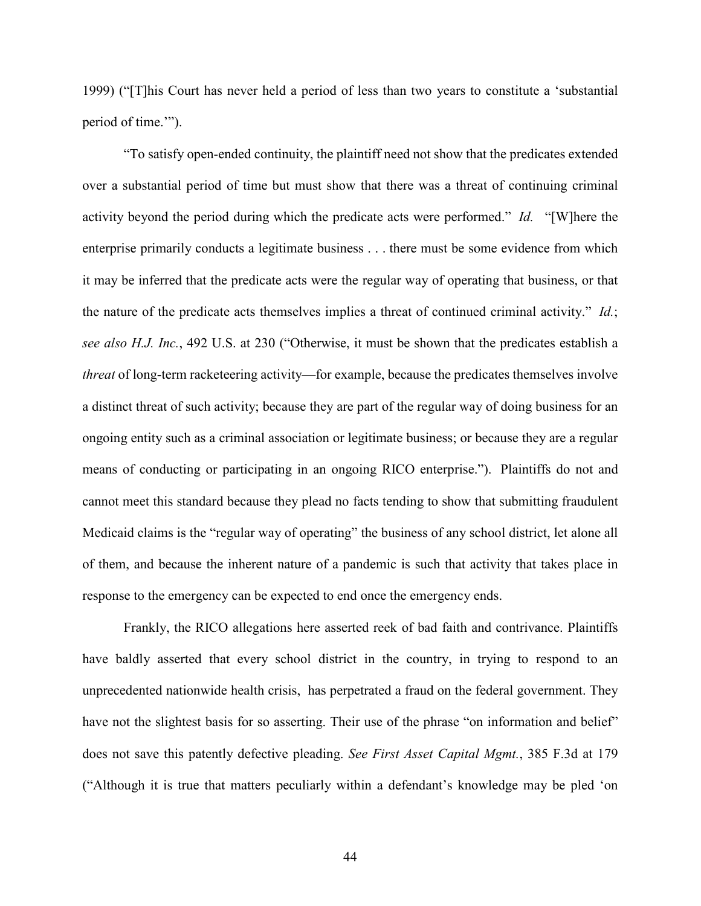1999) ("[T]his Court has never held a period of less than two years to constitute a 'substantial period of time.'").

"To satisfy open-ended continuity, the plaintiff need not show that the predicates extended over a substantial period of time but must show that there was a threat of continuing criminal activity beyond the period during which the predicate acts were performed." *Id.* "[W]here the enterprise primarily conducts a legitimate business . . . there must be some evidence from which it may be inferred that the predicate acts were the regular way of operating that business, or that the nature of the predicate acts themselves implies a threat of continued criminal activity." *Id.*; *see also H.J. Inc.*, 492 U.S. at 230 ("Otherwise, it must be shown that the predicates establish a *threat* of long-term racketeering activity—for example, because the predicates themselves involve a distinct threat of such activity; because they are part of the regular way of doing business for an ongoing entity such as a criminal association or legitimate business; or because they are a regular means of conducting or participating in an ongoing RICO enterprise."). Plaintiffs do not and cannot meet this standard because they plead no facts tending to show that submitting fraudulent Medicaid claims is the "regular way of operating" the business of any school district, let alone all of them, and because the inherent nature of a pandemic is such that activity that takes place in response to the emergency can be expected to end once the emergency ends.

Frankly, the RICO allegations here asserted reek of bad faith and contrivance. Plaintiffs have baldly asserted that every school district in the country, in trying to respond to an unprecedented nationwide health crisis, has perpetrated a fraud on the federal government. They have not the slightest basis for so asserting. Their use of the phrase "on information and belief" does not save this patently defective pleading. *See First Asset Capital Mgmt.*, 385 F.3d at 179 ("Although it is true that matters peculiarly within a defendant's knowledge may be pled 'on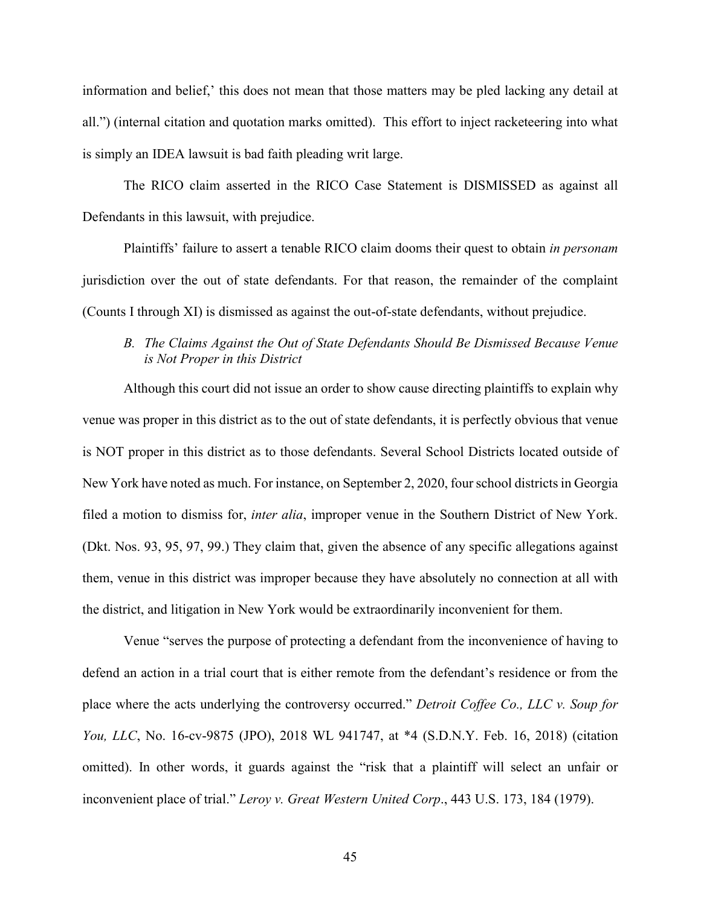information and belief,' this does not mean that those matters may be pled lacking any detail at all.") (internal citation and quotation marks omitted). This effort to inject racketeering into what is simply an IDEA lawsuit is bad faith pleading writ large.

The RICO claim asserted in the RICO Case Statement is DISMISSED as against all Defendants in this lawsuit, with prejudice.

Plaintiffs' failure to assert a tenable RICO claim dooms their quest to obtain *in personam* jurisdiction over the out of state defendants. For that reason, the remainder of the complaint (Counts I through XI) is dismissed as against the out-of-state defendants, without prejudice.

# *B. The Claims Against the Out of State Defendants Should Be Dismissed Because Venue is Not Proper in this District*

Although this court did not issue an order to show cause directing plaintiffs to explain why venue was proper in this district as to the out of state defendants, it is perfectly obvious that venue is NOT proper in this district as to those defendants. Several School Districts located outside of New York have noted as much. For instance, on September 2, 2020, four school districts in Georgia filed a motion to dismiss for, *inter alia*, improper venue in the Southern District of New York. (Dkt. Nos. 93, 95, 97, 99.) They claim that, given the absence of any specific allegations against them, venue in this district was improper because they have absolutely no connection at all with the district, and litigation in New York would be extraordinarily inconvenient for them.

Venue "serves the purpose of protecting a defendant from the inconvenience of having to defend an action in a trial court that is either remote from the defendant's residence or from the place where the acts underlying the controversy occurred." *Detroit Coffee Co., LLC v. Soup for You, LLC*, No. 16-cv-9875 (JPO), 2018 WL 941747, at \*4 (S.D.N.Y. Feb. 16, 2018) (citation omitted). In other words, it guards against the "risk that a plaintiff will select an unfair or inconvenient place of trial." *Leroy v. Great Western United Corp*., 443 U.S. 173, 184 (1979).

45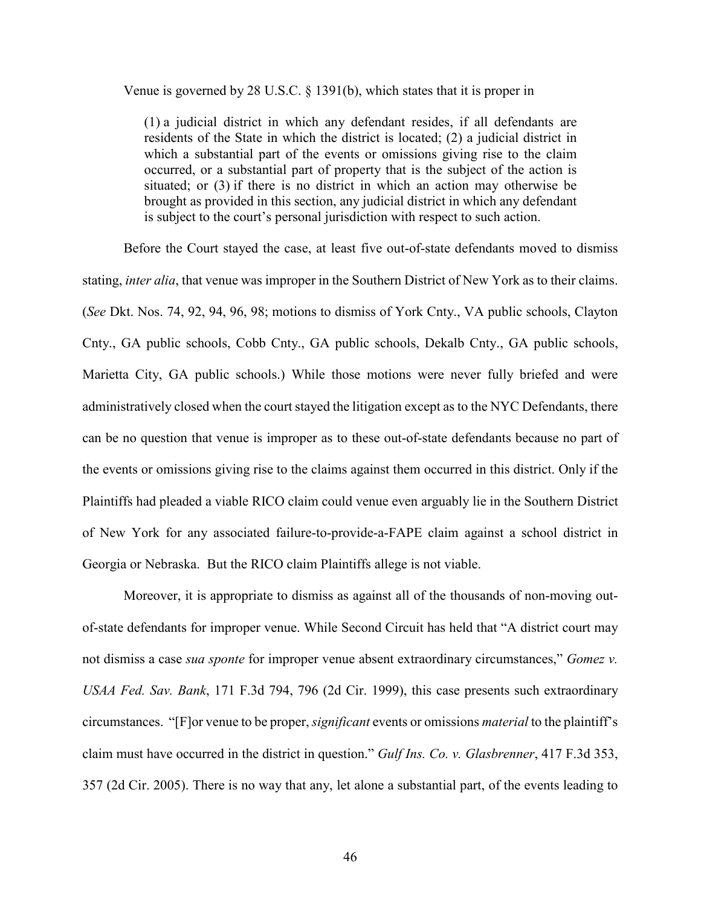Venue is governed by 28 U.S.C. § 1391(b), which states that it is proper in

(1) a judicial district in which any defendant resides, if all defendants are residents of the State in which the district is located; (2) a judicial district in which a substantial part of the events or omissions giving rise to the claim occurred, or a substantial part of property that is the subject of the action is situated; or (3) if there is no district in which an action may otherwise be brought as provided in this section, any judicial district in which any defendant is subject to the court's personal jurisdiction with respect to such action.

Before the Court stayed the case, at least five out-of-state defendants moved to dismiss stating, *inter alia*, that venue was improper in the Southern District of New York as to their claims. (*See* Dkt. Nos. 74, 92, 94, 96, 98; motions to dismiss of York Cnty., VA public schools, Clayton Cnty., GA public schools, Cobb Cnty., GA public schools, Dekalb Cnty., GA public schools, Marietta City, GA public schools.) While those motions were never fully briefed and were administratively closed when the court stayed the litigation except as to the NYC Defendants, there can be no question that venue is improper as to these out-of-state defendants because no part of the events or omissions giving rise to the claims against them occurred in this district. Only if the Plaintiffs had pleaded a viable RICO claim could venue even arguably lie in the Southern District of New York for any associated failure-to-provide-a-FAPE claim against a school district in Georgia or Nebraska. But the RICO claim Plaintiffs allege is not viable.

Moreover, it is appropriate to dismiss as against all of the thousands of non-moving outof-state defendants for improper venue. While Second Circuit has held that "A district court may not dismiss a case *sua sponte* for improper venue absent extraordinary circumstances," *Gomez v. USAA Fed. Sav. Bank*, 171 F.3d 794, 796 (2d Cir. 1999), this case presents such extraordinary circumstances. "[F]or venue to be proper, *significant* events or omissions *material* to the plaintiff's claim must have occurred in the district in question." *Gulf Ins. Co. v. Glasbrenner*, 417 F.3d 353, 357 (2d Cir. 2005). There is no way that any, let alone a substantial part, of the events leading to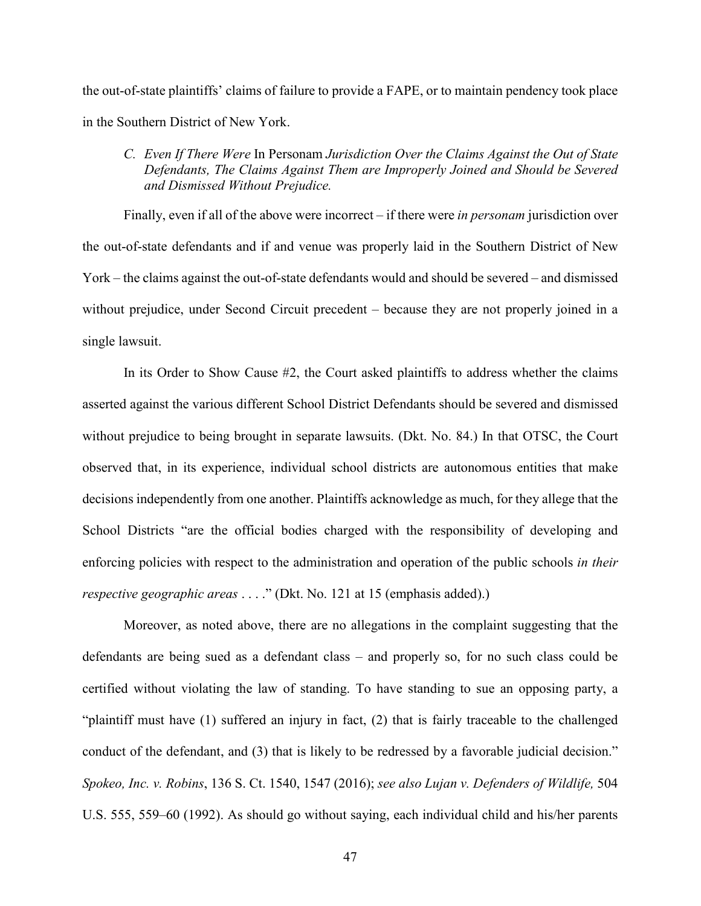the out-of-state plaintiffs' claims of failure to provide a FAPE, or to maintain pendency took place in the Southern District of New York.

*C. Even If There Were* In Personam *Jurisdiction Over the Claims Against the Out of State Defendants, The Claims Against Them are Improperly Joined and Should be Severed and Dismissed Without Prejudice.* 

Finally, even if all of the above were incorrect – if there were *in personam* jurisdiction over the out-of-state defendants and if and venue was properly laid in the Southern District of New York – the claims against the out-of-state defendants would and should be severed – and dismissed without prejudice, under Second Circuit precedent – because they are not properly joined in a single lawsuit.

In its Order to Show Cause #2, the Court asked plaintiffs to address whether the claims asserted against the various different School District Defendants should be severed and dismissed without prejudice to being brought in separate lawsuits. (Dkt. No. 84.) In that OTSC, the Court observed that, in its experience, individual school districts are autonomous entities that make decisions independently from one another. Plaintiffs acknowledge as much, for they allege that the School Districts "are the official bodies charged with the responsibility of developing and enforcing policies with respect to the administration and operation of the public schools *in their respective geographic areas* . . . ." (Dkt. No. 121 at 15 (emphasis added).)

Moreover, as noted above, there are no allegations in the complaint suggesting that the defendants are being sued as a defendant class – and properly so, for no such class could be certified without violating the law of standing. To have standing to sue an opposing party, a "plaintiff must have (1) suffered an injury in fact, (2) that is fairly traceable to the challenged conduct of the defendant, and (3) that is likely to be redressed by a favorable judicial decision." *Spokeo, Inc. v. Robins*, 136 S. Ct. 1540, 1547 (2016); *see also Lujan v. Defenders of Wildlife,* 504 U.S. 555, 559–60 (1992). As should go without saying, each individual child and his/her parents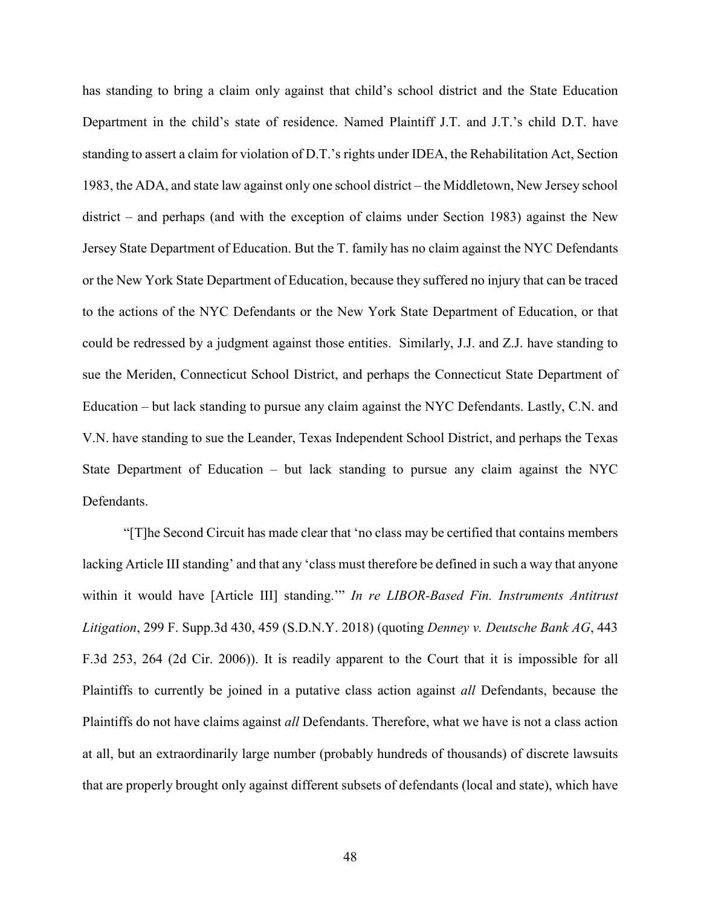has standing to bring a claim only against that child's school district and the State Education Department in the child's state of residence. Named Plaintiff J.T. and J.T.'s child D.T. have standing to assert a claim for violation of D.T.'s rights under IDEA, the Rehabilitation Act, Section 1983, the ADA, and state law against only one school district – the Middletown, New Jersey school district – and perhaps (and with the exception of claims under Section 1983) against the New Jersey State Department of Education. But the T. family has no claim against the NYC Defendants or the New York State Department of Education, because they suffered no injury that can be traced to the actions of the NYC Defendants or the New York State Department of Education, or that could be redressed by a judgment against those entities. Similarly, J.J. and Z.J. have standing to sue the Meriden, Connecticut School District, and perhaps the Connecticut State Department of Education – but lack standing to pursue any claim against the NYC Defendants. Lastly, C.N. and V.N. have standing to sue the Leander, Texas Independent School District, and perhaps the Texas State Department of Education – but lack standing to pursue any claim against the NYC Defendants.

"[T]he Second Circuit has made clear that 'no class may be certified that contains members lacking Article III standing' and that any 'class must therefore be defined in such a way that anyone within it would have [Article III] standing.'" *In re LIBOR-Based Fin. Instruments Antitrust Litigation*, 299 F. Supp.3d 430, 459 (S.D.N.Y. 2018) (quoting *Denney v. Deutsche Bank AG*, 443 F.3d 253, 264 (2d Cir. 2006)). It is readily apparent to the Court that it is impossible for all Plaintiffs to currently be joined in a putative class action against *all* Defendants, because the Plaintiffs do not have claims against *all* Defendants. Therefore, what we have is not a class action at all, but an extraordinarily large number (probably hundreds of thousands) of discrete lawsuits that are properly brought only against different subsets of defendants (local and state), which have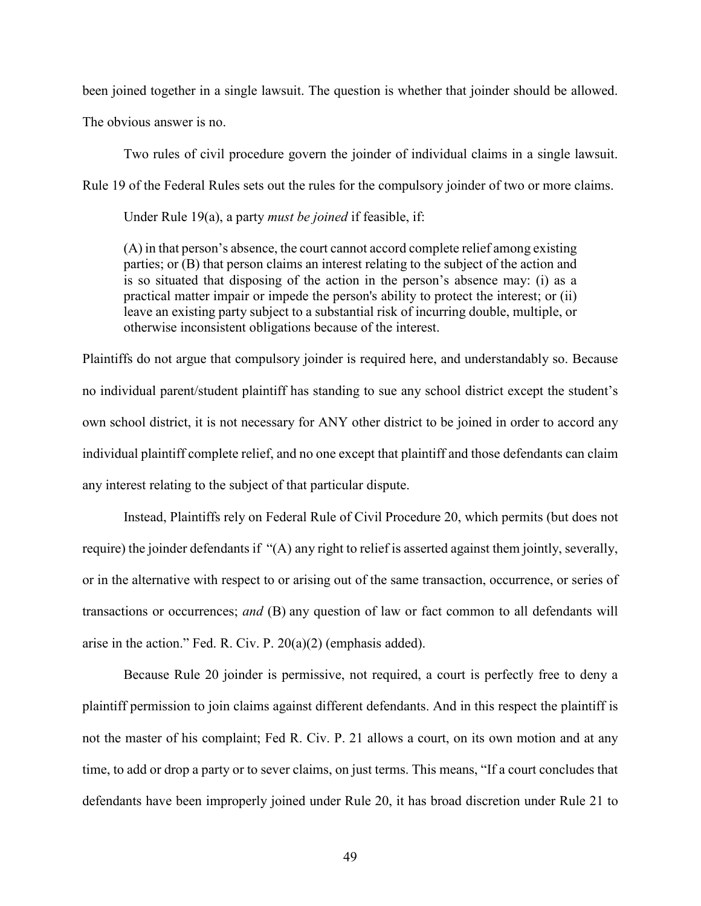been joined together in a single lawsuit. The question is whether that joinder should be allowed.

The obvious answer is no.

Two rules of civil procedure govern the joinder of individual claims in a single lawsuit.

Rule 19 of the Federal Rules sets out the rules for the compulsory joinder of two or more claims.

Under Rule 19(a), a party *must be joined* if feasible, if:

(A) in that person's absence, the court cannot accord complete relief among existing parties; or (B) that person claims an interest relating to the subject of the action and is so situated that disposing of the action in the person's absence may: (i) as a practical matter impair or impede the person's ability to protect the interest; or (ii) leave an existing party subject to a substantial risk of incurring double, multiple, or otherwise inconsistent obligations because of the interest.

Plaintiffs do not argue that compulsory joinder is required here, and understandably so. Because no individual parent/student plaintiff has standing to sue any school district except the student's own school district, it is not necessary for ANY other district to be joined in order to accord any individual plaintiff complete relief, and no one except that plaintiff and those defendants can claim any interest relating to the subject of that particular dispute.

Instead, Plaintiffs rely on Federal Rule of Civil Procedure 20, which permits (but does not require) the joinder defendants if "(A) any right to relief is asserted against them jointly, severally, or in the alternative with respect to or arising out of the same transaction, occurrence, or series of transactions or occurrences; *and* (B) any question of law or fact common to all defendants will arise in the action." Fed. R. Civ. P. 20(a)(2) (emphasis added).

Because Rule 20 joinder is permissive, not required, a court is perfectly free to deny a plaintiff permission to join claims against different defendants. And in this respect the plaintiff is not the master of his complaint; Fed R. Civ. P. 21 allows a court, on its own motion and at any time, to add or drop a party or to sever claims, on just terms. This means, "If a court concludes that defendants have been improperly joined under Rule 20, it has broad discretion under Rule 21 to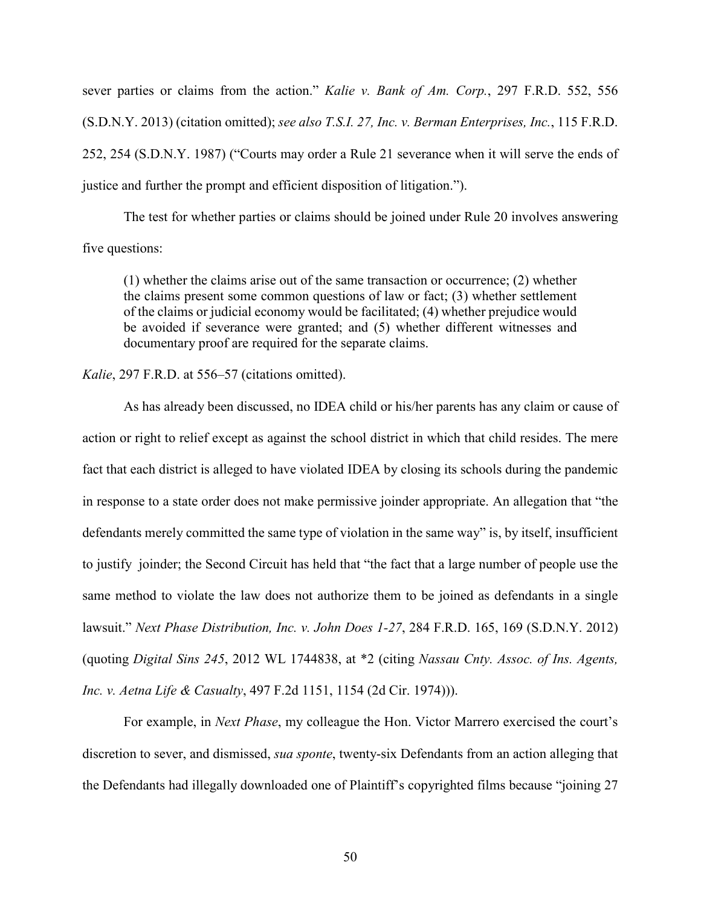sever parties or claims from the action." *Kalie v. Bank of Am. Corp.*, 297 F.R.D. 552, 556 (S.D.N.Y. 2013) (citation omitted); *see also T.S.I. 27, Inc. v. Berman Enterprises, Inc.*, 115 F.R.D. 252, 254 (S.D.N.Y. 1987) ("Courts may order a Rule 21 severance when it will serve the ends of justice and further the prompt and efficient disposition of litigation.").

The test for whether parties or claims should be joined under Rule 20 involves answering five questions:

(1) whether the claims arise out of the same transaction or occurrence; (2) whether the claims present some common questions of law or fact; (3) whether settlement of the claims or judicial economy would be facilitated; (4) whether prejudice would be avoided if severance were granted; and (5) whether different witnesses and documentary proof are required for the separate claims.

# *Kalie*, 297 F.R.D. at 556–57 (citations omitted).

As has already been discussed, no IDEA child or his/her parents has any claim or cause of action or right to relief except as against the school district in which that child resides. The mere fact that each district is alleged to have violated IDEA by closing its schools during the pandemic in response to a state order does not make permissive joinder appropriate. An allegation that "the defendants merely committed the same type of violation in the same way" is, by itself, insufficient to justify joinder; the Second Circuit has held that "the fact that a large number of people use the same method to violate the law does not authorize them to be joined as defendants in a single lawsuit." *Next Phase Distribution, Inc. v. John Does 1-27*, 284 F.R.D. 165, 169 (S.D.N.Y. 2012) (quoting *Digital Sins 245*, 2012 WL 1744838, at \*2 (citing *Nassau Cnty. Assoc. of Ins. Agents, Inc. v. Aetna Life & Casualty*, 497 F.2d 1151, 1154 (2d Cir. 1974))).

For example, in *Next Phase*, my colleague the Hon. Victor Marrero exercised the court's discretion to sever, and dismissed, *sua sponte*, twenty-six Defendants from an action alleging that the Defendants had illegally downloaded one of Plaintiff's copyrighted films because "joining 27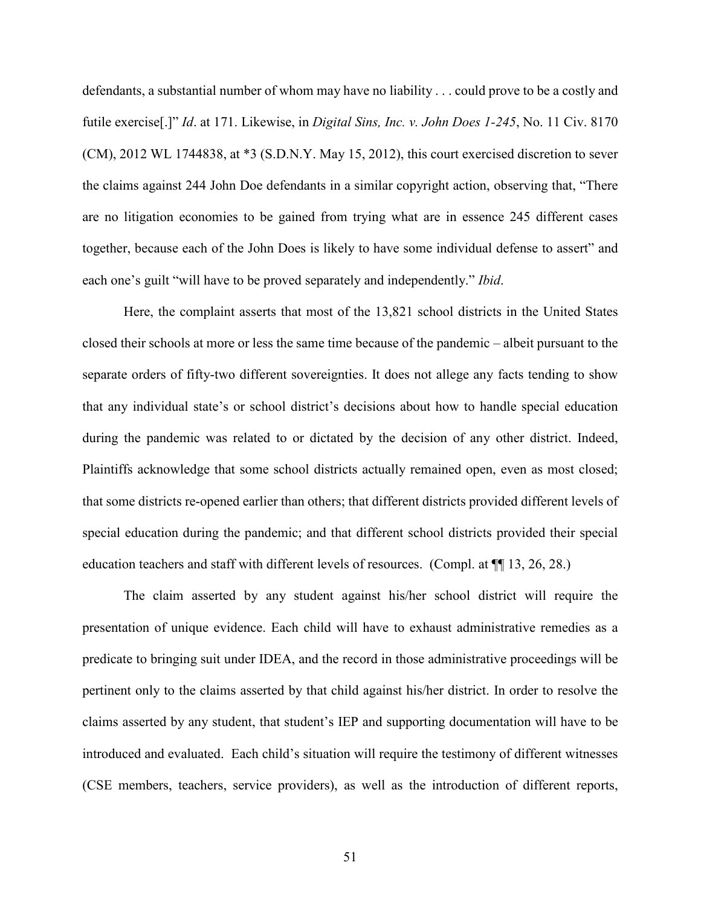defendants, a substantial number of whom may have no liability . . . could prove to be a costly and futile exercise[.]" *Id*. at 171. Likewise, in *Digital Sins, Inc. v. John Does 1-245*, No. 11 Civ. 8170 (CM), 2012 WL 1744838, at \*3 (S.D.N.Y. May 15, 2012), this court exercised discretion to sever the claims against 244 John Doe defendants in a similar copyright action, observing that, "There are no litigation economies to be gained from trying what are in essence 245 different cases together, because each of the John Does is likely to have some individual defense to assert" and each one's guilt "will have to be proved separately and independently." *Ibid*.

Here, the complaint asserts that most of the 13,821 school districts in the United States closed their schools at more or less the same time because of the pandemic – albeit pursuant to the separate orders of fifty-two different sovereignties. It does not allege any facts tending to show that any individual state's or school district's decisions about how to handle special education during the pandemic was related to or dictated by the decision of any other district. Indeed, Plaintiffs acknowledge that some school districts actually remained open, even as most closed; that some districts re-opened earlier than others; that different districts provided different levels of special education during the pandemic; and that different school districts provided their special education teachers and staff with different levels of resources. (Compl. at ¶¶ 13, 26, 28.)

The claim asserted by any student against his/her school district will require the presentation of unique evidence. Each child will have to exhaust administrative remedies as a predicate to bringing suit under IDEA, and the record in those administrative proceedings will be pertinent only to the claims asserted by that child against his/her district. In order to resolve the claims asserted by any student, that student's IEP and supporting documentation will have to be introduced and evaluated. Each child's situation will require the testimony of different witnesses (CSE members, teachers, service providers), as well as the introduction of different reports,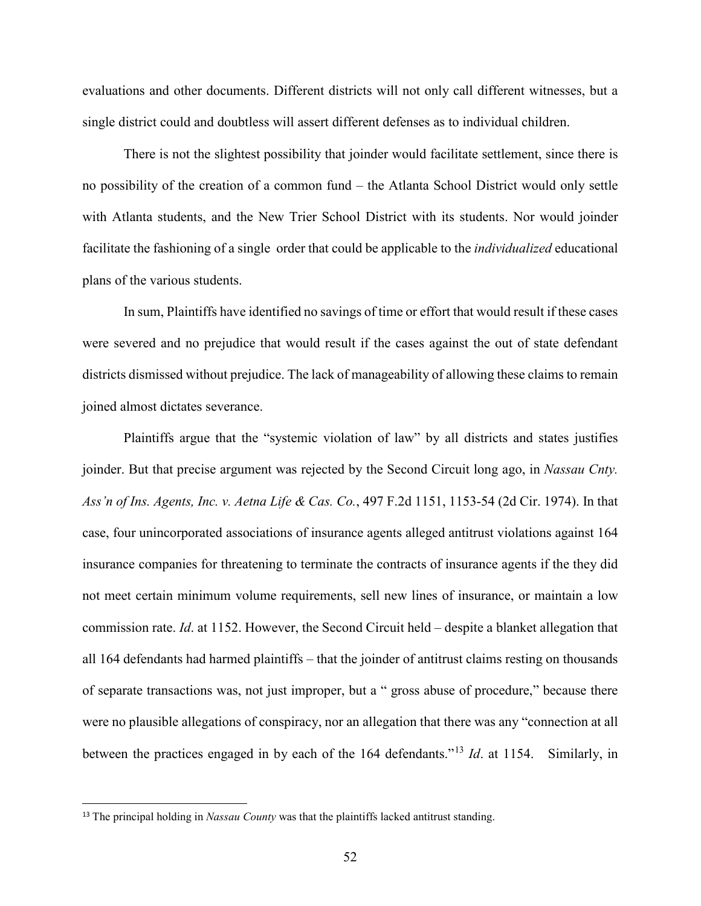evaluations and other documents. Different districts will not only call different witnesses, but a single district could and doubtless will assert different defenses as to individual children.

There is not the slightest possibility that joinder would facilitate settlement, since there is no possibility of the creation of a common fund – the Atlanta School District would only settle with Atlanta students, and the New Trier School District with its students. Nor would joinder facilitate the fashioning of a single order that could be applicable to the *individualized* educational plans of the various students.

In sum, Plaintiffs have identified no savings of time or effort that would result if these cases were severed and no prejudice that would result if the cases against the out of state defendant districts dismissed without prejudice. The lack of manageability of allowing these claims to remain joined almost dictates severance.

Plaintiffs argue that the "systemic violation of law" by all districts and states justifies joinder. But that precise argument was rejected by the Second Circuit long ago, in *Nassau Cnty. Ass'n of Ins. Agents, Inc. v. Aetna Life & Cas. Co.*, 497 F.2d 1151, 1153-54 (2d Cir. 1974). In that case, four unincorporated associations of insurance agents alleged antitrust violations against 164 insurance companies for threatening to terminate the contracts of insurance agents if the they did not meet certain minimum volume requirements, sell new lines of insurance, or maintain a low commission rate. *Id*. at 1152. However, the Second Circuit held – despite a blanket allegation that all 164 defendants had harmed plaintiffs – that the joinder of antitrust claims resting on thousands of separate transactions was, not just improper, but a " gross abuse of procedure," because there were no plausible allegations of conspiracy, nor an allegation that there was any "connection at all between the practices engaged in by each of the 164 defendants."[13](#page-51-0) *Id*. at 1154. Similarly, in

<span id="page-51-0"></span><sup>&</sup>lt;sup>13</sup> The principal holding in *Nassau County* was that the plaintiffs lacked antitrust standing.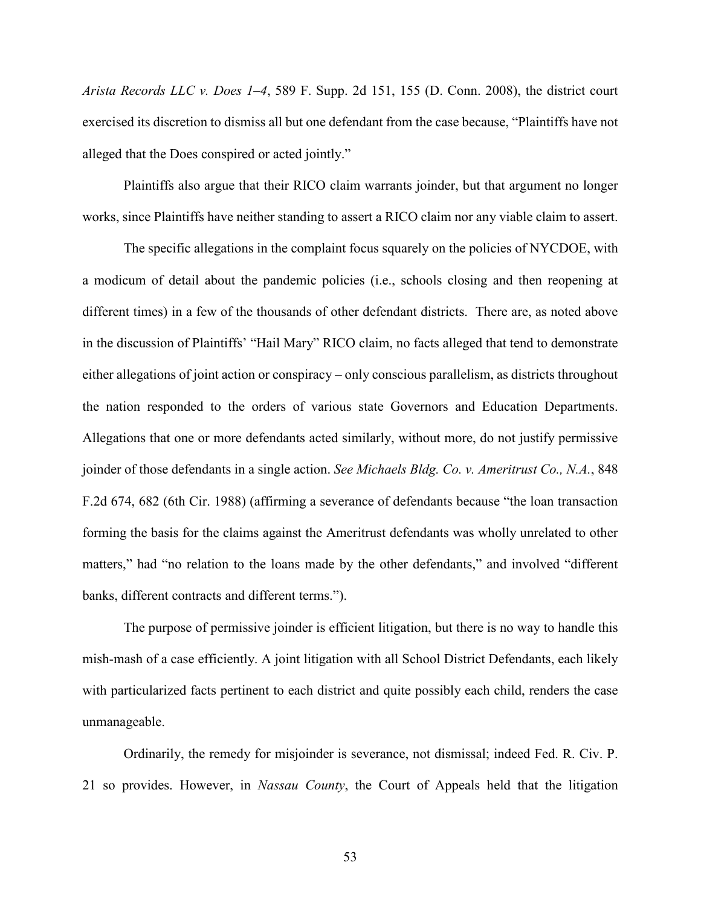*Arista Records LLC v. Does 1–4*, 589 F. Supp. 2d 151, 155 (D. Conn. 2008), the district court exercised its discretion to dismiss all but one defendant from the case because, "Plaintiffs have not alleged that the Does conspired or acted jointly."

Plaintiffs also argue that their RICO claim warrants joinder, but that argument no longer works, since Plaintiffs have neither standing to assert a RICO claim nor any viable claim to assert.

The specific allegations in the complaint focus squarely on the policies of NYCDOE, with a modicum of detail about the pandemic policies (i.e., schools closing and then reopening at different times) in a few of the thousands of other defendant districts. There are, as noted above in the discussion of Plaintiffs' "Hail Mary" RICO claim, no facts alleged that tend to demonstrate either allegations of joint action or conspiracy – only conscious parallelism, as districts throughout the nation responded to the orders of various state Governors and Education Departments. Allegations that one or more defendants acted similarly, without more, do not justify permissive joinder of those defendants in a single action. *See Michaels Bldg. Co. v. Ameritrust Co., N.A.*, 848 F.2d 674, 682 (6th Cir. 1988) (affirming a severance of defendants because "the loan transaction forming the basis for the claims against the Ameritrust defendants was wholly unrelated to other matters," had "no relation to the loans made by the other defendants," and involved "different banks, different contracts and different terms.").

The purpose of permissive joinder is efficient litigation, but there is no way to handle this mish-mash of a case efficiently. A joint litigation with all School District Defendants, each likely with particularized facts pertinent to each district and quite possibly each child, renders the case unmanageable.

Ordinarily, the remedy for misjoinder is severance, not dismissal; indeed Fed. R. Civ. P. 21 so provides. However, in *Nassau County*, the Court of Appeals held that the litigation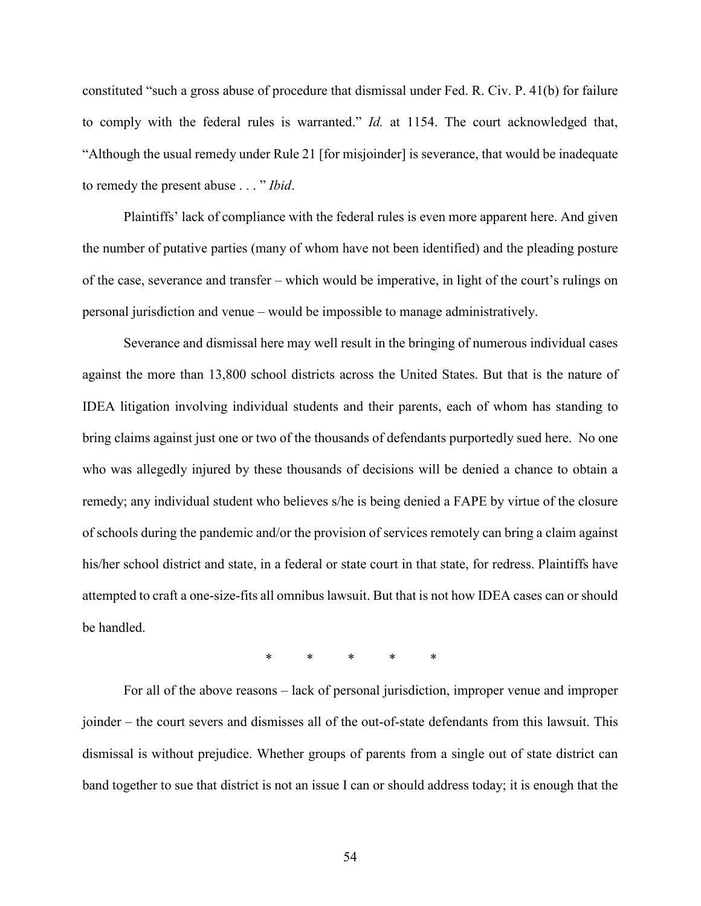constituted "such a gross abuse of procedure that dismissal under Fed. R. Civ. P. 41(b) for failure to comply with the federal rules is warranted." *Id.* at 1154. The court acknowledged that, "Although the usual remedy under Rule 21 [for misjoinder] is severance, that would be inadequate to remedy the present abuse . . . " *Ibid*.

Plaintiffs' lack of compliance with the federal rules is even more apparent here. And given the number of putative parties (many of whom have not been identified) and the pleading posture of the case, severance and transfer – which would be imperative, in light of the court's rulings on personal jurisdiction and venue – would be impossible to manage administratively.

Severance and dismissal here may well result in the bringing of numerous individual cases against the more than 13,800 school districts across the United States. But that is the nature of IDEA litigation involving individual students and their parents, each of whom has standing to bring claims against just one or two of the thousands of defendants purportedly sued here. No one who was allegedly injured by these thousands of decisions will be denied a chance to obtain a remedy; any individual student who believes s/he is being denied a FAPE by virtue of the closure of schools during the pandemic and/or the provision of services remotely can bring a claim against his/her school district and state, in a federal or state court in that state, for redress. Plaintiffs have attempted to craft a one-size-fits all omnibus lawsuit. But that is not how IDEA cases can or should be handled.

*\* \* \* \* \**

For all of the above reasons – lack of personal jurisdiction, improper venue and improper joinder – the court severs and dismisses all of the out-of-state defendants from this lawsuit. This dismissal is without prejudice. Whether groups of parents from a single out of state district can band together to sue that district is not an issue I can or should address today; it is enough that the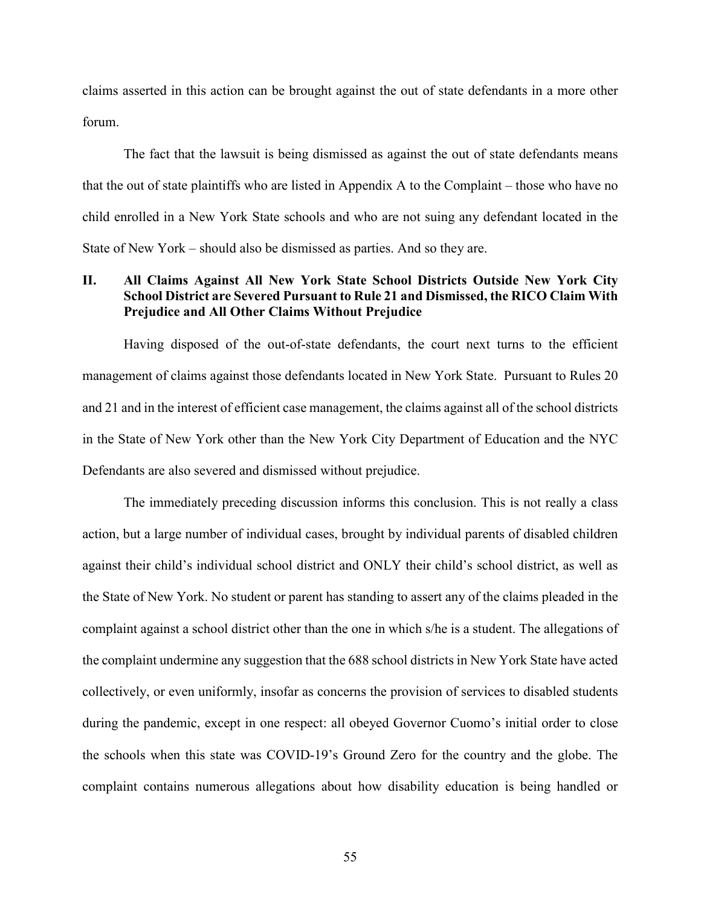claims asserted in this action can be brought against the out of state defendants in a more other forum.

The fact that the lawsuit is being dismissed as against the out of state defendants means that the out of state plaintiffs who are listed in Appendix A to the Complaint – those who have no child enrolled in a New York State schools and who are not suing any defendant located in the State of New York – should also be dismissed as parties. And so they are.

# **II. All Claims Against All New York State School Districts Outside New York City School District are Severed Pursuant to Rule 21 and Dismissed, the RICO Claim With Prejudice and All Other Claims Without Prejudice**

Having disposed of the out-of-state defendants, the court next turns to the efficient management of claims against those defendants located in New York State. Pursuant to Rules 20 and 21 and in the interest of efficient case management, the claims against all of the school districts in the State of New York other than the New York City Department of Education and the NYC Defendants are also severed and dismissed without prejudice.

The immediately preceding discussion informs this conclusion. This is not really a class action, but a large number of individual cases, brought by individual parents of disabled children against their child's individual school district and ONLY their child's school district, as well as the State of New York. No student or parent has standing to assert any of the claims pleaded in the complaint against a school district other than the one in which s/he is a student. The allegations of the complaint undermine any suggestion that the 688 school districts in New York State have acted collectively, or even uniformly, insofar as concerns the provision of services to disabled students during the pandemic, except in one respect: all obeyed Governor Cuomo's initial order to close the schools when this state was COVID-19's Ground Zero for the country and the globe. The complaint contains numerous allegations about how disability education is being handled or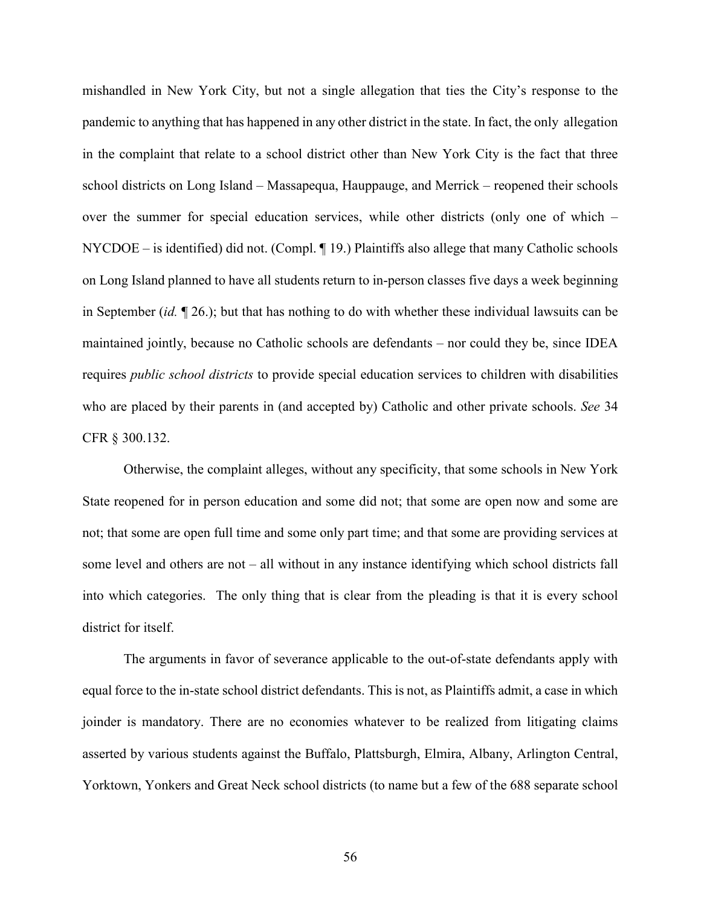mishandled in New York City, but not a single allegation that ties the City's response to the pandemic to anything that has happened in any other district in the state. In fact, the only allegation in the complaint that relate to a school district other than New York City is the fact that three school districts on Long Island – Massapequa, Hauppauge, and Merrick – reopened their schools over the summer for special education services, while other districts (only one of which – NYCDOE – is identified) did not. (Compl. ¶ 19.) Plaintiffs also allege that many Catholic schools on Long Island planned to have all students return to in-person classes five days a week beginning in September (*id.* ¶ 26.); but that has nothing to do with whether these individual lawsuits can be maintained jointly, because no Catholic schools are defendants – nor could they be, since IDEA requires *public school districts* to provide special education services to children with disabilities who are placed by their parents in (and accepted by) Catholic and other private schools. *See* 34 CFR § 300.132.

Otherwise, the complaint alleges, without any specificity, that some schools in New York State reopened for in person education and some did not; that some are open now and some are not; that some are open full time and some only part time; and that some are providing services at some level and others are not – all without in any instance identifying which school districts fall into which categories. The only thing that is clear from the pleading is that it is every school district for itself.

The arguments in favor of severance applicable to the out-of-state defendants apply with equal force to the in-state school district defendants. This is not, as Plaintiffs admit, a case in which joinder is mandatory. There are no economies whatever to be realized from litigating claims asserted by various students against the Buffalo, Plattsburgh, Elmira, Albany, Arlington Central, Yorktown, Yonkers and Great Neck school districts (to name but a few of the 688 separate school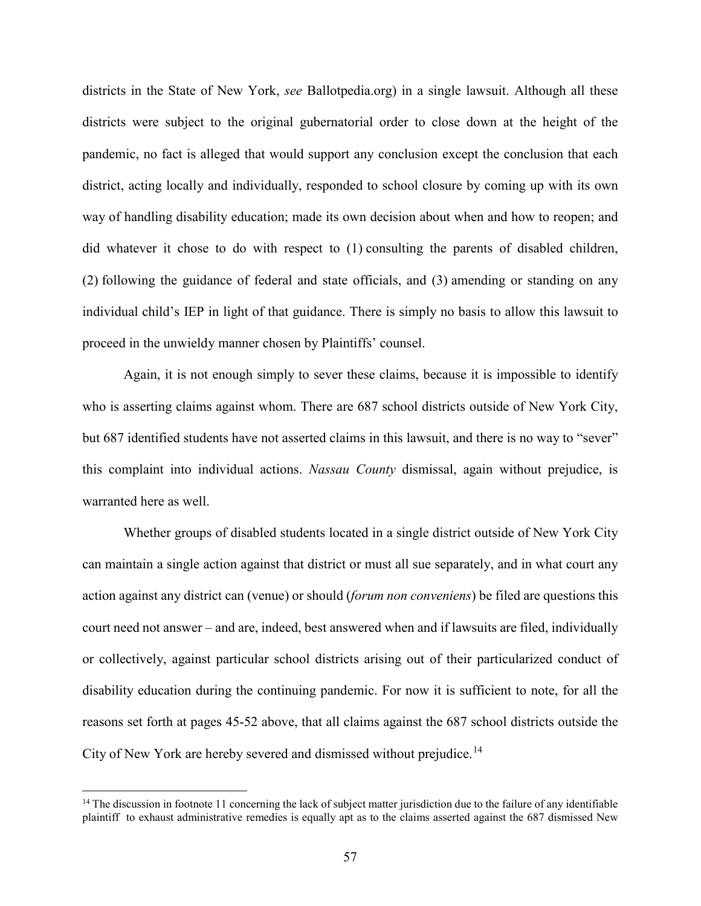districts in the State of New York, *see* Ballotpedia.org) in a single lawsuit. Although all these districts were subject to the original gubernatorial order to close down at the height of the pandemic, no fact is alleged that would support any conclusion except the conclusion that each district, acting locally and individually, responded to school closure by coming up with its own way of handling disability education; made its own decision about when and how to reopen; and did whatever it chose to do with respect to (1) consulting the parents of disabled children, (2) following the guidance of federal and state officials, and (3) amending or standing on any individual child's IEP in light of that guidance. There is simply no basis to allow this lawsuit to proceed in the unwieldy manner chosen by Plaintiffs' counsel.

Again, it is not enough simply to sever these claims, because it is impossible to identify who is asserting claims against whom. There are 687 school districts outside of New York City, but 687 identified students have not asserted claims in this lawsuit, and there is no way to "sever" this complaint into individual actions. *Nassau County* dismissal, again without prejudice, is warranted here as well.

Whether groups of disabled students located in a single district outside of New York City can maintain a single action against that district or must all sue separately, and in what court any action against any district can (venue) or should (*forum non conveniens*) be filed are questions this court need not answer – and are, indeed, best answered when and if lawsuits are filed, individually or collectively, against particular school districts arising out of their particularized conduct of disability education during the continuing pandemic. For now it is sufficient to note, for all the reasons set forth at pages 45-52 above, that all claims against the 687 school districts outside the City of New York are hereby severed and dismissed without prejudice.<sup>[14](#page-56-0)</sup>

<span id="page-56-0"></span><sup>&</sup>lt;sup>14</sup> The discussion in footnote 11 concerning the lack of subject matter jurisdiction due to the failure of any identifiable plaintiff to exhaust administrative remedies is equally apt as to the claims asserted against the 687 dismissed New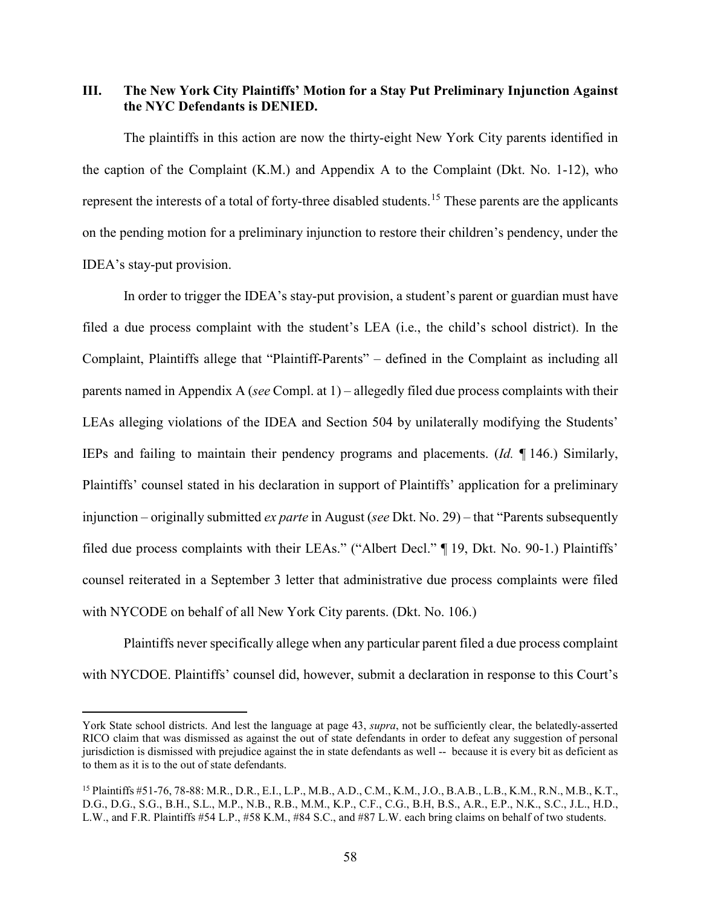# **III. The New York City Plaintiffs' Motion for a Stay Put Preliminary Injunction Against the NYC Defendants is DENIED.**

The plaintiffs in this action are now the thirty-eight New York City parents identified in the caption of the Complaint (K.M.) and Appendix A to the Complaint (Dkt. No. 1-12), who represent the interests of a total of forty-three disabled students.<sup>[15](#page-57-0)</sup> These parents are the applicants on the pending motion for a preliminary injunction to restore their children's pendency, under the IDEA's stay-put provision.

In order to trigger the IDEA's stay-put provision, a student's parent or guardian must have filed a due process complaint with the student's LEA (i.e., the child's school district). In the Complaint, Plaintiffs allege that "Plaintiff-Parents" – defined in the Complaint as including all parents named in Appendix A (*see* Compl. at 1) – allegedly filed due process complaints with their LEAs alleging violations of the IDEA and Section 504 by unilaterally modifying the Students' IEPs and failing to maintain their pendency programs and placements. (*Id.* ¶ 146.) Similarly, Plaintiffs' counsel stated in his declaration in support of Plaintiffs' application for a preliminary injunction – originally submitted *ex parte* in August (*see* Dkt. No. 29) – that "Parents subsequently filed due process complaints with their LEAs." ("Albert Decl." ¶ 19, Dkt. No. 90-1.) Plaintiffs' counsel reiterated in a September 3 letter that administrative due process complaints were filed with NYCODE on behalf of all New York City parents. (Dkt. No. 106.)

Plaintiffs never specifically allege when any particular parent filed a due process complaint with NYCDOE. Plaintiffs' counsel did, however, submit a declaration in response to this Court's

York State school districts. And lest the language at page 43, *supra*, not be sufficiently clear, the belatedly-asserted RICO claim that was dismissed as against the out of state defendants in order to defeat any suggestion of personal jurisdiction is dismissed with prejudice against the in state defendants as well -- because it is every bit as deficient as to them as it is to the out of state defendants.

<span id="page-57-0"></span><sup>15</sup> Plaintiffs #51-76, 78-88: M.R., D.R., E.I., L.P., M.B., A.D., C.M., K.M., J.O., B.A.B., L.B., K.M., R.N., M.B., K.T., D.G., D.G., S.G., B.H., S.L., M.P., N.B., R.B., M.M., K.P., C.F., C.G., B.H, B.S., A.R., E.P., N.K., S.C., J.L., H.D., L.W., and F.R. Plaintiffs #54 L.P., #58 K.M., #84 S.C., and #87 L.W. each bring claims on behalf of two students.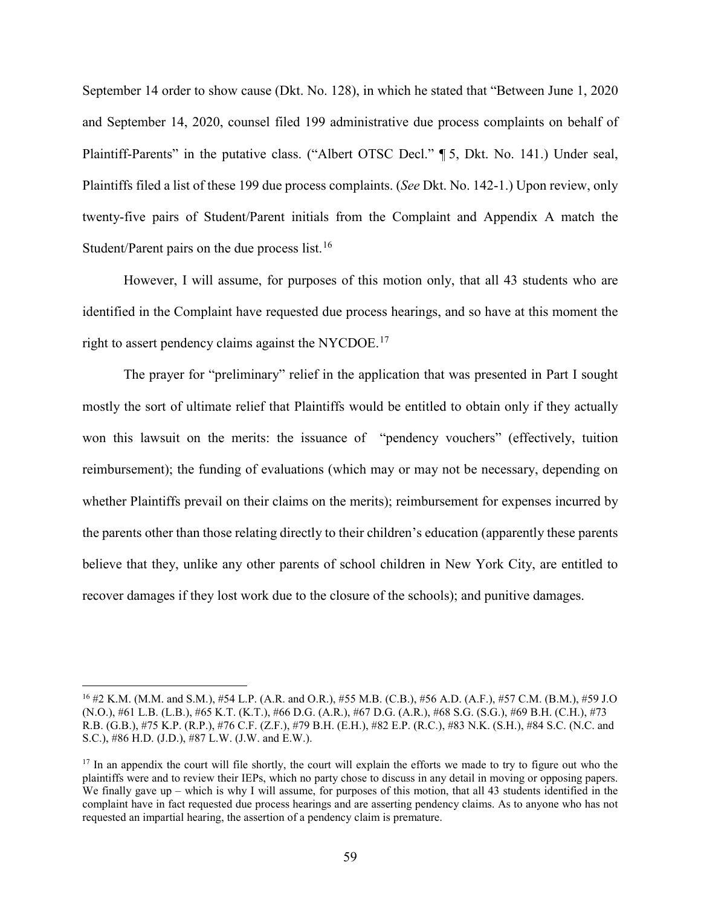September 14 order to show cause (Dkt. No. 128), in which he stated that "Between June 1, 2020 and September 14, 2020, counsel filed 199 administrative due process complaints on behalf of Plaintiff-Parents" in the putative class. ("Albert OTSC Decl." [5, Dkt. No. 141.) Under seal, Plaintiffs filed a list of these 199 due process complaints. (*See* Dkt. No. 142-1.) Upon review, only twenty-five pairs of Student/Parent initials from the Complaint and Appendix A match the Student/Parent pairs on the due process list.[16](#page-58-0)

However, I will assume, for purposes of this motion only, that all 43 students who are identified in the Complaint have requested due process hearings, and so have at this moment the right to assert pendency claims against the NYCDOE.<sup>[17](#page-58-1)</sup>

The prayer for "preliminary" relief in the application that was presented in Part I sought mostly the sort of ultimate relief that Plaintiffs would be entitled to obtain only if they actually won this lawsuit on the merits: the issuance of "pendency vouchers" (effectively, tuition reimbursement); the funding of evaluations (which may or may not be necessary, depending on whether Plaintiffs prevail on their claims on the merits); reimbursement for expenses incurred by the parents other than those relating directly to their children's education (apparently these parents believe that they, unlike any other parents of school children in New York City, are entitled to recover damages if they lost work due to the closure of the schools); and punitive damages.

<span id="page-58-0"></span><sup>16</sup> #2 K.M. (M.M. and S.M.), #54 L.P. (A.R. and O.R.), #55 M.B. (C.B.), #56 A.D. (A.F.), #57 C.M. (B.M.), #59 J.O (N.O.), #61 L.B. (L.B.), #65 K.T. (K.T.), #66 D.G. (A.R.), #67 D.G. (A.R.), #68 S.G. (S.G.), #69 B.H. (C.H.), #73 R.B. (G.B.), #75 K.P. (R.P.), #76 C.F. (Z.F.), #79 B.H. (E.H.), #82 E.P. (R.C.), #83 N.K. (S.H.), #84 S.C. (N.C. and S.C.), #86 H.D. (J.D.), #87 L.W. (J.W. and E.W.).

<span id="page-58-1"></span><sup>&</sup>lt;sup>17</sup> In an appendix the court will file shortly, the court will explain the efforts we made to try to figure out who the plaintiffs were and to review their IEPs, which no party chose to discuss in any detail in moving or opposing papers. We finally gave up – which is why I will assume, for purposes of this motion, that all 43 students identified in the complaint have in fact requested due process hearings and are asserting pendency claims. As to anyone who has not requested an impartial hearing, the assertion of a pendency claim is premature.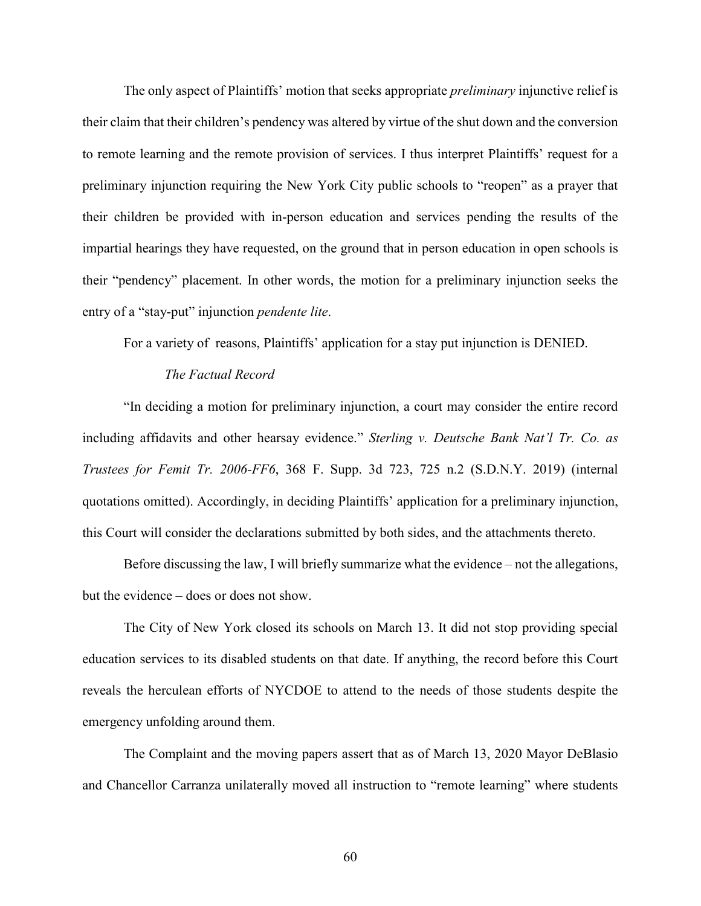The only aspect of Plaintiffs' motion that seeks appropriate *preliminary* injunctive relief is their claim that their children's pendency was altered by virtue of the shut down and the conversion to remote learning and the remote provision of services. I thus interpret Plaintiffs' request for a preliminary injunction requiring the New York City public schools to "reopen" as a prayer that their children be provided with in-person education and services pending the results of the impartial hearings they have requested, on the ground that in person education in open schools is their "pendency" placement. In other words, the motion for a preliminary injunction seeks the entry of a "stay-put" injunction *pendente lite*.

For a variety of reasons, Plaintiffs' application for a stay put injunction is DENIED.

## *The Factual Record*

"In deciding a motion for preliminary injunction, a court may consider the entire record including affidavits and other hearsay evidence." *Sterling v. Deutsche Bank Nat'l Tr. Co. as Trustees for Femit Tr. 2006-FF6*, 368 F. Supp. 3d 723, 725 n.2 (S.D.N.Y. 2019) (internal quotations omitted). Accordingly, in deciding Plaintiffs' application for a preliminary injunction, this Court will consider the declarations submitted by both sides, and the attachments thereto.

Before discussing the law, I will briefly summarize what the evidence – not the allegations, but the evidence – does or does not show.

The City of New York closed its schools on March 13. It did not stop providing special education services to its disabled students on that date. If anything, the record before this Court reveals the herculean efforts of NYCDOE to attend to the needs of those students despite the emergency unfolding around them.

The Complaint and the moving papers assert that as of March 13, 2020 Mayor DeBlasio and Chancellor Carranza unilaterally moved all instruction to "remote learning" where students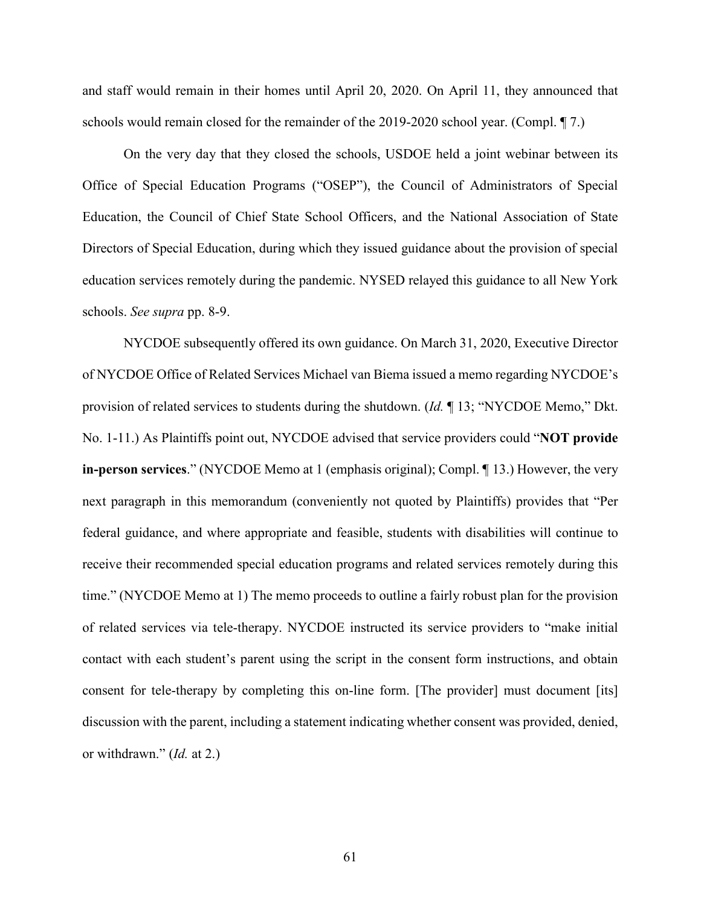and staff would remain in their homes until April 20, 2020. On April 11, they announced that schools would remain closed for the remainder of the 2019-2020 school year. (Compl. ¶ 7.)

On the very day that they closed the schools, USDOE held a joint webinar between its Office of Special Education Programs ("OSEP"), the Council of Administrators of Special Education, the Council of Chief State School Officers, and the National Association of State Directors of Special Education, during which they issued guidance about the provision of special education services remotely during the pandemic. NYSED relayed this guidance to all New York schools. *See supra* pp. 8-9.

NYCDOE subsequently offered its own guidance. On March 31, 2020, Executive Director of NYCDOE Office of Related Services Michael van Biema issued a memo regarding NYCDOE's provision of related services to students during the shutdown. (*Id.* ¶ 13; "NYCDOE Memo," Dkt. No. 1-11.) As Plaintiffs point out, NYCDOE advised that service providers could "**NOT provide in-person services**." (NYCDOE Memo at 1 (emphasis original); Compl. ¶ 13.) However, the very next paragraph in this memorandum (conveniently not quoted by Plaintiffs) provides that "Per federal guidance, and where appropriate and feasible, students with disabilities will continue to receive their recommended special education programs and related services remotely during this time." (NYCDOE Memo at 1) The memo proceeds to outline a fairly robust plan for the provision of related services via tele-therapy. NYCDOE instructed its service providers to "make initial contact with each student's parent using the script in the consent form instructions, and obtain consent for tele-therapy by completing this on-line form. [The provider] must document [its] discussion with the parent, including a statement indicating whether consent was provided, denied, or withdrawn." (*Id.* at 2.)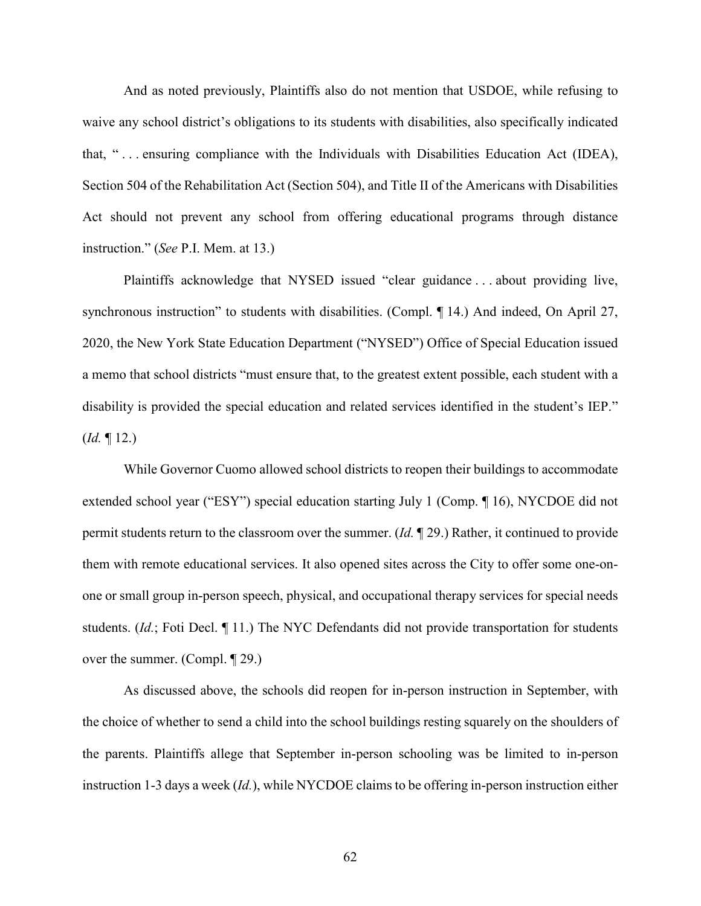And as noted previously, Plaintiffs also do not mention that USDOE, while refusing to waive any school district's obligations to its students with disabilities, also specifically indicated that, " . . . ensuring compliance with the Individuals with Disabilities Education Act (IDEA), Section 504 of the Rehabilitation Act (Section 504), and Title II of the Americans with Disabilities Act should not prevent any school from offering educational programs through distance instruction." (*See* P.I. Mem. at 13.)

Plaintiffs acknowledge that NYSED issued "clear guidance . . . about providing live, synchronous instruction" to students with disabilities. (Compl. ¶ 14.) And indeed, On April 27, 2020, the New York State Education Department ("NYSED") Office of Special Education issued a memo that school districts "must ensure that, to the greatest extent possible, each student with a disability is provided the special education and related services identified in the student's IEP." (*Id.* ¶ 12.)

While Governor Cuomo allowed school districts to reopen their buildings to accommodate extended school year ("ESY") special education starting July 1 (Comp. ¶ 16), NYCDOE did not permit students return to the classroom over the summer. (*Id.* ¶ 29.) Rather, it continued to provide them with remote educational services. It also opened sites across the City to offer some one-onone or small group in-person speech, physical, and occupational therapy services for special needs students. (*Id.*; Foti Decl. ¶ 11.) The NYC Defendants did not provide transportation for students over the summer. (Compl. ¶ 29.)

As discussed above, the schools did reopen for in-person instruction in September, with the choice of whether to send a child into the school buildings resting squarely on the shoulders of the parents. Plaintiffs allege that September in-person schooling was be limited to in-person instruction 1-3 days a week (*Id.*), while NYCDOE claims to be offering in-person instruction either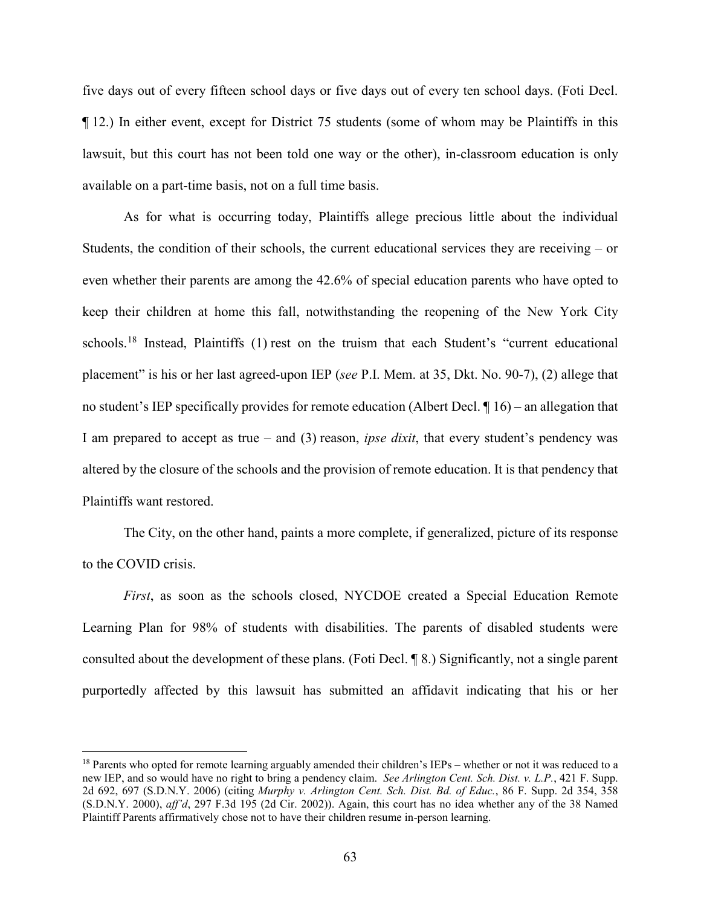five days out of every fifteen school days or five days out of every ten school days. (Foti Decl. ¶ 12.) In either event, except for District 75 students (some of whom may be Plaintiffs in this lawsuit, but this court has not been told one way or the other), in-classroom education is only available on a part-time basis, not on a full time basis.

As for what is occurring today, Plaintiffs allege precious little about the individual Students, the condition of their schools, the current educational services they are receiving – or even whether their parents are among the 42.6% of special education parents who have opted to keep their children at home this fall, notwithstanding the reopening of the New York City schools.<sup>[18](#page-62-0)</sup> Instead, Plaintiffs (1) rest on the truism that each Student's "current educational placement" is his or her last agreed-upon IEP (*see* P.I. Mem. at 35, Dkt. No. 90-7), (2) allege that no student's IEP specifically provides for remote education (Albert Decl. ¶ 16) – an allegation that I am prepared to accept as true – and (3) reason, *ipse dixit*, that every student's pendency was altered by the closure of the schools and the provision of remote education. It is that pendency that Plaintiffs want restored.

The City, on the other hand, paints a more complete, if generalized, picture of its response to the COVID crisis.

*First*, as soon as the schools closed, NYCDOE created a Special Education Remote Learning Plan for 98% of students with disabilities. The parents of disabled students were consulted about the development of these plans. (Foti Decl. ¶ 8.) Significantly, not a single parent purportedly affected by this lawsuit has submitted an affidavit indicating that his or her

 $\overline{\phantom{a}}$ 

<span id="page-62-0"></span> $18$  Parents who opted for remote learning arguably amended their children's IEPs – whether or not it was reduced to a new IEP, and so would have no right to bring a pendency claim. *See Arlington Cent. Sch. Dist. v. L.P.*, 421 F. Supp. 2d 692, 697 (S.D.N.Y. 2006) (citing *Murphy v. Arlington Cent. Sch. Dist. Bd. of Educ.*, 86 F. Supp. 2d 354, 358 (S.D.N.Y. 2000), *aff'd*, 297 F.3d 195 (2d Cir. 2002)). Again, this court has no idea whether any of the 38 Named Plaintiff Parents affirmatively chose not to have their children resume in-person learning.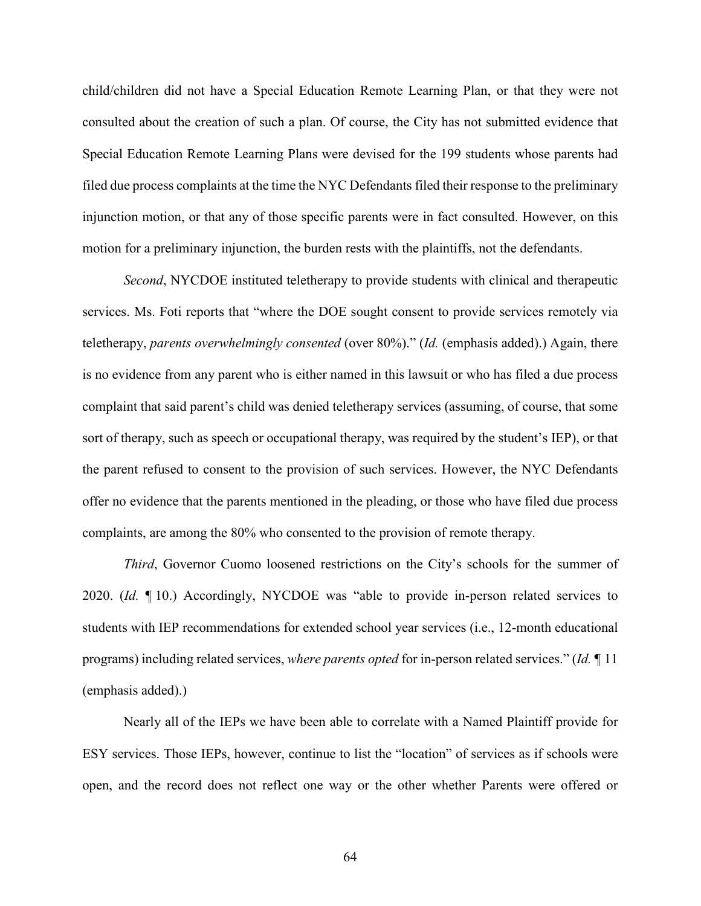child/children did not have a Special Education Remote Learning Plan, or that they were not consulted about the creation of such a plan. Of course, the City has not submitted evidence that Special Education Remote Learning Plans were devised for the 199 students whose parents had filed due process complaints at the time the NYC Defendants filed their response to the preliminary injunction motion, or that any of those specific parents were in fact consulted. However, on this motion for a preliminary injunction, the burden rests with the plaintiffs, not the defendants.

*Second*, NYCDOE instituted teletherapy to provide students with clinical and therapeutic services. Ms. Foti reports that "where the DOE sought consent to provide services remotely via teletherapy, *parents overwhelmingly consented* (over 80%)." (*Id.* (emphasis added).) Again, there is no evidence from any parent who is either named in this lawsuit or who has filed a due process complaint that said parent's child was denied teletherapy services (assuming, of course, that some sort of therapy, such as speech or occupational therapy, was required by the student's IEP), or that the parent refused to consent to the provision of such services. However, the NYC Defendants offer no evidence that the parents mentioned in the pleading, or those who have filed due process complaints, are among the 80% who consented to the provision of remote therapy.

*Third*, Governor Cuomo loosened restrictions on the City's schools for the summer of 2020. (*Id.* ¶ 10.) Accordingly, NYCDOE was "able to provide in-person related services to students with IEP recommendations for extended school year services (i.e., 12-month educational programs) including related services, *where parents opted* for in-person related services." (*Id.* ¶ 11 (emphasis added).)

Nearly all of the IEPs we have been able to correlate with a Named Plaintiff provide for ESY services. Those IEPs, however, continue to list the "location" of services as if schools were open, and the record does not reflect one way or the other whether Parents were offered or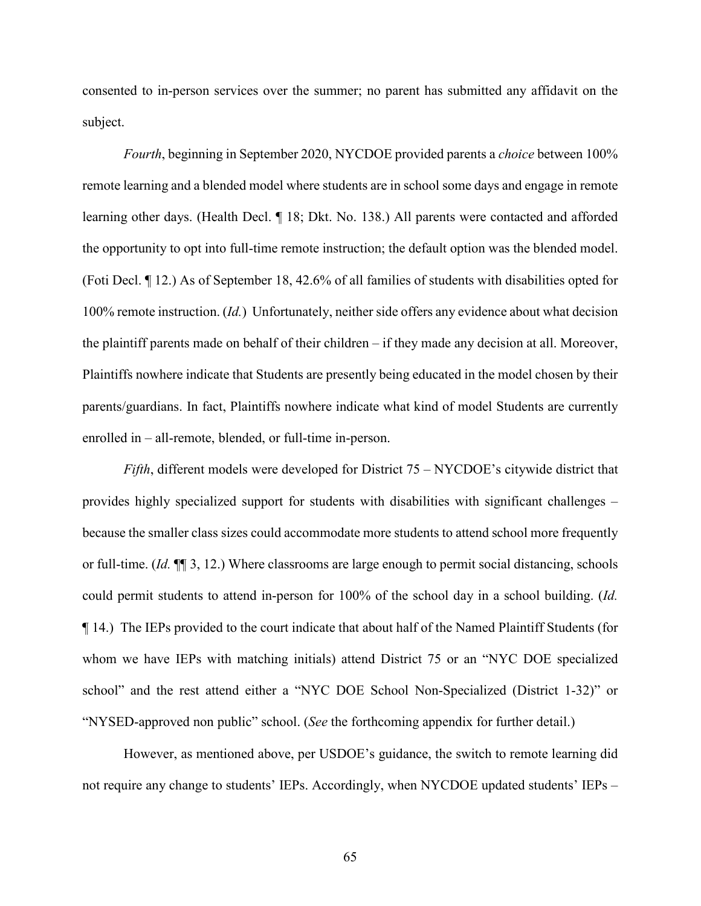consented to in-person services over the summer; no parent has submitted any affidavit on the subject.

*Fourth*, beginning in September 2020, NYCDOE provided parents a *choice* between 100% remote learning and a blended model where students are in school some days and engage in remote learning other days. (Health Decl. ¶ 18; Dkt. No. 138.) All parents were contacted and afforded the opportunity to opt into full-time remote instruction; the default option was the blended model. (Foti Decl. ¶ 12.) As of September 18, 42.6% of all families of students with disabilities opted for 100% remote instruction. (*Id.*) Unfortunately, neither side offers any evidence about what decision the plaintiff parents made on behalf of their children – if they made any decision at all. Moreover, Plaintiffs nowhere indicate that Students are presently being educated in the model chosen by their parents/guardians. In fact, Plaintiffs nowhere indicate what kind of model Students are currently enrolled in – all-remote, blended, or full-time in-person.

*Fifth*, different models were developed for District 75 – NYCDOE's citywide district that provides highly specialized support for students with disabilities with significant challenges – because the smaller class sizes could accommodate more students to attend school more frequently or full-time. (*Id.* ¶¶ 3, 12.) Where classrooms are large enough to permit social distancing, schools could permit students to attend in-person for 100% of the school day in a school building. (*Id.* ¶ 14.) The IEPs provided to the court indicate that about half of the Named Plaintiff Students (for whom we have IEPs with matching initials) attend District 75 or an "NYC DOE specialized school" and the rest attend either a "NYC DOE School Non-Specialized (District 1-32)" or "NYSED-approved non public" school. (*See* the forthcoming appendix for further detail.)

However, as mentioned above, per USDOE's guidance, the switch to remote learning did not require any change to students' IEPs. Accordingly, when NYCDOE updated students' IEPs –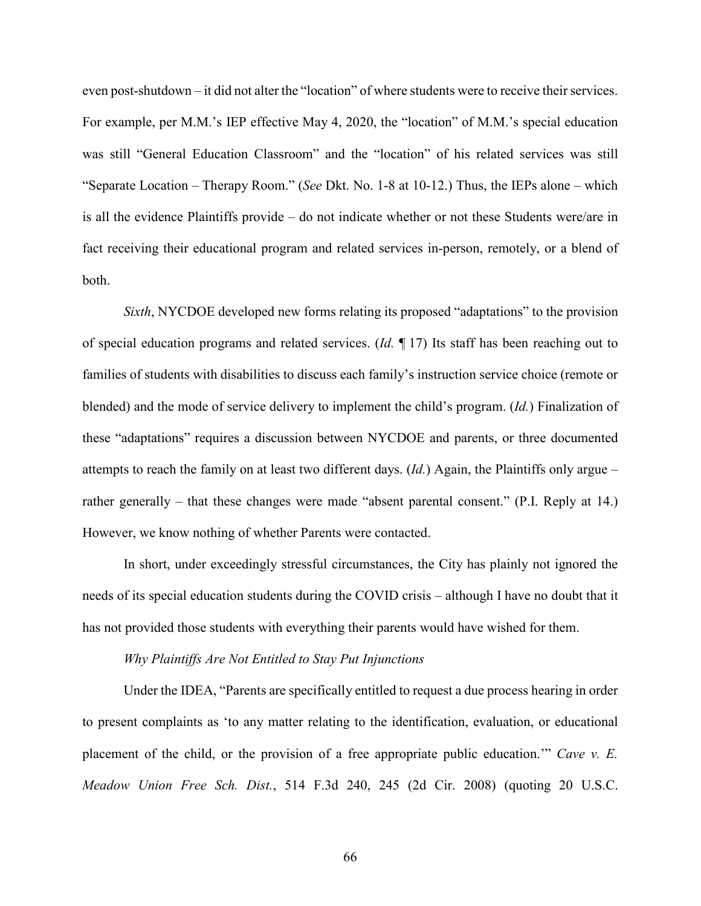even post-shutdown – it did not alter the "location" of where students were to receive their services. For example, per M.M.'s IEP effective May 4, 2020, the "location" of M.M.'s special education was still "General Education Classroom" and the "location" of his related services was still "Separate Location – Therapy Room." (*See* Dkt. No. 1-8 at 10-12.) Thus, the IEPs alone – which is all the evidence Plaintiffs provide – do not indicate whether or not these Students were/are in fact receiving their educational program and related services in-person, remotely, or a blend of both.

*Sixth*, NYCDOE developed new forms relating its proposed "adaptations" to the provision of special education programs and related services. (*Id.* ¶ 17) Its staff has been reaching out to families of students with disabilities to discuss each family's instruction service choice (remote or blended) and the mode of service delivery to implement the child's program. (*Id.*) Finalization of these "adaptations" requires a discussion between NYCDOE and parents, or three documented attempts to reach the family on at least two different days. (*Id.*) Again, the Plaintiffs only argue – rather generally – that these changes were made "absent parental consent." (P.I. Reply at 14.) However, we know nothing of whether Parents were contacted.

In short, under exceedingly stressful circumstances, the City has plainly not ignored the needs of its special education students during the COVID crisis – although I have no doubt that it has not provided those students with everything their parents would have wished for them.

#### *Why Plaintiffs Are Not Entitled to Stay Put Injunctions*

Under the IDEA, "Parents are specifically entitled to request a due process hearing in order to present complaints as 'to any matter relating to the identification, evaluation, or educational placement of the child, or the provision of a free appropriate public education.'" *Cave v. E. Meadow Union Free Sch. Dist.*, 514 F.3d 240, 245 (2d Cir. 2008) (quoting 20 U.S.C.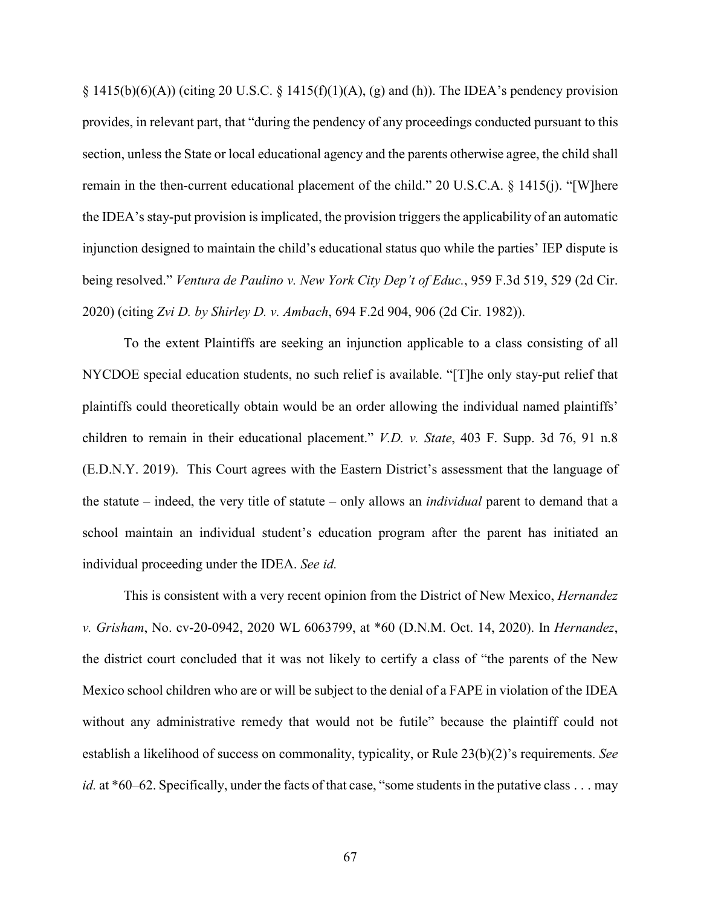$\S$  1415(b)(6)(A)) (citing 20 U.S.C.  $\S$  1415(f)(1)(A), (g) and (h)). The IDEA's pendency provision provides, in relevant part, that "during the pendency of any proceedings conducted pursuant to this section, unless the State or local educational agency and the parents otherwise agree, the child shall remain in the then-current educational placement of the child." 20 U.S.C.A. § 1415(j). "[W]here the IDEA's stay-put provision is implicated, the provision triggers the applicability of an automatic injunction designed to maintain the child's educational status quo while the parties' IEP dispute is being resolved." *Ventura de Paulino v. New York City Dep't of Educ.*, 959 F.3d 519, 529 (2d Cir. 2020) (citing *Zvi D. by Shirley D. v. Ambach*, 694 F.2d 904, 906 (2d Cir. 1982)).

To the extent Plaintiffs are seeking an injunction applicable to a class consisting of all NYCDOE special education students, no such relief is available. "[T]he only stay-put relief that plaintiffs could theoretically obtain would be an order allowing the individual named plaintiffs' children to remain in their educational placement." *V.D. v. State*, 403 F. Supp. 3d 76, 91 n.8 (E.D.N.Y. 2019). This Court agrees with the Eastern District's assessment that the language of the statute – indeed, the very title of statute – only allows an *individual* parent to demand that a school maintain an individual student's education program after the parent has initiated an individual proceeding under the IDEA. *See id.*

This is consistent with a very recent opinion from the District of New Mexico, *Hernandez v. Grisham*, No. cv-20-0942, 2020 WL 6063799, at \*60 (D.N.M. Oct. 14, 2020). In *Hernandez*, the district court concluded that it was not likely to certify a class of "the parents of the New Mexico school children who are or will be subject to the denial of a FAPE in violation of the IDEA without any administrative remedy that would not be futile" because the plaintiff could not establish a likelihood of success on commonality, typicality, or Rule 23(b)(2)'s requirements. *See id.* at \*60–62. Specifically, under the facts of that case, "some students in the putative class . . . may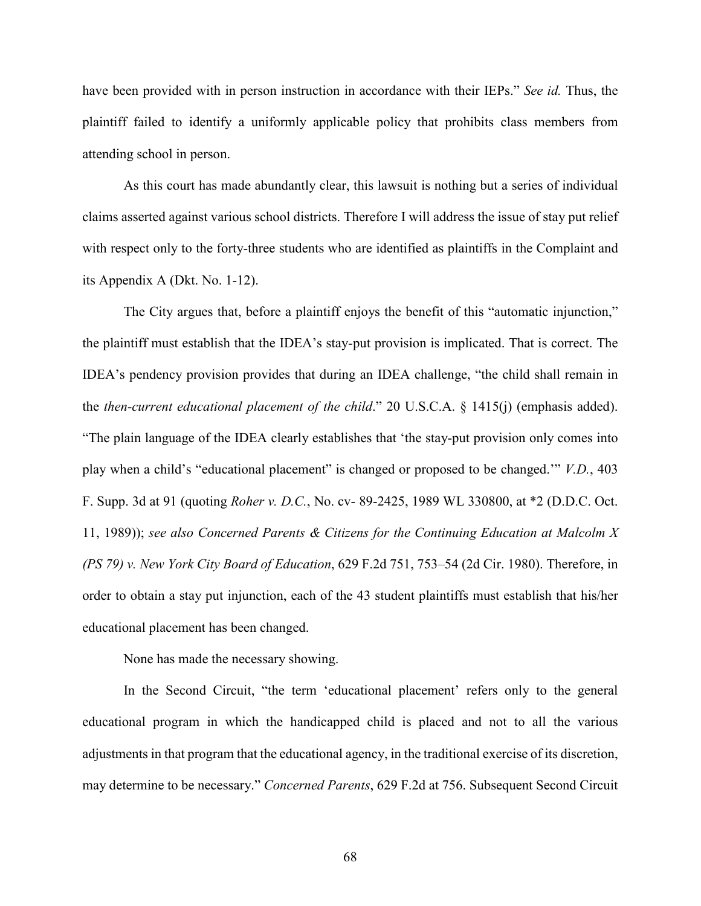have been provided with in person instruction in accordance with their IEPs." *See id.* Thus, the plaintiff failed to identify a uniformly applicable policy that prohibits class members from attending school in person.

As this court has made abundantly clear, this lawsuit is nothing but a series of individual claims asserted against various school districts. Therefore I will address the issue of stay put relief with respect only to the forty-three students who are identified as plaintiffs in the Complaint and its Appendix A (Dkt. No. 1-12).

The City argues that, before a plaintiff enjoys the benefit of this "automatic injunction," the plaintiff must establish that the IDEA's stay-put provision is implicated. That is correct. The IDEA's pendency provision provides that during an IDEA challenge, "the child shall remain in the *then-current educational placement of the child*." 20 U.S.C.A. § 1415(j) (emphasis added). "The plain language of the IDEA clearly establishes that 'the stay-put provision only comes into play when a child's "educational placement" is changed or proposed to be changed.'" *V.D.*, 403 F. Supp. 3d at 91 (quoting *Roher v. D.C.*, No. cv- 89-2425, 1989 WL 330800, at \*2 (D.D.C. Oct. 11, 1989)); *see also Concerned Parents & Citizens for the Continuing Education at Malcolm X (PS 79) v. New York City Board of Education*, 629 F.2d 751, 753–54 (2d Cir. 1980). Therefore, in order to obtain a stay put injunction, each of the 43 student plaintiffs must establish that his/her educational placement has been changed.

None has made the necessary showing.

In the Second Circuit, "the term 'educational placement' refers only to the general educational program in which the handicapped child is placed and not to all the various adjustments in that program that the educational agency, in the traditional exercise of its discretion, may determine to be necessary." *Concerned Parents*, 629 F.2d at 756. Subsequent Second Circuit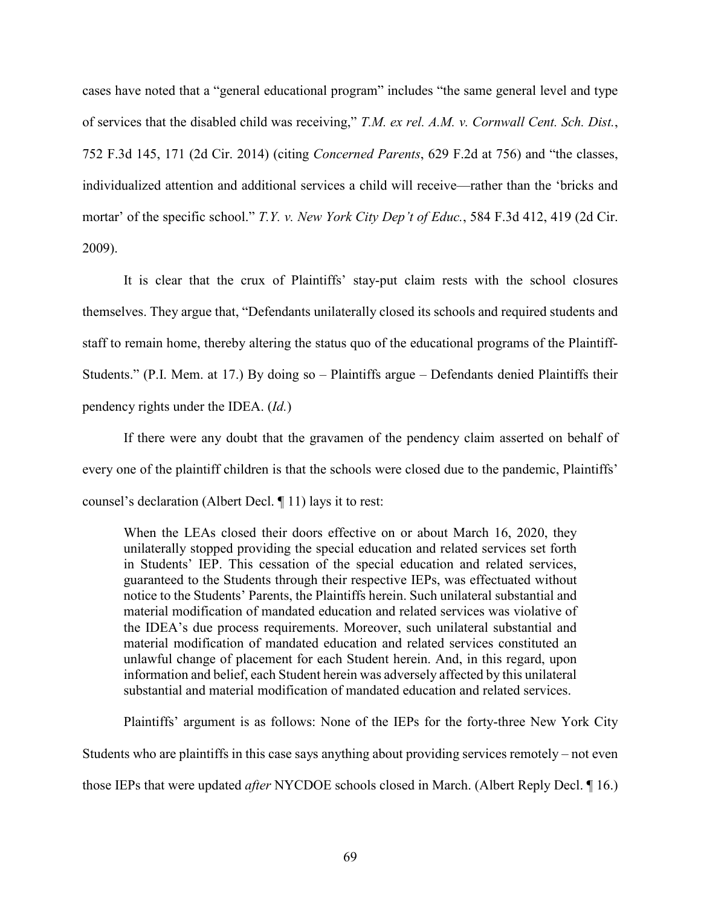cases have noted that a "general educational program" includes "the same general level and type of services that the disabled child was receiving," *T.M. ex rel. A.M. v. Cornwall Cent. Sch. Dist.*, 752 F.3d 145, 171 (2d Cir. 2014) (citing *Concerned Parents*, 629 F.2d at 756) and "the classes, individualized attention and additional services a child will receive—rather than the 'bricks and mortar' of the specific school." *T.Y. v. New York City Dep't of Educ.*, 584 F.3d 412, 419 (2d Cir. 2009).

It is clear that the crux of Plaintiffs' stay-put claim rests with the school closures themselves. They argue that, "Defendants unilaterally closed its schools and required students and staff to remain home, thereby altering the status quo of the educational programs of the Plaintiff-Students." (P.I. Mem. at 17.) By doing so – Plaintiffs argue – Defendants denied Plaintiffs their pendency rights under the IDEA. (*Id.*)

If there were any doubt that the gravamen of the pendency claim asserted on behalf of every one of the plaintiff children is that the schools were closed due to the pandemic, Plaintiffs' counsel's declaration (Albert Decl. ¶ 11) lays it to rest:

When the LEAs closed their doors effective on or about March 16, 2020, they unilaterally stopped providing the special education and related services set forth in Students' IEP. This cessation of the special education and related services, guaranteed to the Students through their respective IEPs, was effectuated without notice to the Students' Parents, the Plaintiffs herein. Such unilateral substantial and material modification of mandated education and related services was violative of the IDEA's due process requirements. Moreover, such unilateral substantial and material modification of mandated education and related services constituted an unlawful change of placement for each Student herein. And, in this regard, upon information and belief, each Student herein was adversely affected by this unilateral substantial and material modification of mandated education and related services.

Plaintiffs' argument is as follows: None of the IEPs for the forty-three New York City Students who are plaintiffs in this case says anything about providing services remotely – not even those IEPs that were updated *after* NYCDOE schools closed in March. (Albert Reply Decl. ¶ 16.)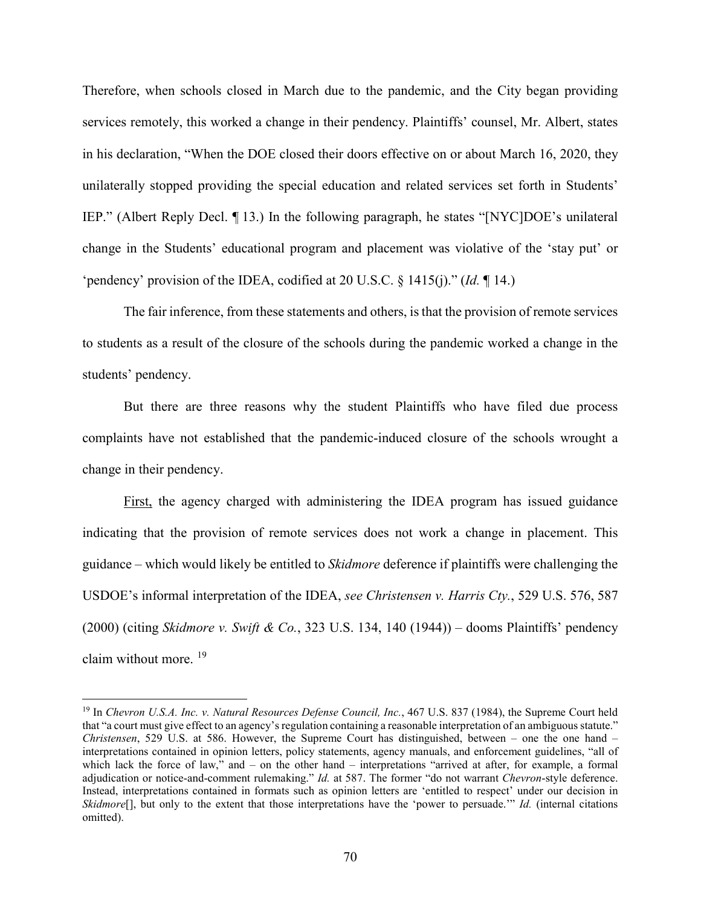Therefore, when schools closed in March due to the pandemic, and the City began providing services remotely, this worked a change in their pendency. Plaintiffs' counsel, Mr. Albert, states in his declaration, "When the DOE closed their doors effective on or about March 16, 2020, they unilaterally stopped providing the special education and related services set forth in Students' IEP." (Albert Reply Decl. ¶ 13.) In the following paragraph, he states "[NYC]DOE's unilateral change in the Students' educational program and placement was violative of the 'stay put' or 'pendency' provision of the IDEA, codified at 20 U.S.C. § 1415(j)." (*Id.* ¶ 14.)

The fair inference, from these statements and others, is that the provision of remote services to students as a result of the closure of the schools during the pandemic worked a change in the students' pendency.

But there are three reasons why the student Plaintiffs who have filed due process complaints have not established that the pandemic-induced closure of the schools wrought a change in their pendency.

First, the agency charged with administering the IDEA program has issued guidance indicating that the provision of remote services does not work a change in placement. This guidance – which would likely be entitled to *Skidmore* deference if plaintiffs were challenging the USDOE's informal interpretation of the IDEA, *see Christensen v. Harris Cty.*, 529 U.S. 576, 587 (2000) (citing *Skidmore v. Swift & Co.*, 323 U.S. 134, 140 (1944)) – dooms Plaintiffs' pendency claim without more. [19](#page-69-0)

<span id="page-69-0"></span><sup>19</sup> In *Chevron U.S.A. Inc. v. Natural Resources Defense Council, Inc.*, 467 U.S. 837 (1984), the Supreme Court held that "a court must give effect to an agency's regulation containing a reasonable interpretation of an ambiguous statute." *Christensen*, 529 U.S. at 586. However, the Supreme Court has distinguished, between – one the one hand – interpretations contained in opinion letters, policy statements, agency manuals, and enforcement guidelines, "all of which lack the force of law," and – on the other hand – interpretations "arrived at after, for example, a formal adjudication or notice-and-comment rulemaking." *Id.* at 587. The former "do not warrant *Chevron*-style deference. Instead, interpretations contained in formats such as opinion letters are 'entitled to respect' under our decision in *Skidmore*[], but only to the extent that those interpretations have the 'power to persuade.'" *Id.* (internal citations omitted).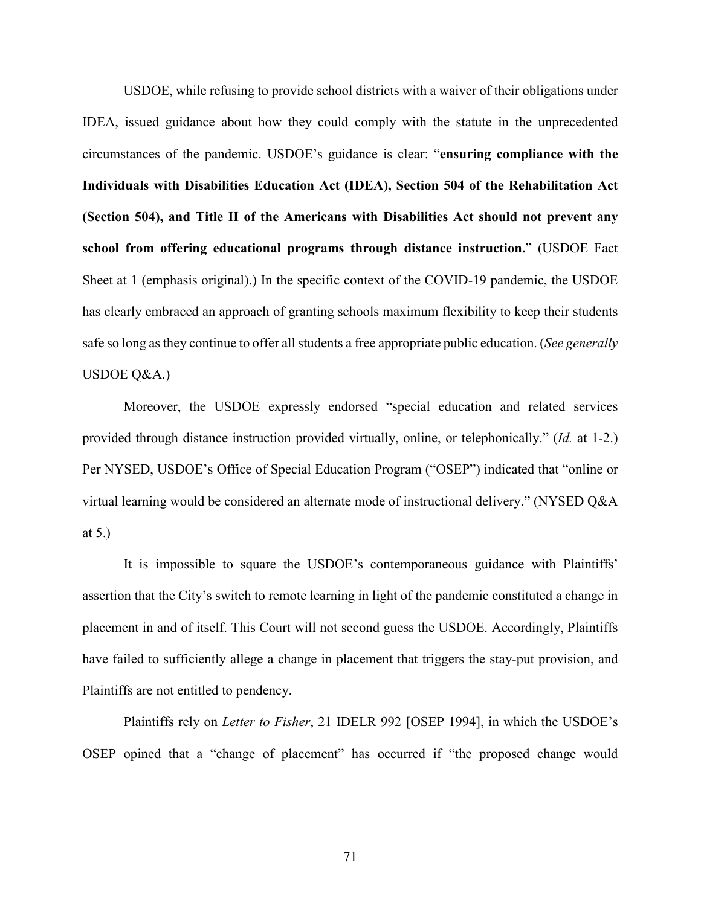USDOE, while refusing to provide school districts with a waiver of their obligations under IDEA, issued guidance about how they could comply with the statute in the unprecedented circumstances of the pandemic. USDOE's guidance is clear: "**ensuring compliance with the Individuals with Disabilities Education Act (IDEA), Section 504 of the Rehabilitation Act (Section 504), and Title II of the Americans with Disabilities Act should not prevent any school from offering educational programs through distance instruction.**" (USDOE Fact Sheet at 1 (emphasis original).) In the specific context of the COVID-19 pandemic, the USDOE has clearly embraced an approach of granting schools maximum flexibility to keep their students safe so long as they continue to offer all students a free appropriate public education. (*See generally* USDOE Q&A.)

Moreover, the USDOE expressly endorsed "special education and related services provided through distance instruction provided virtually, online, or telephonically." (*Id.* at 1-2.) Per NYSED, USDOE's Office of Special Education Program ("OSEP") indicated that "online or virtual learning would be considered an alternate mode of instructional delivery." (NYSED Q&A at 5.)

It is impossible to square the USDOE's contemporaneous guidance with Plaintiffs' assertion that the City's switch to remote learning in light of the pandemic constituted a change in placement in and of itself. This Court will not second guess the USDOE. Accordingly, Plaintiffs have failed to sufficiently allege a change in placement that triggers the stay-put provision, and Plaintiffs are not entitled to pendency.

Plaintiffs rely on *Letter to Fisher*, 21 IDELR 992 [OSEP 1994], in which the USDOE's OSEP opined that a "change of placement" has occurred if "the proposed change would

71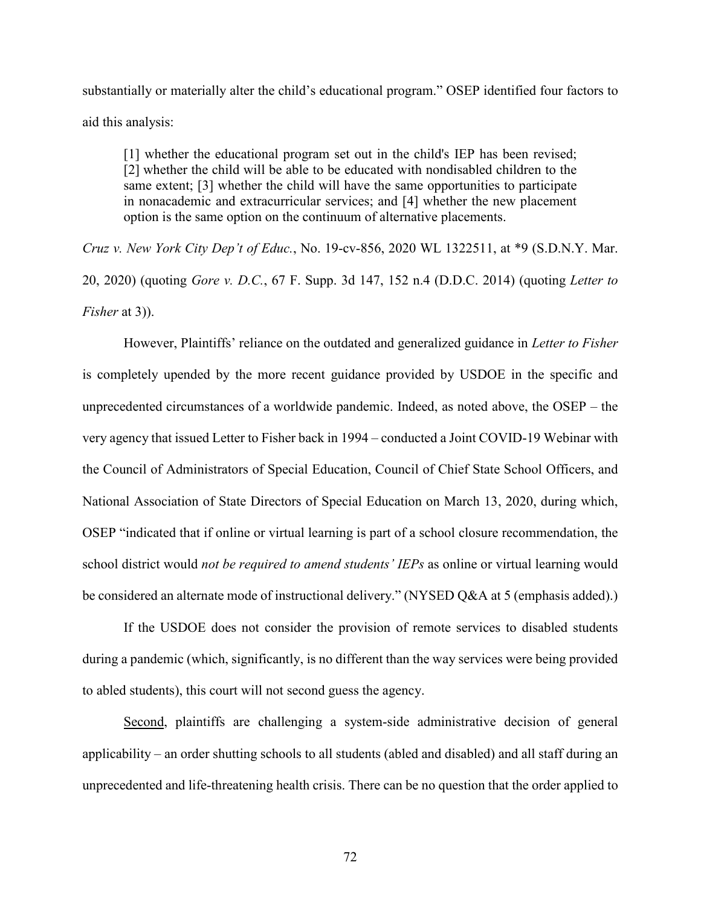substantially or materially alter the child's educational program." OSEP identified four factors to aid this analysis:

[1] whether the educational program set out in the child's IEP has been revised; [2] whether the child will be able to be educated with nondisabled children to the same extent; [3] whether the child will have the same opportunities to participate in nonacademic and extracurricular services; and [4] whether the new placement option is the same option on the continuum of alternative placements.

*Cruz v. New York City Dep't of Educ.*, No. 19-cv-856, 2020 WL 1322511, at \*9 (S.D.N.Y. Mar. 20, 2020) (quoting *Gore v. D.C.*, 67 F. Supp. 3d 147, 152 n.4 (D.D.C. 2014) (quoting *Letter to Fisher* at 3)).

However, Plaintiffs' reliance on the outdated and generalized guidance in *Letter to Fisher* is completely upended by the more recent guidance provided by USDOE in the specific and unprecedented circumstances of a worldwide pandemic. Indeed, as noted above, the OSEP – the very agency that issued Letter to Fisher back in 1994 – conducted a Joint COVID-19 Webinar with the Council of Administrators of Special Education, Council of Chief State School Officers, and National Association of State Directors of Special Education on March 13, 2020, during which, OSEP "indicated that if online or virtual learning is part of a school closure recommendation, the school district would *not be required to amend students' IEPs* as online or virtual learning would be considered an alternate mode of instructional delivery." (NYSED Q&A at 5 (emphasis added).)

If the USDOE does not consider the provision of remote services to disabled students during a pandemic (which, significantly, is no different than the way services were being provided to abled students), this court will not second guess the agency.

Second, plaintiffs are challenging a system-side administrative decision of general applicability – an order shutting schools to all students (abled and disabled) and all staff during an unprecedented and life-threatening health crisis. There can be no question that the order applied to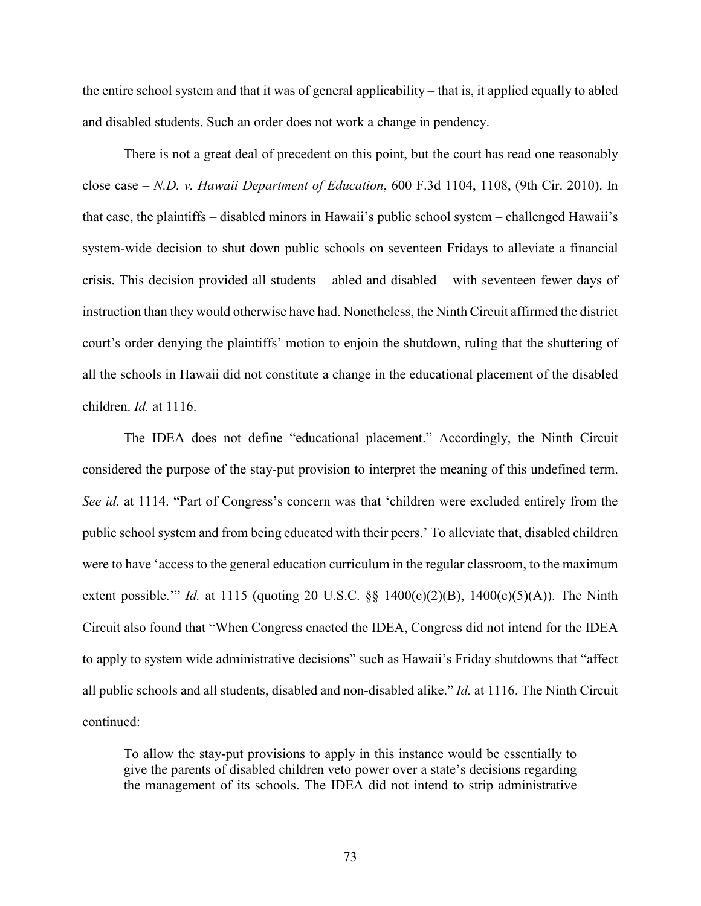the entire school system and that it was of general applicability – that is, it applied equally to abled and disabled students. Such an order does not work a change in pendency.

There is not a great deal of precedent on this point, but the court has read one reasonably close case – *N.D. v. Hawaii Department of Education*, 600 F.3d 1104, 1108, (9th Cir. 2010). In that case, the plaintiffs – disabled minors in Hawaii's public school system – challenged Hawaii's system-wide decision to shut down public schools on seventeen Fridays to alleviate a financial crisis. This decision provided all students – abled and disabled – with seventeen fewer days of instruction than they would otherwise have had. Nonetheless, the Ninth Circuit affirmed the district court's order denying the plaintiffs' motion to enjoin the shutdown, ruling that the shuttering of all the schools in Hawaii did not constitute a change in the educational placement of the disabled children. *Id.* at 1116.

The IDEA does not define "educational placement." Accordingly, the Ninth Circuit considered the purpose of the stay-put provision to interpret the meaning of this undefined term. *See id.* at 1114. "Part of Congress's concern was that 'children were excluded entirely from the public school system and from being educated with their peers.' To alleviate that, disabled children were to have 'access to the general education curriculum in the regular classroom, to the maximum extent possible.'" *Id.* at 1115 (quoting 20 U.S.C. §§ 1400(c)(2)(B), 1400(c)(5)(A)). The Ninth Circuit also found that "When Congress enacted the IDEA, Congress did not intend for the IDEA to apply to system wide administrative decisions" such as Hawaii's Friday shutdowns that "affect all public schools and all students, disabled and non-disabled alike." *Id.* at 1116. The Ninth Circuit continued:

To allow the stay-put provisions to apply in this instance would be essentially to give the parents of disabled children veto power over a state's decisions regarding the management of its schools. The IDEA did not intend to strip administrative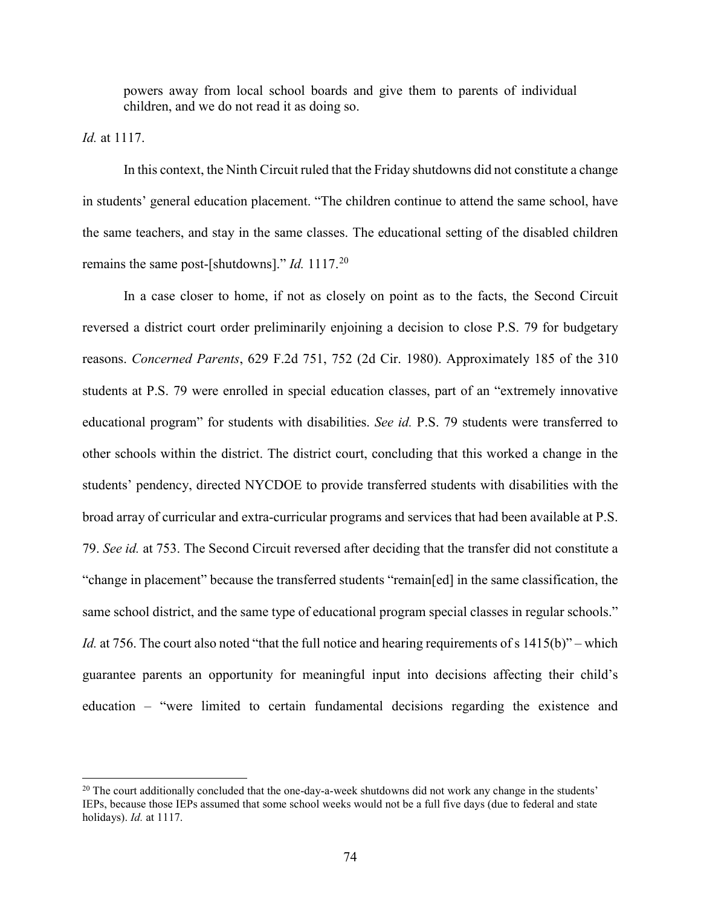powers away from local school boards and give them to parents of individual children, and we do not read it as doing so.

*Id.* at 1117.

l

In this context, the Ninth Circuit ruled that the Friday shutdowns did not constitute a change in students' general education placement. "The children continue to attend the same school, have the same teachers, and stay in the same classes. The educational setting of the disabled children remains the same post-[shutdowns]." *Id.* 1117.<sup>[20](#page-73-0)</sup>

In a case closer to home, if not as closely on point as to the facts, the Second Circuit reversed a district court order preliminarily enjoining a decision to close P.S. 79 for budgetary reasons. *Concerned Parents*, 629 F.2d 751, 752 (2d Cir. 1980). Approximately 185 of the 310 students at P.S. 79 were enrolled in special education classes, part of an "extremely innovative educational program" for students with disabilities. *See id.* P.S. 79 students were transferred to other schools within the district. The district court, concluding that this worked a change in the students' pendency, directed NYCDOE to provide transferred students with disabilities with the broad array of curricular and extra-curricular programs and services that had been available at P.S. 79. *See id.* at 753. The Second Circuit reversed after deciding that the transfer did not constitute a "change in placement" because the transferred students "remain[ed] in the same classification, the same school district, and the same type of educational program special classes in regular schools." *Id.* at 756. The court also noted "that the full notice and hearing requirements of s 1415(b)" – which guarantee parents an opportunity for meaningful input into decisions affecting their child's education – "were limited to certain fundamental decisions regarding the existence and

<span id="page-73-0"></span> $^{20}$  The court additionally concluded that the one-day-a-week shutdowns did not work any change in the students' IEPs, because those IEPs assumed that some school weeks would not be a full five days (due to federal and state holidays). *Id.* at 1117.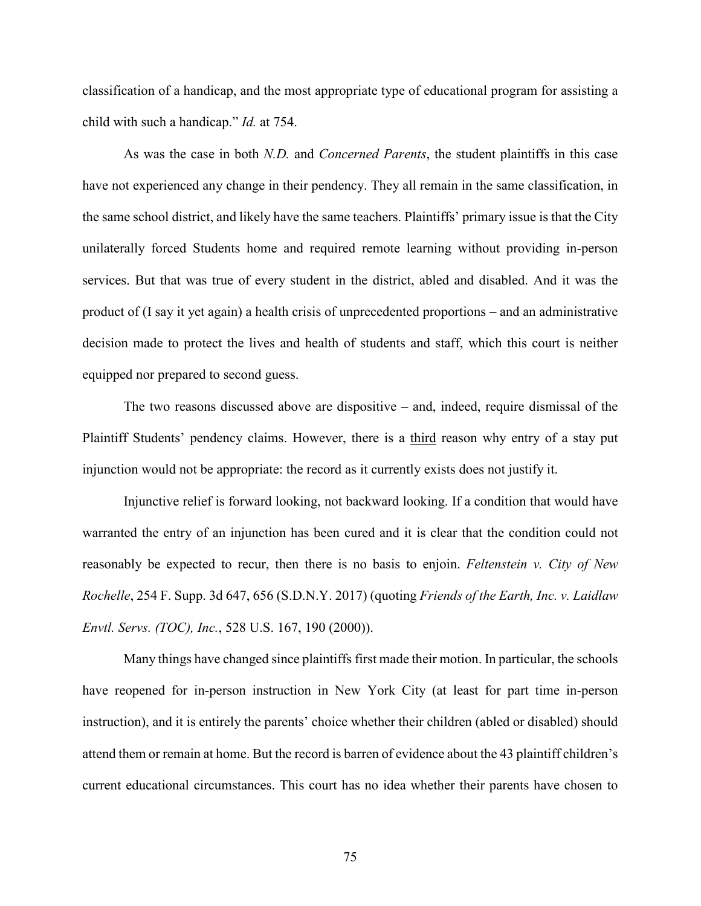classification of a handicap, and the most appropriate type of educational program for assisting a child with such a handicap." *Id.* at 754.

As was the case in both *N.D.* and *Concerned Parents*, the student plaintiffs in this case have not experienced any change in their pendency. They all remain in the same classification, in the same school district, and likely have the same teachers. Plaintiffs' primary issue is that the City unilaterally forced Students home and required remote learning without providing in-person services. But that was true of every student in the district, abled and disabled. And it was the product of (I say it yet again) a health crisis of unprecedented proportions – and an administrative decision made to protect the lives and health of students and staff, which this court is neither equipped nor prepared to second guess.

The two reasons discussed above are dispositive – and, indeed, require dismissal of the Plaintiff Students' pendency claims. However, there is a third reason why entry of a stay put injunction would not be appropriate: the record as it currently exists does not justify it.

Injunctive relief is forward looking, not backward looking. If a condition that would have warranted the entry of an injunction has been cured and it is clear that the condition could not reasonably be expected to recur, then there is no basis to enjoin. *Feltenstein v. City of New Rochelle*, 254 F. Supp. 3d 647, 656 (S.D.N.Y. 2017) (quoting *Friends of the Earth, Inc. v. Laidlaw Envtl. Servs. (TOC), Inc.*, 528 U.S. 167, 190 (2000)).

Many things have changed since plaintiffs first made their motion. In particular, the schools have reopened for in-person instruction in New York City (at least for part time in-person instruction), and it is entirely the parents' choice whether their children (abled or disabled) should attend them or remain at home. But the record is barren of evidence about the 43 plaintiff children's current educational circumstances. This court has no idea whether their parents have chosen to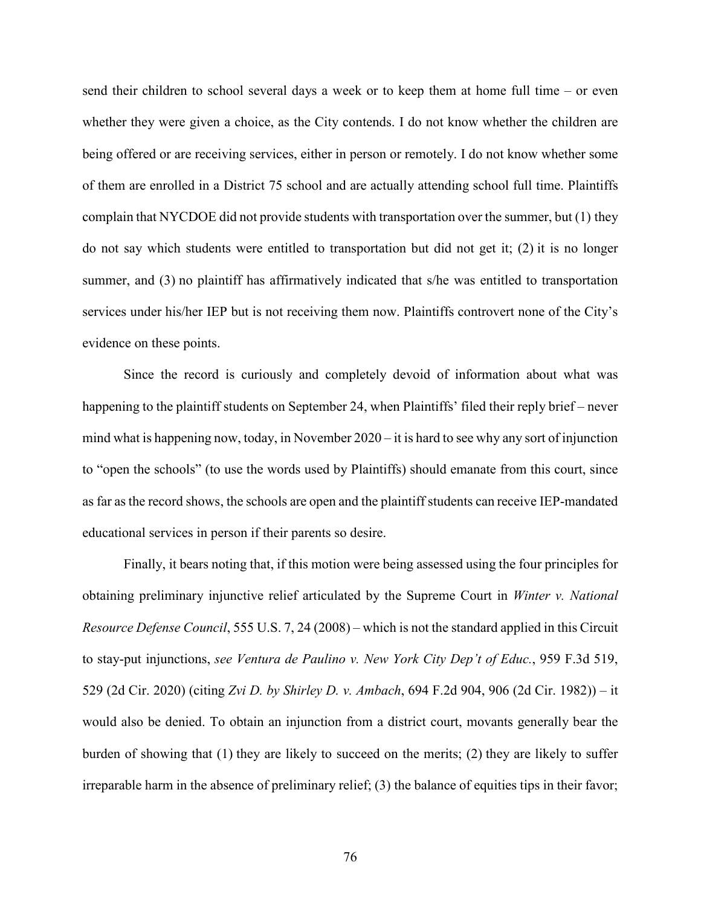send their children to school several days a week or to keep them at home full time – or even whether they were given a choice, as the City contends. I do not know whether the children are being offered or are receiving services, either in person or remotely. I do not know whether some of them are enrolled in a District 75 school and are actually attending school full time. Plaintiffs complain that NYCDOE did not provide students with transportation over the summer, but (1) they do not say which students were entitled to transportation but did not get it; (2) it is no longer summer, and (3) no plaintiff has affirmatively indicated that s/he was entitled to transportation services under his/her IEP but is not receiving them now. Plaintiffs controvert none of the City's evidence on these points.

Since the record is curiously and completely devoid of information about what was happening to the plaintiff students on September 24, when Plaintiffs' filed their reply brief – never mind what is happening now, today, in November  $2020 - it$  is hard to see why any sort of injunction to "open the schools" (to use the words used by Plaintiffs) should emanate from this court, since as far as the record shows, the schools are open and the plaintiff students can receive IEP-mandated educational services in person if their parents so desire.

Finally, it bears noting that, if this motion were being assessed using the four principles for obtaining preliminary injunctive relief articulated by the Supreme Court in *Winter v. National Resource Defense Council*, 555 U.S. 7, 24 (2008) – which is not the standard applied in this Circuit to stay-put injunctions, *see Ventura de Paulino v. New York City Dep't of Educ.*, 959 F.3d 519, 529 (2d Cir. 2020) (citing *Zvi D. by Shirley D. v. Ambach*, 694 F.2d 904, 906 (2d Cir. 1982)) – it would also be denied. To obtain an injunction from a district court, movants generally bear the burden of showing that (1) they are likely to succeed on the merits; (2) they are likely to suffer irreparable harm in the absence of preliminary relief; (3) the balance of equities tips in their favor;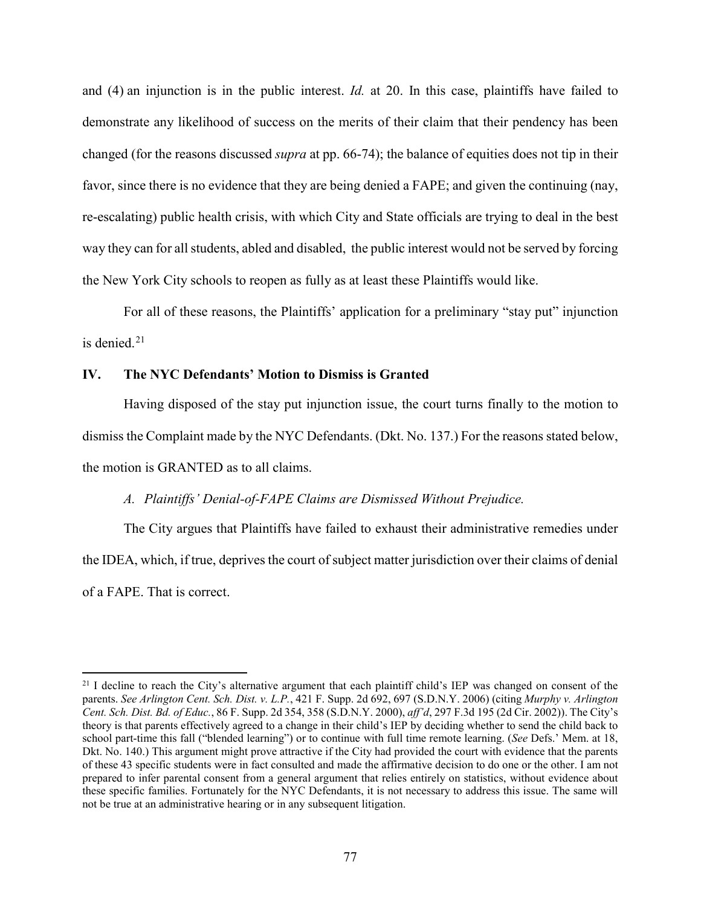and (4) an injunction is in the public interest. *Id.* at 20. In this case, plaintiffs have failed to demonstrate any likelihood of success on the merits of their claim that their pendency has been changed (for the reasons discussed *supra* at pp. 66-74); the balance of equities does not tip in their favor, since there is no evidence that they are being denied a FAPE; and given the continuing (nay, re-escalating) public health crisis, with which City and State officials are trying to deal in the best way they can for all students, abled and disabled, the public interest would not be served by forcing the New York City schools to reopen as fully as at least these Plaintiffs would like.

For all of these reasons, the Plaintiffs' application for a preliminary "stay put" injunction is denied.<sup>[21](#page-76-0)</sup>

## **IV. The NYC Defendants' Motion to Dismiss is Granted**

 $\overline{\phantom{a}}$ 

Having disposed of the stay put injunction issue, the court turns finally to the motion to dismiss the Complaint made by the NYC Defendants. (Dkt. No. 137.) For the reasons stated below, the motion is GRANTED as to all claims.

## *A. Plaintiffs' Denial-of-FAPE Claims are Dismissed Without Prejudice.*

The City argues that Plaintiffs have failed to exhaust their administrative remedies under the IDEA, which, if true, deprives the court of subject matter jurisdiction over their claims of denial of a FAPE. That is correct.

<span id="page-76-0"></span> $^{21}$  I decline to reach the City's alternative argument that each plaintiff child's IEP was changed on consent of the parents. *See Arlington Cent. Sch. Dist. v. L.P.*, 421 F. Supp. 2d 692, 697 (S.D.N.Y. 2006) (citing *Murphy v. Arlington Cent. Sch. Dist. Bd. of Educ.*, 86 F. Supp. 2d 354, 358 (S.D.N.Y. 2000), *aff'd*, 297 F.3d 195 (2d Cir. 2002)). The City's theory is that parents effectively agreed to a change in their child's IEP by deciding whether to send the child back to school part-time this fall ("blended learning") or to continue with full time remote learning. (*See* Defs.' Mem. at 18, Dkt. No. 140.) This argument might prove attractive if the City had provided the court with evidence that the parents of these 43 specific students were in fact consulted and made the affirmative decision to do one or the other. I am not prepared to infer parental consent from a general argument that relies entirely on statistics, without evidence about these specific families. Fortunately for the NYC Defendants, it is not necessary to address this issue. The same will not be true at an administrative hearing or in any subsequent litigation.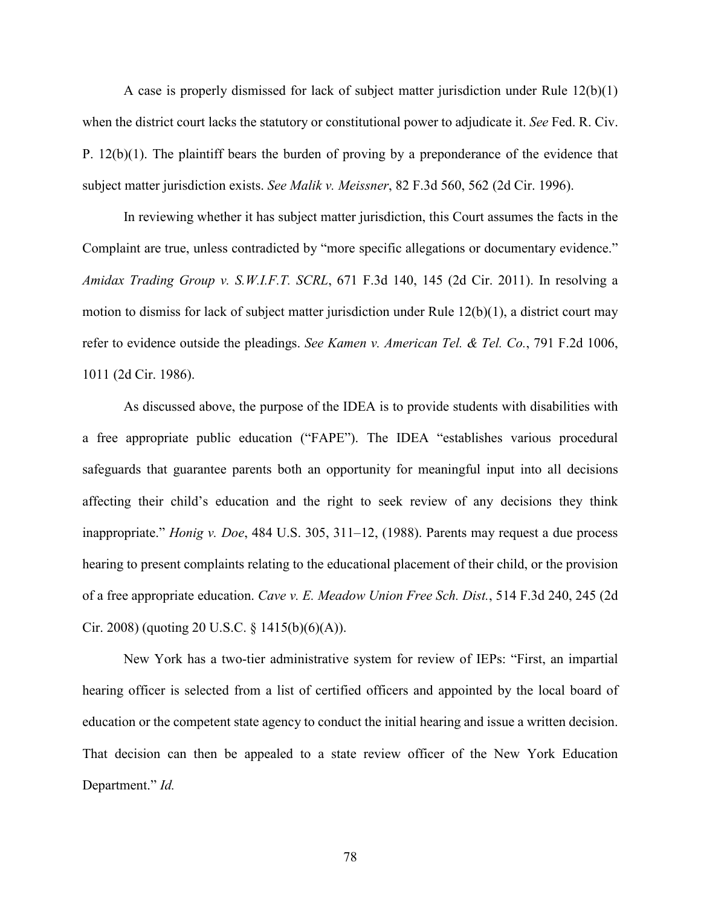A case is properly dismissed for lack of subject matter jurisdiction under Rule 12(b)(1) when the district court lacks the statutory or constitutional power to adjudicate it. *See* Fed. R. Civ. P. 12(b)(1). The plaintiff bears the burden of proving by a preponderance of the evidence that subject matter jurisdiction exists. *See Malik v. Meissner*, 82 F.3d 560, 562 (2d Cir. 1996).

In reviewing whether it has subject matter jurisdiction, this Court assumes the facts in the Complaint are true, unless contradicted by "more specific allegations or documentary evidence." *Amidax Trading Group v. S.W.I.F.T. SCRL*, 671 F.3d 140, 145 (2d Cir. 2011). In resolving a motion to dismiss for lack of subject matter jurisdiction under Rule 12(b)(1), a district court may refer to evidence outside the pleadings. *See Kamen v. American Tel. & Tel. Co.*, 791 F.2d 1006, 1011 (2d Cir. 1986).

As discussed above, the purpose of the IDEA is to provide students with disabilities with a free appropriate public education ("FAPE"). The IDEA "establishes various procedural safeguards that guarantee parents both an opportunity for meaningful input into all decisions affecting their child's education and the right to seek review of any decisions they think inappropriate." *Honig v. Doe*, 484 U.S. 305, 311–12, (1988). Parents may request a due process hearing to present complaints relating to the educational placement of their child, or the provision of a free appropriate education. *Cave v. E. Meadow Union Free Sch. Dist.*, 514 F.3d 240, 245 (2d Cir. 2008) (quoting 20 U.S.C. § 1415(b)(6)(A)).

New York has a two-tier administrative system for review of IEPs: "First, an impartial hearing officer is selected from a list of certified officers and appointed by the local board of education or the competent state agency to conduct the initial hearing and issue a written decision. That decision can then be appealed to a state review officer of the New York Education Department." *Id.*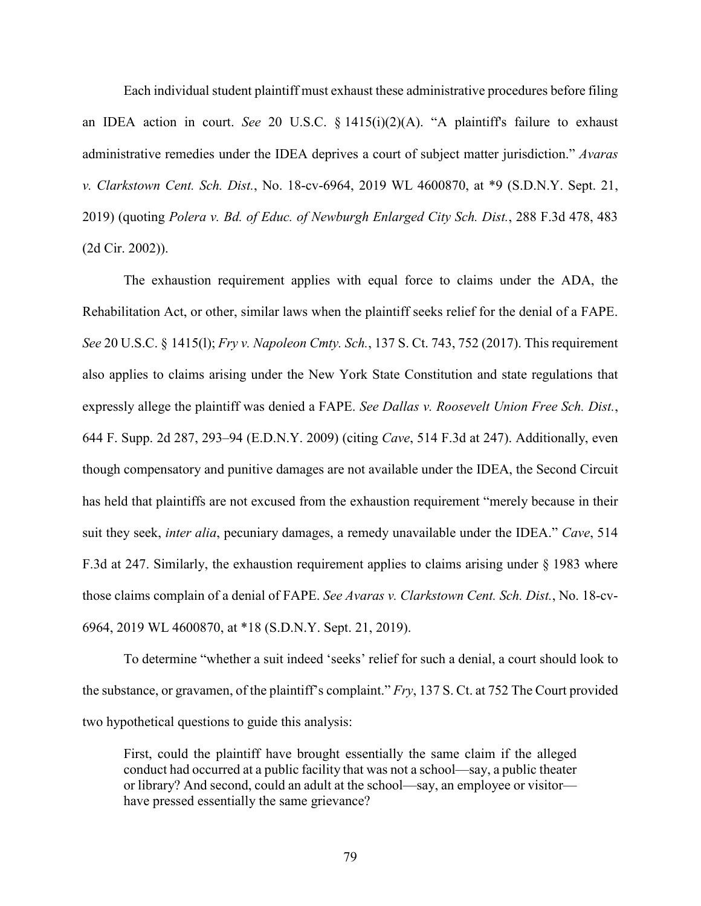Each individual student plaintiff must exhaust these administrative procedures before filing an IDEA action in court. *See* 20 U.S.C. § 1415(i)(2)(A). "A plaintiff's failure to exhaust administrative remedies under the IDEA deprives a court of subject matter jurisdiction." *Avaras v. Clarkstown Cent. Sch. Dist.*, No. 18-cv-6964, 2019 WL 4600870, at \*9 (S.D.N.Y. Sept. 21, 2019) (quoting *Polera v. Bd. of Educ. of Newburgh Enlarged City Sch. Dist.*, 288 F.3d 478, 483 (2d Cir. 2002)).

The exhaustion requirement applies with equal force to claims under the ADA, the Rehabilitation Act, or other, similar laws when the plaintiff seeks relief for the denial of a FAPE. *See* 20 U.S.C. § 1415(l); *Fry v. Napoleon Cmty. Sch.*, 137 S. Ct. 743, 752 (2017). This requirement also applies to claims arising under the New York State Constitution and state regulations that expressly allege the plaintiff was denied a FAPE. *See Dallas v. Roosevelt Union Free Sch. Dist.*, 644 F. Supp. 2d 287, 293–94 (E.D.N.Y. 2009) (citing *Cave*, 514 F.3d at 247). Additionally, even though compensatory and punitive damages are not available under the IDEA, the Second Circuit has held that plaintiffs are not excused from the exhaustion requirement "merely because in their suit they seek, *inter alia*, pecuniary damages, a remedy unavailable under the IDEA." *Cave*, 514 F.3d at 247. Similarly, the exhaustion requirement applies to claims arising under § 1983 where those claims complain of a denial of FAPE. *See Avaras v. Clarkstown Cent. Sch. Dist.*, No. 18-cv-6964, 2019 WL 4600870, at \*18 (S.D.N.Y. Sept. 21, 2019).

To determine "whether a suit indeed 'seeks' relief for such a denial, a court should look to the substance, or gravamen, of the plaintiff's complaint." *Fry*, 137 S. Ct. at 752 The Court provided two hypothetical questions to guide this analysis:

First, could the plaintiff have brought essentially the same claim if the alleged conduct had occurred at a public facility that was not a school—say, a public theater or library? And second, could an adult at the school—say, an employee or visitor have pressed essentially the same grievance?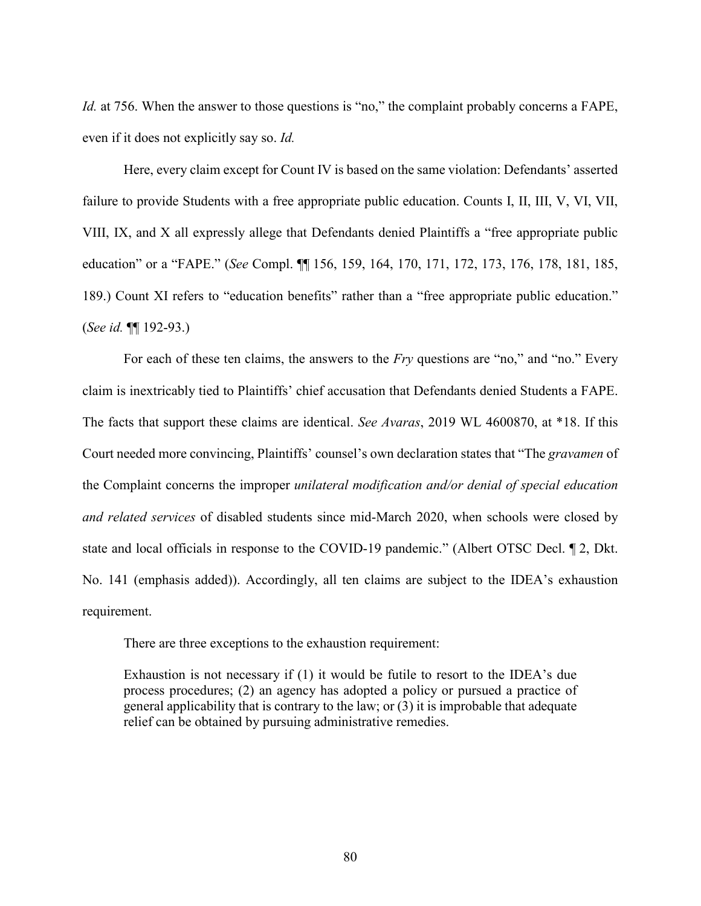*Id.* at 756. When the answer to those questions is "no," the complaint probably concerns a FAPE, even if it does not explicitly say so. *Id.*

Here, every claim except for Count IV is based on the same violation: Defendants' asserted failure to provide Students with a free appropriate public education. Counts I, II, III, V, VI, VII, VIII, IX, and X all expressly allege that Defendants denied Plaintiffs a "free appropriate public education" or a "FAPE." (*See* Compl. ¶¶ 156, 159, 164, 170, 171, 172, 173, 176, 178, 181, 185, 189.) Count XI refers to "education benefits" rather than a "free appropriate public education." (*See id.* ¶¶ 192-93.)

For each of these ten claims, the answers to the *Fry* questions are "no," and "no." Every claim is inextricably tied to Plaintiffs' chief accusation that Defendants denied Students a FAPE. The facts that support these claims are identical. *See Avaras*, 2019 WL 4600870, at \*18. If this Court needed more convincing, Plaintiffs' counsel's own declaration states that "The *gravamen* of the Complaint concerns the improper *unilateral modification and/or denial of special education and related services* of disabled students since mid-March 2020, when schools were closed by state and local officials in response to the COVID-19 pandemic." (Albert OTSC Decl. ¶ 2, Dkt. No. 141 (emphasis added)). Accordingly, all ten claims are subject to the IDEA's exhaustion requirement.

There are three exceptions to the exhaustion requirement:

Exhaustion is not necessary if (1) it would be futile to resort to the IDEA's due process procedures; (2) an agency has adopted a policy or pursued a practice of general applicability that is contrary to the law; or (3) it is improbable that adequate relief can be obtained by pursuing administrative remedies.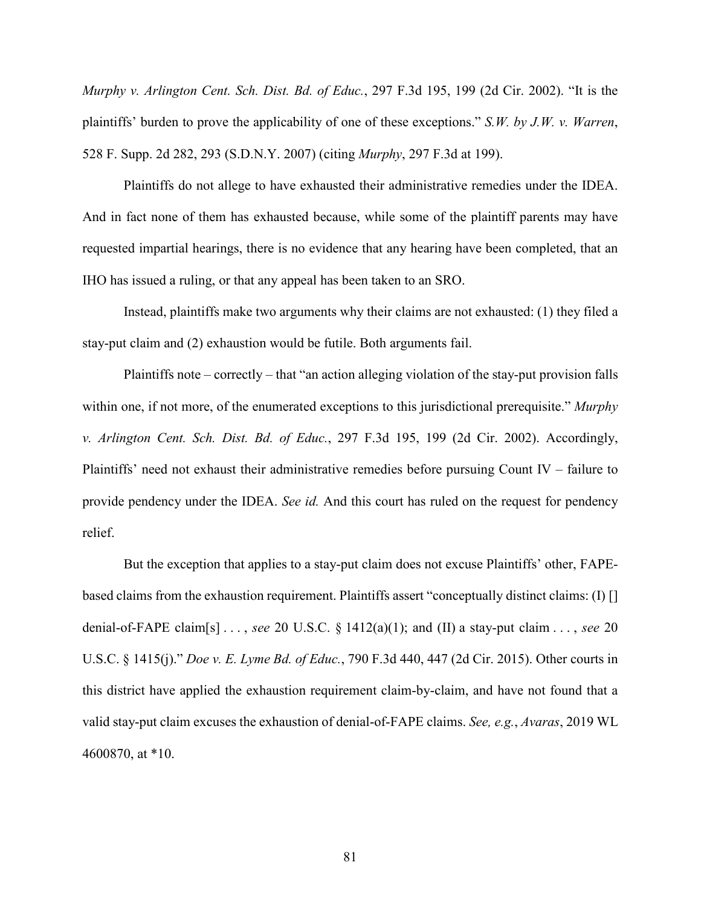*Murphy v. Arlington Cent. Sch. Dist. Bd. of Educ.*, 297 F.3d 195, 199 (2d Cir. 2002). "It is the plaintiffs' burden to prove the applicability of one of these exceptions." *S.W. by J.W. v. Warren*, 528 F. Supp. 2d 282, 293 (S.D.N.Y. 2007) (citing *Murphy*, 297 F.3d at 199).

Plaintiffs do not allege to have exhausted their administrative remedies under the IDEA. And in fact none of them has exhausted because, while some of the plaintiff parents may have requested impartial hearings, there is no evidence that any hearing have been completed, that an IHO has issued a ruling, or that any appeal has been taken to an SRO.

Instead, plaintiffs make two arguments why their claims are not exhausted: (1) they filed a stay-put claim and (2) exhaustion would be futile. Both arguments fail.

Plaintiffs note – correctly – that "an action alleging violation of the stay-put provision falls within one, if not more, of the enumerated exceptions to this jurisdictional prerequisite." *Murphy v. Arlington Cent. Sch. Dist. Bd. of Educ.*, 297 F.3d 195, 199 (2d Cir. 2002). Accordingly, Plaintiffs' need not exhaust their administrative remedies before pursuing Count IV – failure to provide pendency under the IDEA. *See id.* And this court has ruled on the request for pendency relief.

But the exception that applies to a stay-put claim does not excuse Plaintiffs' other, FAPEbased claims from the exhaustion requirement. Plaintiffs assert "conceptually distinct claims: (I) [] denial-of-FAPE claim[s] . . . , *see* 20 U.S.C. § 1412(a)(1); and (II) a stay-put claim . . . , *see* 20 U.S.C. § 1415(j)." *Doe v. E. Lyme Bd. of Educ.*, 790 F.3d 440, 447 (2d Cir. 2015). Other courts in this district have applied the exhaustion requirement claim-by-claim, and have not found that a valid stay-put claim excuses the exhaustion of denial-of-FAPE claims. *See, e.g.*, *Avaras*, 2019 WL 4600870, at \*10.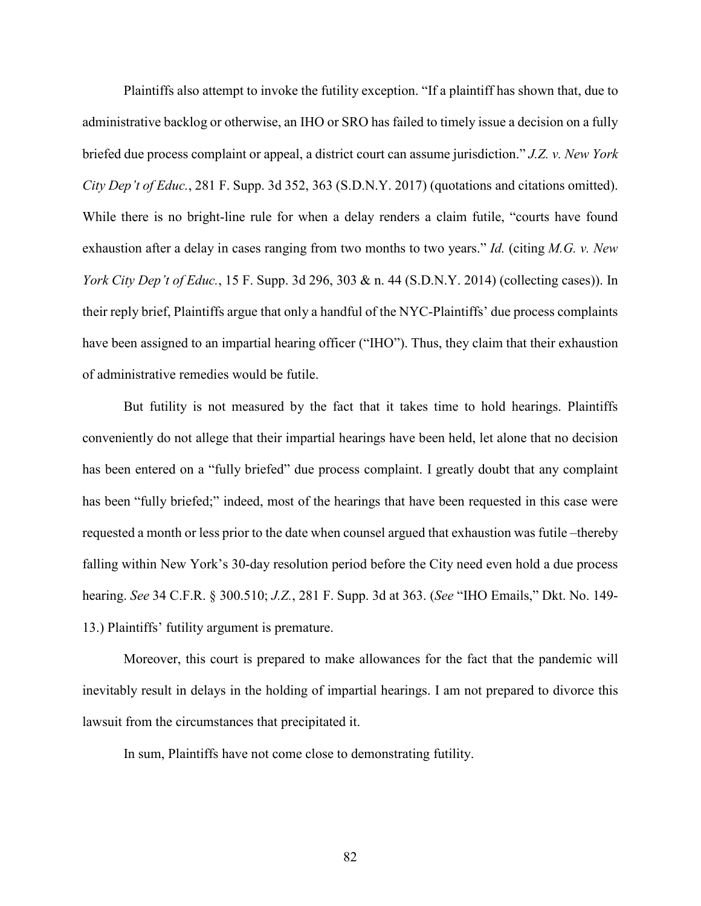Plaintiffs also attempt to invoke the futility exception. "If a plaintiff has shown that, due to administrative backlog or otherwise, an IHO or SRO has failed to timely issue a decision on a fully briefed due process complaint or appeal, a district court can assume jurisdiction." *J.Z. v. New York City Dep't of Educ.*, 281 F. Supp. 3d 352, 363 (S.D.N.Y. 2017) (quotations and citations omitted). While there is no bright-line rule for when a delay renders a claim futile, "courts have found exhaustion after a delay in cases ranging from two months to two years." *Id.* (citing *M.G. v. New York City Dep't of Educ.*, 15 F. Supp. 3d 296, 303 & n. 44 (S.D.N.Y. 2014) (collecting cases)). In their reply brief, Plaintiffs argue that only a handful of the NYC-Plaintiffs' due process complaints have been assigned to an impartial hearing officer ("IHO"). Thus, they claim that their exhaustion of administrative remedies would be futile.

But futility is not measured by the fact that it takes time to hold hearings. Plaintiffs conveniently do not allege that their impartial hearings have been held, let alone that no decision has been entered on a "fully briefed" due process complaint. I greatly doubt that any complaint has been "fully briefed;" indeed, most of the hearings that have been requested in this case were requested a month or less prior to the date when counsel argued that exhaustion was futile –thereby falling within New York's 30-day resolution period before the City need even hold a due process hearing. *See* 34 C.F.R. § 300.510; *J.Z.*, 281 F. Supp. 3d at 363. (*See* "IHO Emails," Dkt. No. 149- 13.) Plaintiffs' futility argument is premature.

Moreover, this court is prepared to make allowances for the fact that the pandemic will inevitably result in delays in the holding of impartial hearings. I am not prepared to divorce this lawsuit from the circumstances that precipitated it.

In sum, Plaintiffs have not come close to demonstrating futility.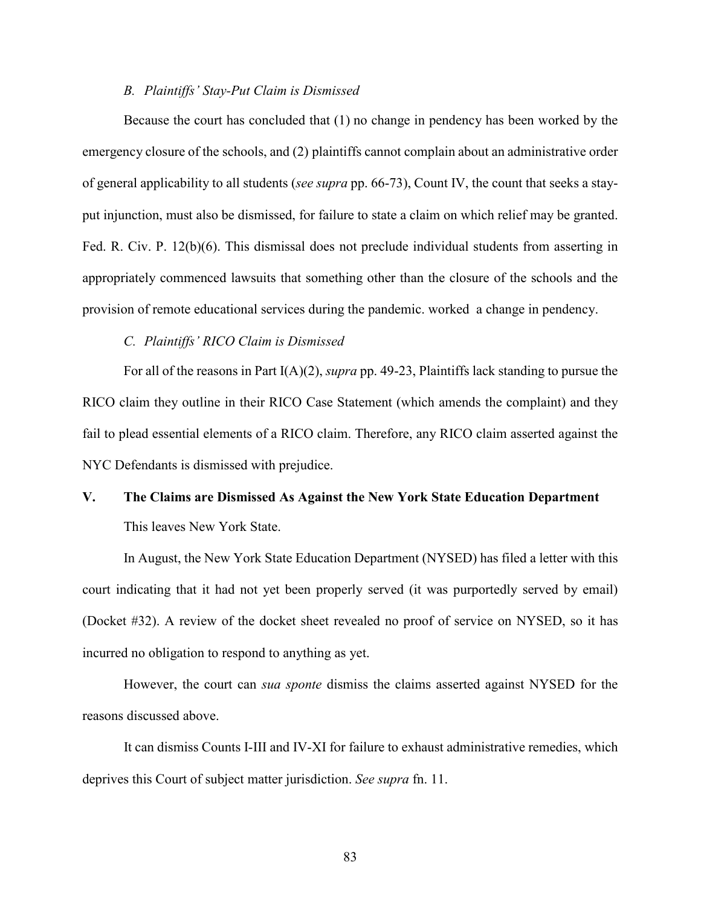#### *B. Plaintiffs' Stay-Put Claim is Dismissed*

Because the court has concluded that (1) no change in pendency has been worked by the emergency closure of the schools, and (2) plaintiffs cannot complain about an administrative order of general applicability to all students (*see supra* pp. 66-73), Count IV, the count that seeks a stayput injunction, must also be dismissed, for failure to state a claim on which relief may be granted. Fed. R. Civ. P. 12(b)(6). This dismissal does not preclude individual students from asserting in appropriately commenced lawsuits that something other than the closure of the schools and the provision of remote educational services during the pandemic. worked a change in pendency.

*C. Plaintiffs' RICO Claim is Dismissed*

For all of the reasons in Part I(A)(2), *supra* pp. 49-23, Plaintiffs lack standing to pursue the RICO claim they outline in their RICO Case Statement (which amends the complaint) and they fail to plead essential elements of a RICO claim. Therefore, any RICO claim asserted against the NYC Defendants is dismissed with prejudice.

# **V. The Claims are Dismissed As Against the New York State Education Department**  This leaves New York State.

In August, the New York State Education Department (NYSED) has filed a letter with this court indicating that it had not yet been properly served (it was purportedly served by email) (Docket #32). A review of the docket sheet revealed no proof of service on NYSED, so it has incurred no obligation to respond to anything as yet.

However, the court can *sua sponte* dismiss the claims asserted against NYSED for the reasons discussed above.

 It can dismiss Counts I-III and IV-XI for failure to exhaust administrative remedies, which deprives this Court of subject matter jurisdiction. *See supra* fn. 11.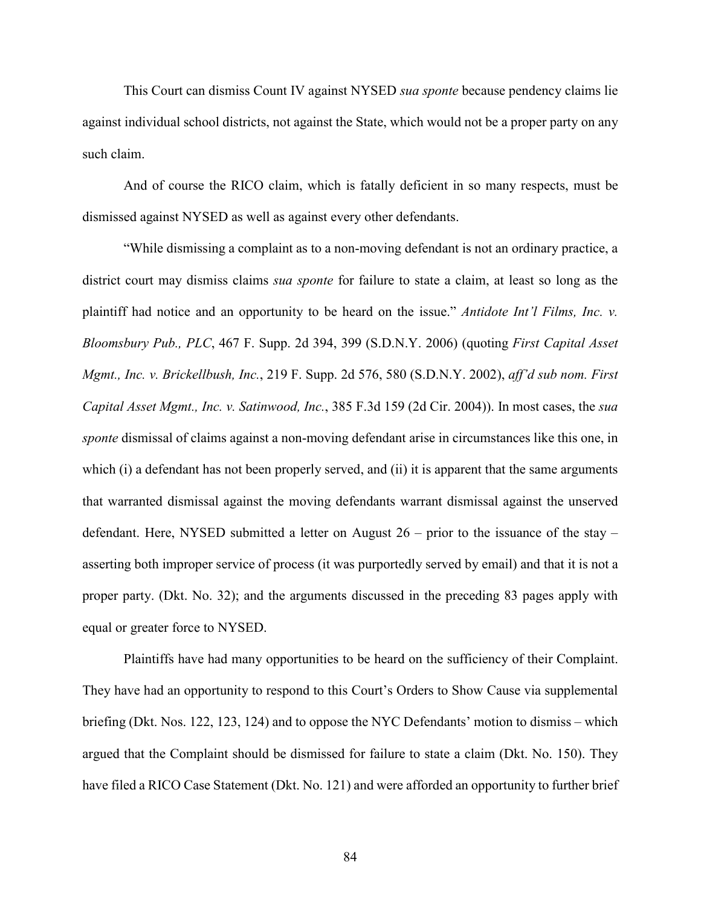This Court can dismiss Count IV against NYSED *sua sponte* because pendency claims lie against individual school districts, not against the State, which would not be a proper party on any such claim.

And of course the RICO claim, which is fatally deficient in so many respects, must be dismissed against NYSED as well as against every other defendants.

"While dismissing a complaint as to a non-moving defendant is not an ordinary practice, a district court may dismiss claims *sua sponte* for failure to state a claim, at least so long as the plaintiff had notice and an opportunity to be heard on the issue." *Antidote Int'l Films, Inc. v. Bloomsbury Pub., PLC*, 467 F. Supp. 2d 394, 399 (S.D.N.Y. 2006) (quoting *First Capital Asset Mgmt., Inc. v. Brickellbush, Inc.*, 219 F. Supp. 2d 576, 580 (S.D.N.Y. 2002), *aff'd sub nom. First Capital Asset Mgmt., Inc. v. Satinwood, Inc.*, 385 F.3d 159 (2d Cir. 2004)). In most cases, the *sua sponte* dismissal of claims against a non-moving defendant arise in circumstances like this one, in which (i) a defendant has not been properly served, and (ii) it is apparent that the same arguments that warranted dismissal against the moving defendants warrant dismissal against the unserved defendant. Here, NYSED submitted a letter on August 26 – prior to the issuance of the stay – asserting both improper service of process (it was purportedly served by email) and that it is not a proper party. (Dkt. No. 32); and the arguments discussed in the preceding 83 pages apply with equal or greater force to NYSED.

Plaintiffs have had many opportunities to be heard on the sufficiency of their Complaint. They have had an opportunity to respond to this Court's Orders to Show Cause via supplemental briefing (Dkt. Nos. 122, 123, 124) and to oppose the NYC Defendants' motion to dismiss – which argued that the Complaint should be dismissed for failure to state a claim (Dkt. No. 150). They have filed a RICO Case Statement (Dkt. No. 121) and were afforded an opportunity to further brief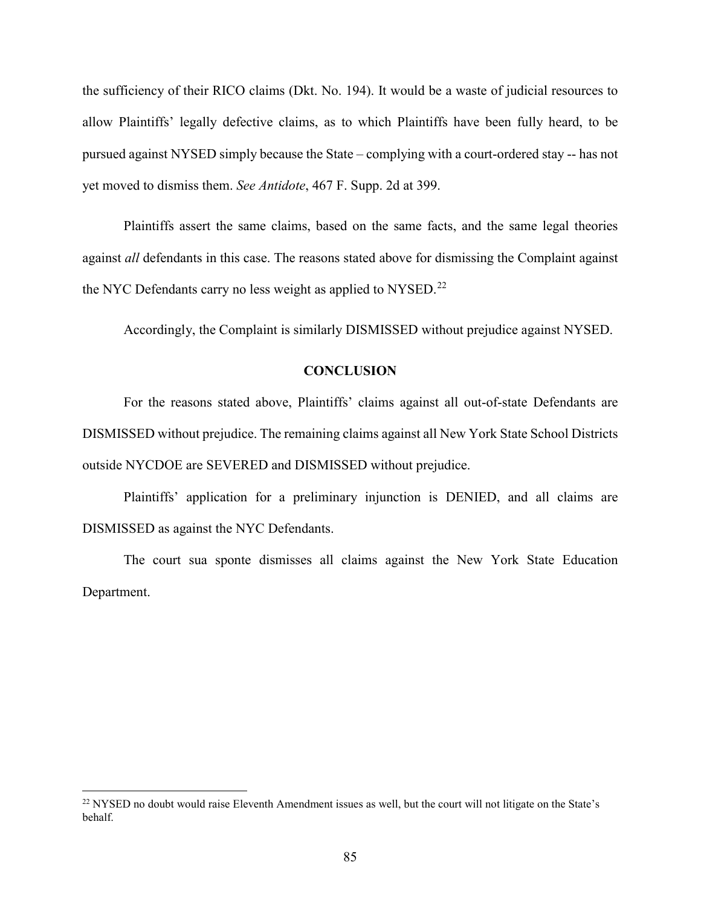the sufficiency of their RICO claims (Dkt. No. 194). It would be a waste of judicial resources to allow Plaintiffs' legally defective claims, as to which Plaintiffs have been fully heard, to be pursued against NYSED simply because the State – complying with a court-ordered stay -- has not yet moved to dismiss them. *See Antidote*, 467 F. Supp. 2d at 399.

Plaintiffs assert the same claims, based on the same facts, and the same legal theories against *all* defendants in this case. The reasons stated above for dismissing the Complaint against the NYC Defendants carry no less weight as applied to NYSED.<sup>[22](#page-84-0)</sup>

Accordingly, the Complaint is similarly DISMISSED without prejudice against NYSED.

## **CONCLUSION**

For the reasons stated above, Plaintiffs' claims against all out-of-state Defendants are DISMISSED without prejudice. The remaining claims against all New York State School Districts outside NYCDOE are SEVERED and DISMISSED without prejudice.

Plaintiffs' application for a preliminary injunction is DENIED, and all claims are DISMISSED as against the NYC Defendants.

The court sua sponte dismisses all claims against the New York State Education Department.

l

<span id="page-84-0"></span><sup>&</sup>lt;sup>22</sup> NYSED no doubt would raise Eleventh Amendment issues as well, but the court will not litigate on the State's behalf.